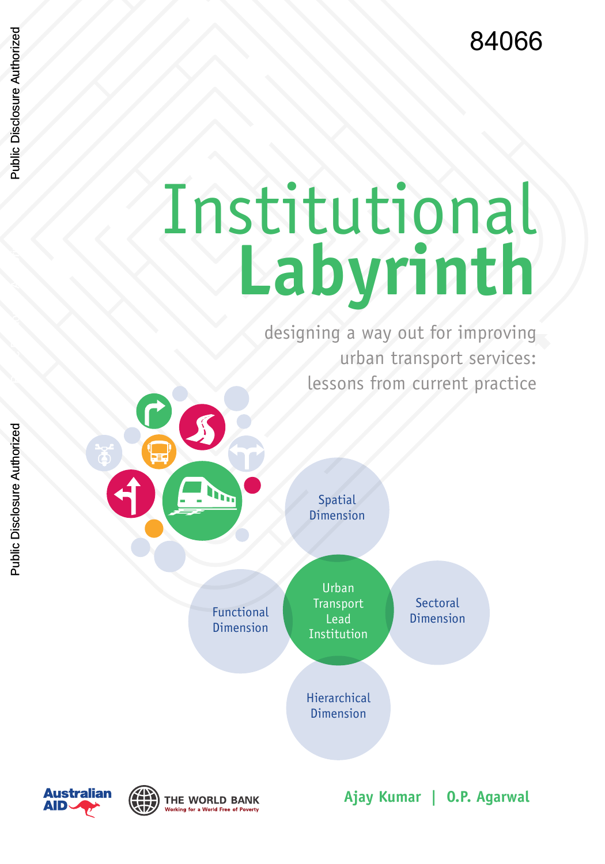84066

# Institutional **Labyrinth**

designing a way out for improving urban transport services: lessons from current practice







**Ajay Kumar | O.P. Agarwal**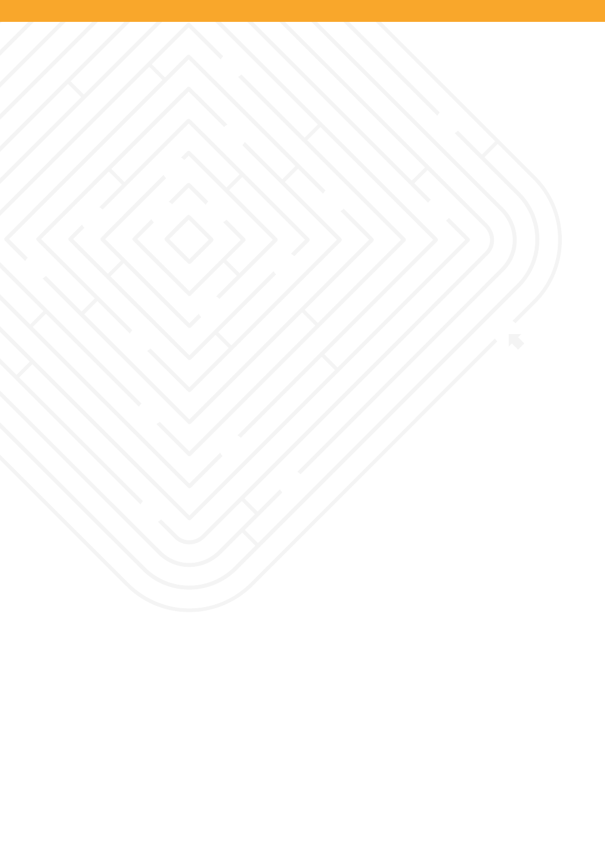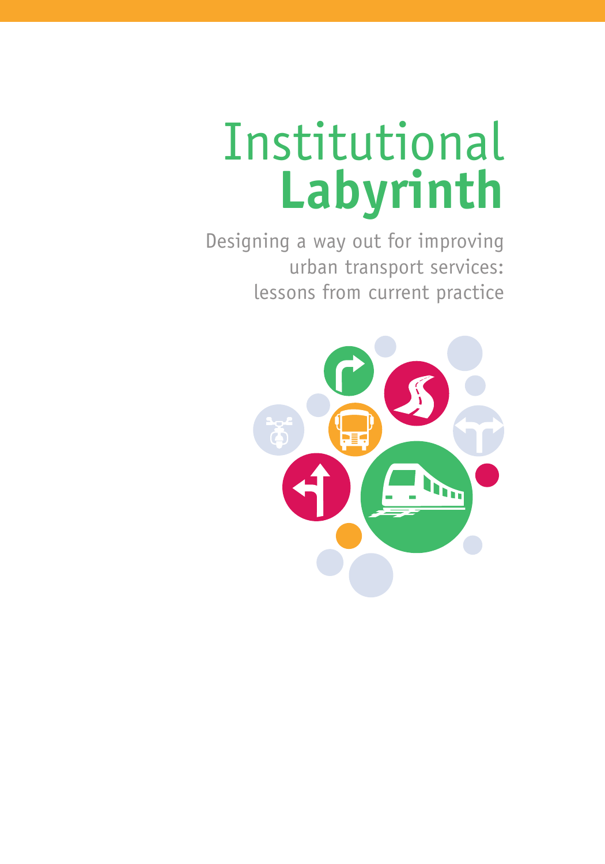## Institutional **Labyrinth**

Designing a way out for improving urban transport services: lessons from current practice

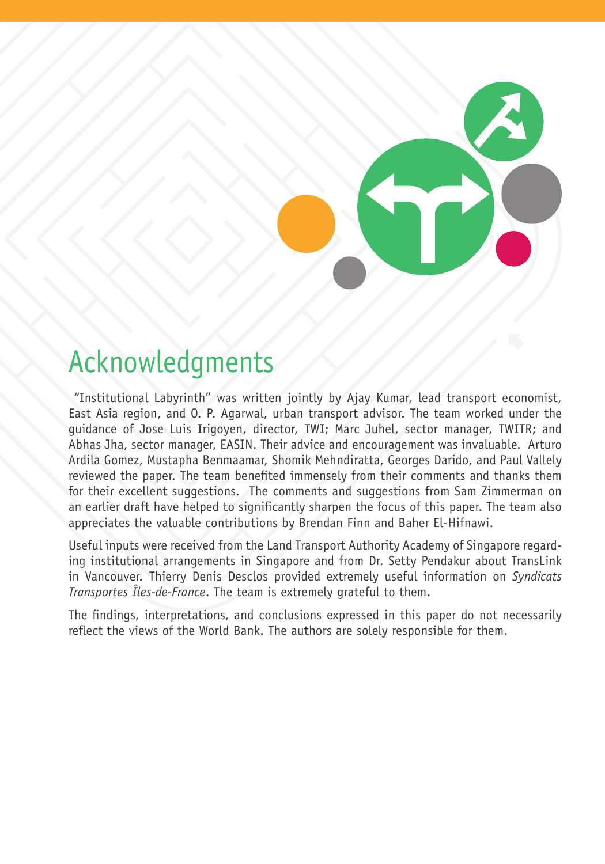

## Acknowledgments

 "Institutional Labyrinth" was written jointly by Ajay Kumar, lead transport economist, East Asia region, and O. P. Agarwal, urban transport advisor. The team worked under the guidance of Jose Luis Irigoyen, director, TWI; Marc Juhel, sector manager, TWITR; and Abhas Jha, sector manager, EASIN. Their advice and encouragement was invaluable. Arturo Ardila Gomez, Mustapha Benmaamar, Shomik Mehndiratta, Georges Darido, and Paul Vallely reviewed the paper. The team benefited immensely from their comments and thanks them for their excellent suggestions. The comments and suggestions from Sam Zimmerman on an earlier draft have helped to significantly sharpen the focus of this paper. The team also appreciates the valuable contributions by Brendan Finn and Baher El-Hifnawi.

Useful inputs were received from the Land Transport Authority Academy of Singapore regarding institutional arrangements in Singapore and from Dr. Setty Pendakur about TransLink in Vancouver. Thierry Denis Desclos provided extremely useful information on *Syndicats Transportes Îles-de-France*. The team is extremely grateful to them.

The findings, interpretations, and conclusions expressed in this paper do not necessarily reflect the views of the World Bank. The authors are solely responsible for them.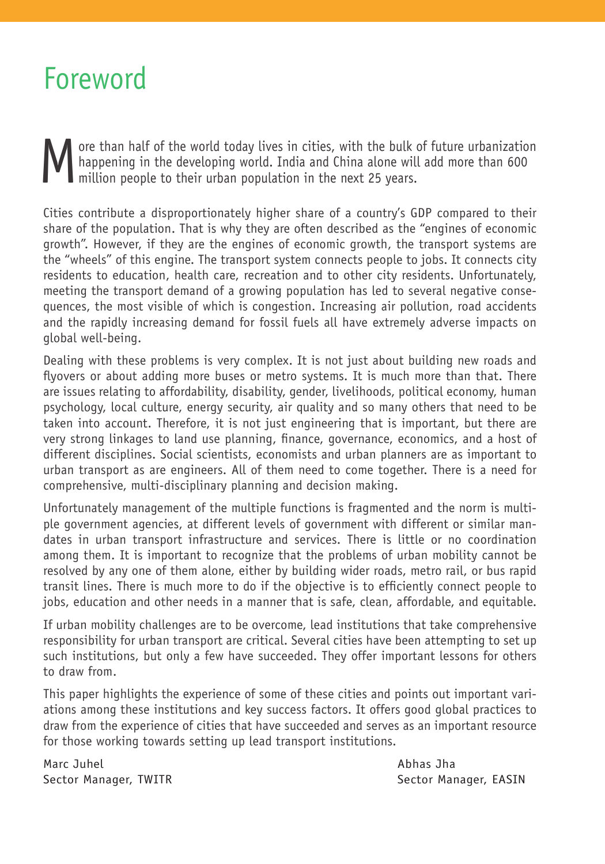## Foreword

More than half of the world today lives in cities, with the bulk of future urbanization happening in the developing world. India and China alone will add more than 600 million people to their urban population in the next 2 happening in the developing world. India and China alone will add more than 600 million people to their urban population in the next 25 years.

Cities contribute a disproportionately higher share of a country's GDP compared to their share of the population. That is why they are often described as the "engines of economic growth". However, if they are the engines of economic growth, the transport systems are the "wheels" of this engine. The transport system connects people to jobs. It connects city residents to education, health care, recreation and to other city residents. Unfortunately, meeting the transport demand of a growing population has led to several negative consequences, the most visible of which is congestion. Increasing air pollution, road accidents and the rapidly increasing demand for fossil fuels all have extremely adverse impacts on global well-being.

Dealing with these problems is very complex. It is not just about building new roads and flyovers or about adding more buses or metro systems. It is much more than that. There are issues relating to affordability, disability, gender, livelihoods, political economy, human psychology, local culture, energy security, air quality and so many others that need to be taken into account. Therefore, it is not just engineering that is important, but there are very strong linkages to land use planning, finance, governance, economics, and a host of different disciplines. Social scientists, economists and urban planners are as important to urban transport as are engineers. All of them need to come together. There is a need for comprehensive, multi-disciplinary planning and decision making.

Unfortunately management of the multiple functions is fragmented and the norm is multiple government agencies, at different levels of government with different or similar mandates in urban transport infrastructure and services. There is little or no coordination among them. It is important to recognize that the problems of urban mobility cannot be resolved by any one of them alone, either by building wider roads, metro rail, or bus rapid transit lines. There is much more to do if the objective is to efficiently connect people to jobs, education and other needs in a manner that is safe, clean, affordable, and equitable.

If urban mobility challenges are to be overcome, lead institutions that take comprehensive responsibility for urban transport are critical. Several cities have been attempting to set up such institutions, but only a few have succeeded. They offer important lessons for others to draw from.

This paper highlights the experience of some of these cities and points out important variations among these institutions and key success factors. It offers good global practices to draw from the experience of cities that have succeeded and serves as an important resource for those working towards setting up lead transport institutions.

Marc Juhel **Abhas Jhaman Abhas Jhaman Abhas Jhaman** Abhas Jhaman Abhas Jhaman Abhas Jhaman Abhas Jhaman Abhas Jha Sector Manager, TWITR Sector Manager, EASIN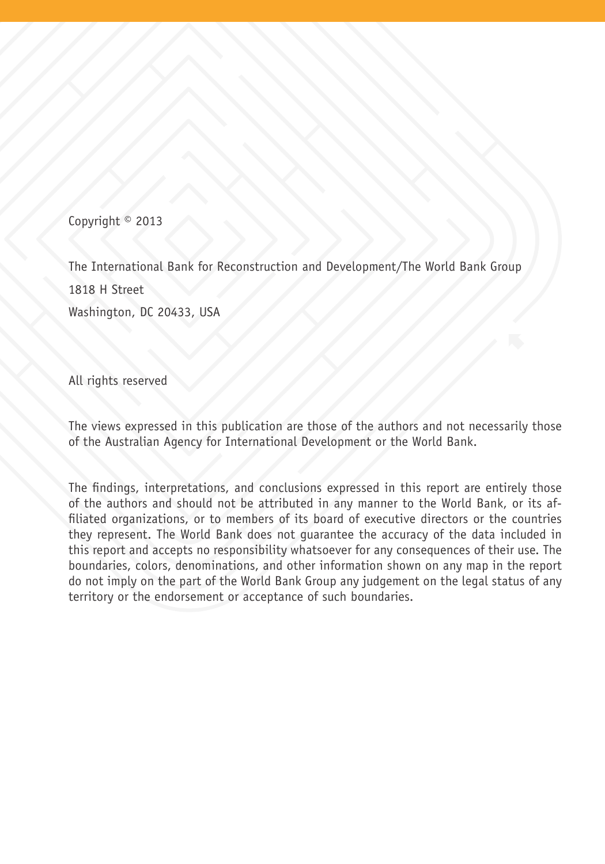Copyright © 2013

The International Bank for Reconstruction and Development/The World Bank Group 1818 H Street

Washington, DC 20433, USA

All rights reserved

The views expressed in this publication are those of the authors and not necessarily those of the Australian Agency for International Development or the World Bank.

The findings, interpretations, and conclusions expressed in this report are entirely those of the authors and should not be attributed in any manner to the World Bank, or its affiliated organizations, or to members of its board of executive directors or the countries they represent. The World Bank does not guarantee the accuracy of the data included in this report and accepts no responsibility whatsoever for any consequences of their use. The boundaries, colors, denominations, and other information shown on any map in the report do not imply on the part of the World Bank Group any judgement on the legal status of any territory or the endorsement or acceptance of such boundaries.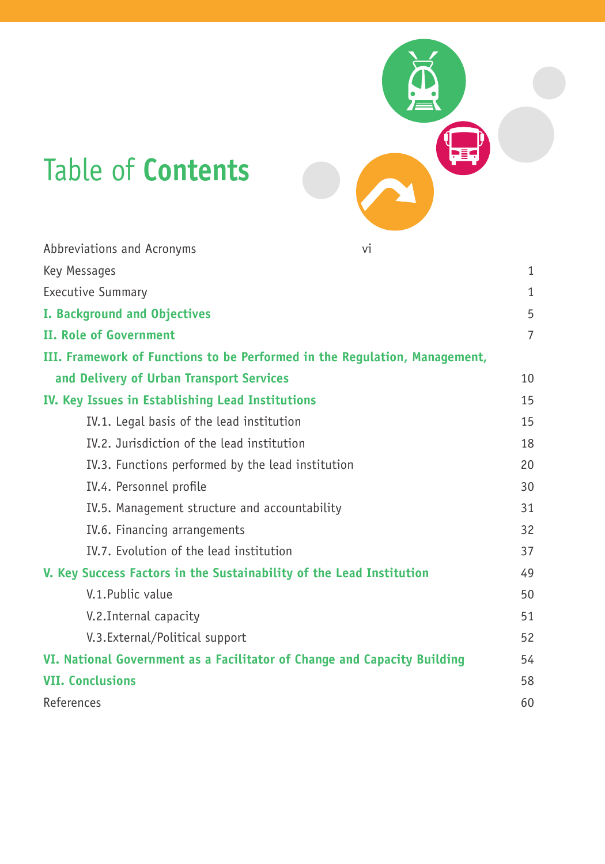

## Table of **Contents**

| Abbreviations and Acronyms                                                 | vi           |
|----------------------------------------------------------------------------|--------------|
| Key Messages                                                               | 1            |
| <b>Executive Summary</b>                                                   | $\mathbf{1}$ |
| <b>I. Background and Objectives</b>                                        | 5            |
| <b>II. Role of Government</b>                                              | 7            |
| III. Framework of Functions to be Performed in the Regulation, Management, |              |
| and Delivery of Urban Transport Services                                   | 10           |
| IV. Key Issues in Establishing Lead Institutions                           | 15           |
| IV.1. Legal basis of the lead institution                                  | 15           |
| IV.2. Jurisdiction of the lead institution                                 | 18           |
| IV.3. Functions performed by the lead institution                          | 20           |
| IV.4. Personnel profile                                                    | 30           |
| IV.5. Management structure and accountability                              | 31           |
| IV.6. Financing arrangements                                               | 32           |
| IV.7. Evolution of the lead institution                                    | 37           |
| V. Key Success Factors in the Sustainability of the Lead Institution       | 49           |
| V.1. Public value                                                          | 50           |
| V.2. Internal capacity                                                     | 51           |
| V.3. External/Political support                                            | 52           |
| VI. National Government as a Facilitator of Change and Capacity Building   | 54           |
| <b>VII. Conclusions</b>                                                    | 58           |
| References                                                                 | 60           |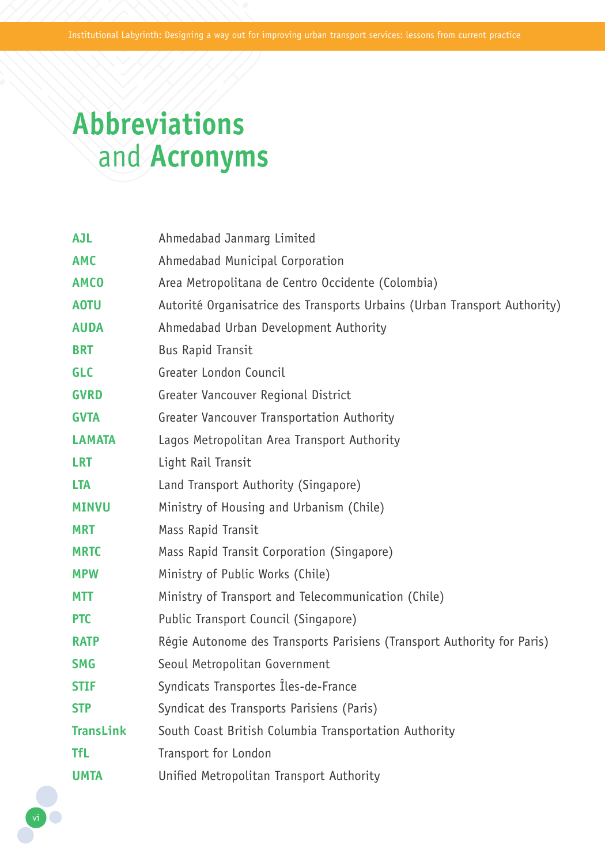## **Abbreviations** and **Acronyms**

| <b>AJL</b>       | Ahmedabad Janmarg Limited                                                 |
|------------------|---------------------------------------------------------------------------|
| <b>AMC</b>       | Ahmedabad Municipal Corporation                                           |
| <b>AMCO</b>      | Area Metropolitana de Centro Occidente (Colombia)                         |
| <b>AOTU</b>      | Autorité Organisatrice des Transports Urbains (Urban Transport Authority) |
| <b>AUDA</b>      | Ahmedabad Urban Development Authority                                     |
| <b>BRT</b>       | <b>Bus Rapid Transit</b>                                                  |
| <b>GLC</b>       | Greater London Council                                                    |
| <b>GVRD</b>      | Greater Vancouver Regional District                                       |
| <b>GVTA</b>      | Greater Vancouver Transportation Authority                                |
| <b>LAMATA</b>    | Lagos Metropolitan Area Transport Authority                               |
| <b>LRT</b>       | Light Rail Transit                                                        |
| <b>LTA</b>       | Land Transport Authority (Singapore)                                      |
| <b>MINVU</b>     | Ministry of Housing and Urbanism (Chile)                                  |
| <b>MRT</b>       | Mass Rapid Transit                                                        |
| <b>MRTC</b>      | Mass Rapid Transit Corporation (Singapore)                                |
| <b>MPW</b>       | Ministry of Public Works (Chile)                                          |
| <b>MTT</b>       | Ministry of Transport and Telecommunication (Chile)                       |
| <b>PTC</b>       | Public Transport Council (Singapore)                                      |
| <b>RATP</b>      | Régie Autonome des Transports Parisiens (Transport Authority for Paris)   |
| <b>SMG</b>       | Seoul Metropolitan Government                                             |
| <b>STIF</b>      | Syndicats Transportes Îles-de-France                                      |
| <b>STP</b>       | Syndicat des Transports Parisiens (Paris)                                 |
| <b>TransLink</b> | South Coast British Columbia Transportation Authority                     |
| <b>TfL</b>       | Transport for London                                                      |
| <b>UMTA</b>      | Unified Metropolitan Transport Authority                                  |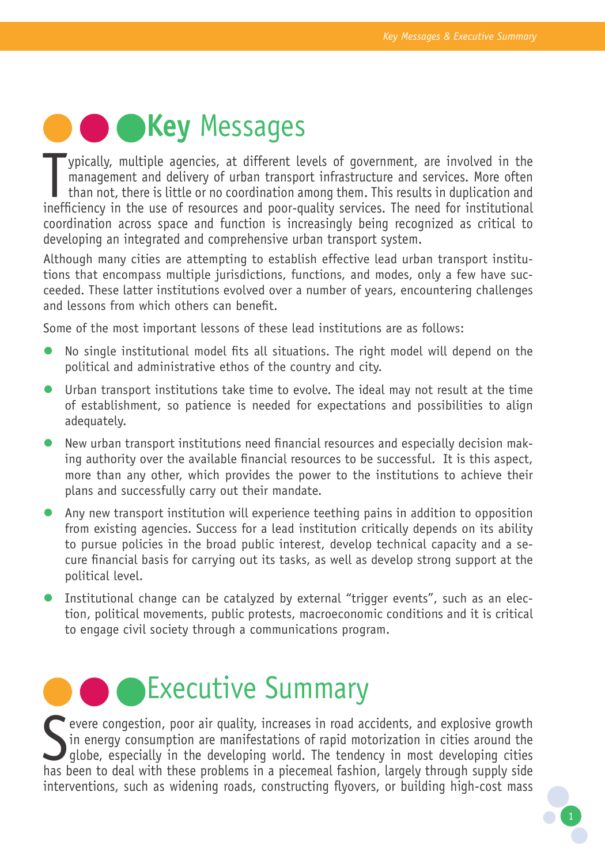## **Key Messages**

If ypically, multiple agencies, at different levels of government, are involved in the management and delivery of urban transport infrastructure and services. More often than not, there is little or no coordination among t ypically, multiple agencies, at different levels of government, are involved in the management and delivery of urban transport infrastructure and services. More often than not, there is little or no coordination among them. This results in duplication and coordination across space and function is increasingly being recognized as critical to developing an integrated and comprehensive urban transport system.

Although many cities are attempting to establish effective lead urban transport institutions that encompass multiple jurisdictions, functions, and modes, only a few have succeeded. These latter institutions evolved over a number of years, encountering challenges and lessons from which others can benefit.

Some of the most important lessons of these lead institutions are as follows:

- l No single institutional model fits all situations. The right model will depend on the political and administrative ethos of the country and city.
- Urban transport institutions take time to evolve. The ideal may not result at the time of establishment, so patience is needed for expectations and possibilities to align adequately.
- l New urban transport institutions need financial resources and especially decision making authority over the available financial resources to be successful. It is this aspect, more than any other, which provides the power to the institutions to achieve their plans and successfully carry out their mandate.
- l Any new transport institution will experience teething pains in addition to opposition from existing agencies. Success for a lead institution critically depends on its ability to pursue policies in the broad public interest, develop technical capacity and a secure financial basis for carrying out its tasks, as well as develop strong support at the political level.
- l Institutional change can be catalyzed by external "trigger events", such as an election, political movements, public protests, macroeconomic conditions and it is critical to engage civil society through a communications program.

## **C** Executive Summary

S evere congestion, poor air quality, increases in road accidents, and explosive growth in energy consumption are manifestations of rapid motorization in cities around the globe, especially in the developing world. The tendency in most developing cities has been to deal with these problems in a piecemeal fashion, largely through supply side interventions, such as widening roads, constructing flyovers, or building high-cost mass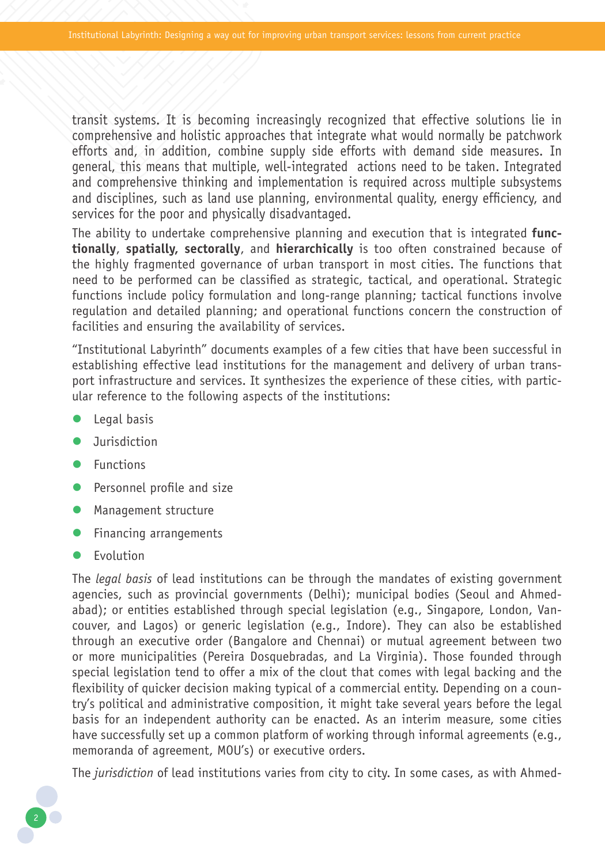transit systems. It is becoming increasingly recognized that effective solutions lie in comprehensive and holistic approaches that integrate what would normally be patchwork efforts and, in addition, combine supply side efforts with demand side measures. In general, this means that multiple, well-integrated actions need to be taken. Integrated and comprehensive thinking and implementation is required across multiple subsystems and disciplines, such as land use planning, environmental quality, energy efficiency, and services for the poor and physically disadvantaged.

The ability to undertake comprehensive planning and execution that is integrated **functionally**, **spatially, sectorally**, and **hierarchically** is too often constrained because of the highly fragmented governance of urban transport in most cities. The functions that need to be performed can be classified as strategic, tactical, and operational. Strategic functions include policy formulation and long-range planning; tactical functions involve regulation and detailed planning; and operational functions concern the construction of facilities and ensuring the availability of services.

"Institutional Labyrinth" documents examples of a few cities that have been successful in establishing effective lead institutions for the management and delivery of urban transport infrastructure and services. It synthesizes the experience of these cities, with particular reference to the following aspects of the institutions:

- l Legal basis
- **Jurisdiction**
- **Functions**
- **•** Personnel profile and size
- Management structure
- Financing arrangements
- **Evolution**

The *legal basis* of lead institutions can be through the mandates of existing government agencies, such as provincial governments (Delhi); municipal bodies (Seoul and Ahmedabad); or entities established through special legislation (e.g., Singapore, London, Vancouver, and Lagos) or generic legislation (e.g., Indore). They can also be established through an executive order (Bangalore and Chennai) or mutual agreement between two or more municipalities (Pereira Dosquebradas, and La Virginia). Those founded through special legislation tend to offer a mix of the clout that comes with legal backing and the flexibility of quicker decision making typical of a commercial entity. Depending on a country's political and administrative composition, it might take several years before the legal basis for an independent authority can be enacted. As an interim measure, some cities have successfully set up a common platform of working through informal agreements (e.g., memoranda of agreement, MOU's) or executive orders.

The *jurisdiction* of lead institutions varies from city to city. In some cases, as with Ahmed-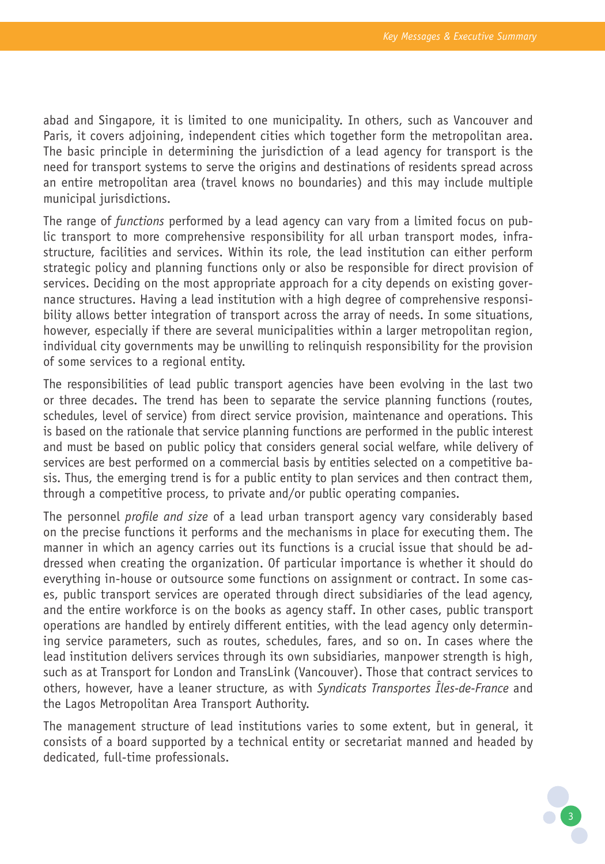abad and Singapore, it is limited to one municipality. In others, such as Vancouver and Paris, it covers adjoining, independent cities which together form the metropolitan area. The basic principle in determining the jurisdiction of a lead agency for transport is the need for transport systems to serve the origins and destinations of residents spread across an entire metropolitan area (travel knows no boundaries) and this may include multiple municipal jurisdictions.

The range of *functions* performed by a lead agency can vary from a limited focus on public transport to more comprehensive responsibility for all urban transport modes, infrastructure, facilities and services. Within its role, the lead institution can either perform strategic policy and planning functions only or also be responsible for direct provision of services. Deciding on the most appropriate approach for a city depends on existing governance structures. Having a lead institution with a high degree of comprehensive responsibility allows better integration of transport across the array of needs. In some situations, however, especially if there are several municipalities within a larger metropolitan region, individual city governments may be unwilling to relinquish responsibility for the provision of some services to a regional entity.

The responsibilities of lead public transport agencies have been evolving in the last two or three decades. The trend has been to separate the service planning functions (routes, schedules, level of service) from direct service provision, maintenance and operations. This is based on the rationale that service planning functions are performed in the public interest and must be based on public policy that considers general social welfare, while delivery of services are best performed on a commercial basis by entities selected on a competitive basis. Thus, the emerging trend is for a public entity to plan services and then contract them, through a competitive process, to private and/or public operating companies.

The personnel *profile and size* of a lead urban transport agency vary considerably based on the precise functions it performs and the mechanisms in place for executing them. The manner in which an agency carries out its functions is a crucial issue that should be addressed when creating the organization. Of particular importance is whether it should do everything in-house or outsource some functions on assignment or contract. In some cases, public transport services are operated through direct subsidiaries of the lead agency, and the entire workforce is on the books as agency staff. In other cases, public transport operations are handled by entirely different entities, with the lead agency only determining service parameters, such as routes, schedules, fares, and so on. In cases where the lead institution delivers services through its own subsidiaries, manpower strength is high, such as at Transport for London and TransLink (Vancouver). Those that contract services to others, however, have a leaner structure, as with *Syndicats Transportes Îles-de-France* and the Lagos Metropolitan Area Transport Authority.

The management structure of lead institutions varies to some extent, but in general, it consists of a board supported by a technical entity or secretariat manned and headed by dedicated, full-time professionals.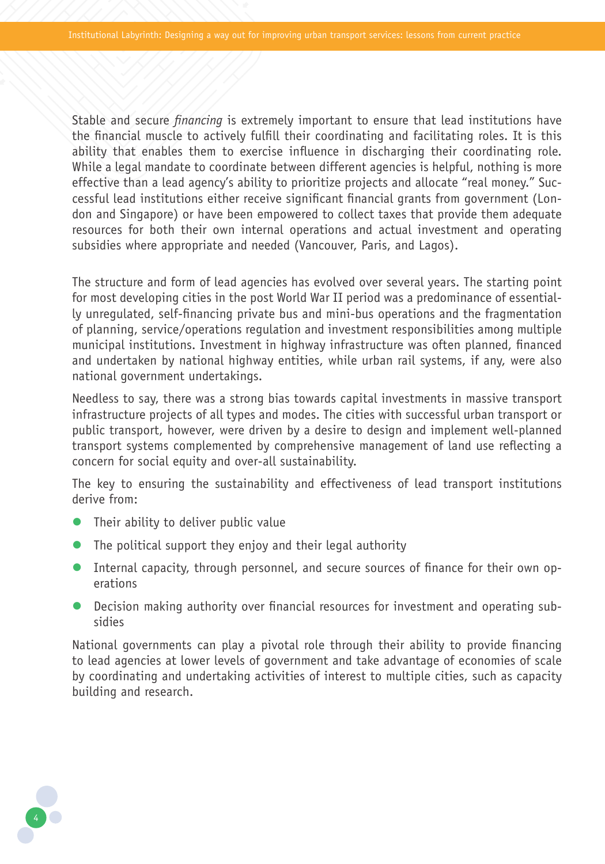Stable and secure *financing* is extremely important to ensure that lead institutions have the financial muscle to actively fulfill their coordinating and facilitating roles. It is this ability that enables them to exercise influence in discharging their coordinating role. While a legal mandate to coordinate between different agencies is helpful, nothing is more effective than a lead agency's ability to prioritize projects and allocate "real money." Successful lead institutions either receive significant financial grants from government (London and Singapore) or have been empowered to collect taxes that provide them adequate resources for both their own internal operations and actual investment and operating subsidies where appropriate and needed (Vancouver, Paris, and Lagos).

The structure and form of lead agencies has evolved over several years. The starting point for most developing cities in the post World War II period was a predominance of essentially unregulated, self-financing private bus and mini-bus operations and the fragmentation of planning, service/operations regulation and investment responsibilities among multiple municipal institutions. Investment in highway infrastructure was often planned, financed and undertaken by national highway entities, while urban rail systems, if any, were also national government undertakings.

Needless to say, there was a strong bias towards capital investments in massive transport infrastructure projects of all types and modes. The cities with successful urban transport or public transport, however, were driven by a desire to design and implement well-planned transport systems complemented by comprehensive management of land use reflecting a concern for social equity and over-all sustainability.

The key to ensuring the sustainability and effectiveness of lead transport institutions derive from:

- $\bullet$  Their ability to deliver public value
- $\bullet$  The political support they enjoy and their legal authority
- **I** Internal capacity, through personnel, and secure sources of finance for their own operations
- **•** Decision making authority over financial resources for investment and operating subsidies

National governments can play a pivotal role through their ability to provide financing to lead agencies at lower levels of government and take advantage of economies of scale by coordinating and undertaking activities of interest to multiple cities, such as capacity building and research.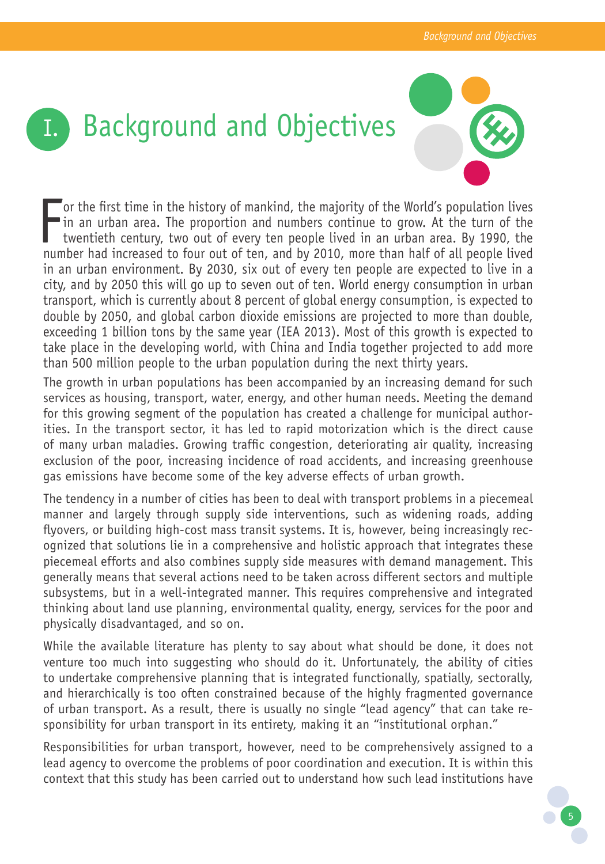## I. Background and Objectives



For the first time in the history of mankind, the majority of the World's population lives<br>in an urban area. The proportion and numbers continue to grow. At the turn of the<br>twentieth century, two out of every ten people li or the first time in the history of mankind, the majority of the World's population lives in an urban area. The proportion and numbers continue to grow. At the turn of the twentieth century, two out of every ten people lived in an urban area. By 1990, the in an urban environment. By 2030, six out of every ten people are expected to live in a city, and by 2050 this will go up to seven out of ten. World energy consumption in urban transport, which is currently about 8 percent of global energy consumption, is expected to double by 2050, and global carbon dioxide emissions are projected to more than double, exceeding 1 billion tons by the same year (IEA 2013). Most of this growth is expected to take place in the developing world, with China and India together projected to add more than 500 million people to the urban population during the next thirty years.

The growth in urban populations has been accompanied by an increasing demand for such services as housing, transport, water, energy, and other human needs. Meeting the demand for this growing segment of the population has created a challenge for municipal authorities. In the transport sector, it has led to rapid motorization which is the direct cause of many urban maladies. Growing traffic congestion, deteriorating air quality, increasing exclusion of the poor, increasing incidence of road accidents, and increasing greenhouse gas emissions have become some of the key adverse effects of urban growth.

The tendency in a number of cities has been to deal with transport problems in a piecemeal manner and largely through supply side interventions, such as widening roads, adding flyovers, or building high-cost mass transit systems. It is, however, being increasingly recognized that solutions lie in a comprehensive and holistic approach that integrates these piecemeal efforts and also combines supply side measures with demand management. This generally means that several actions need to be taken across different sectors and multiple subsystems, but in a well-integrated manner. This requires comprehensive and integrated thinking about land use planning, environmental quality, energy, services for the poor and physically disadvantaged, and so on.

While the available literature has plenty to say about what should be done, it does not venture too much into suggesting who should do it. Unfortunately, the ability of cities to undertake comprehensive planning that is integrated functionally, spatially, sectorally, and hierarchically is too often constrained because of the highly fragmented governance of urban transport. As a result, there is usually no single "lead agency" that can take responsibility for urban transport in its entirety, making it an "institutional orphan."

Responsibilities for urban transport, however, need to be comprehensively assigned to a lead agency to overcome the problems of poor coordination and execution. It is within this context that this study has been carried out to understand how such lead institutions have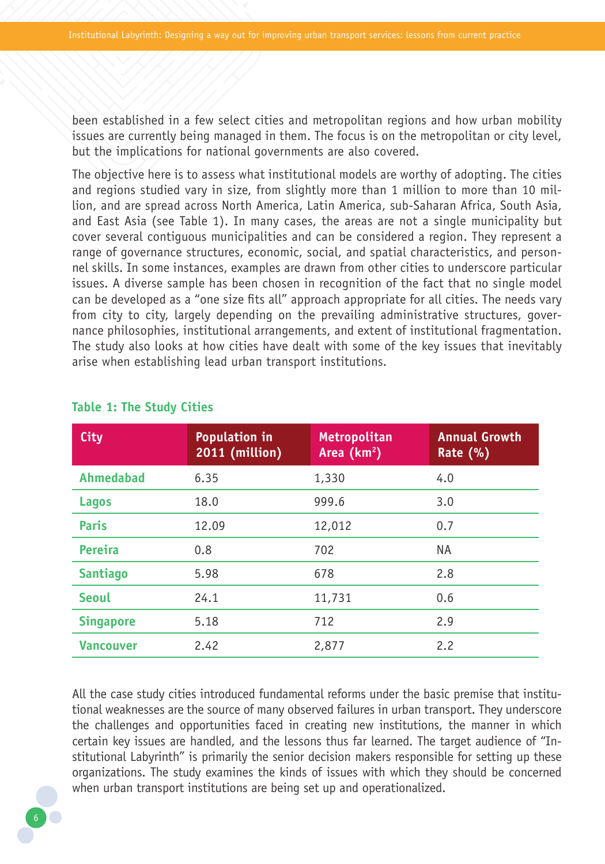been established in a few select cities and metropolitan regions and how urban mobility issues are currently being managed in them. The focus is on the metropolitan or city level, but the implications for national governments are also covered.

The objective here is to assess what institutional models are worthy of adopting. The cities and regions studied vary in size, from slightly more than 1 million to more than 10 million, and are spread across North America, Latin America, sub-Saharan Africa, South Asia, and East Asia (see Table 1). In many cases, the areas are not a single municipality but cover several contiguous municipalities and can be considered a region. They represent a range of governance structures, economic, social, and spatial characteristics, and personnel skills. In some instances, examples are drawn from other cities to underscore particular issues. A diverse sample has been chosen in recognition of the fact that no single model can be developed as a "one size fits all" approach appropriate for all cities. The needs vary from city to city, largely depending on the prevailing administrative structures, governance philosophies, institutional arrangements, and extent of institutional fragmentation. The study also looks at how cities have dealt with some of the key issues that inevitably arise when establishing lead urban transport institutions.

| City             | <b>Population in</b><br>2011 (million) | Metropolitan<br>Area $(km2)$ | <b>Annual Growth</b><br>Rate $(\%)$ |
|------------------|----------------------------------------|------------------------------|-------------------------------------|
| <b>Ahmedabad</b> | 6.35                                   | 1,330                        | 4.0                                 |
| Lagos            | 18.0                                   | 999.6                        | 3.0                                 |
| <b>Paris</b>     | 12.09                                  | 12,012                       | 0.7                                 |
| <b>Pereira</b>   | 0.8                                    | 702                          | <b>NA</b>                           |
| <b>Santiago</b>  | 5.98                                   | 678                          | 2.8                                 |
| <b>Seoul</b>     | 24.1                                   | 11,731                       | 0.6                                 |
| <b>Singapore</b> | 5.18                                   | 712                          | 2.9                                 |
| <b>Vancouver</b> | 2.42                                   | 2,877                        | 2.2                                 |

#### **Table 1: The Study Cities**

All the case study cities introduced fundamental reforms under the basic premise that institutional weaknesses are the source of many observed failures in urban transport. They underscore the challenges and opportunities faced in creating new institutions, the manner in which certain key issues are handled, and the lessons thus far learned. The target audience of "Institutional Labyrinth" is primarily the senior decision makers responsible for setting up these organizations. The study examines the kinds of issues with which they should be concerned when urban transport institutions are being set up and operationalized.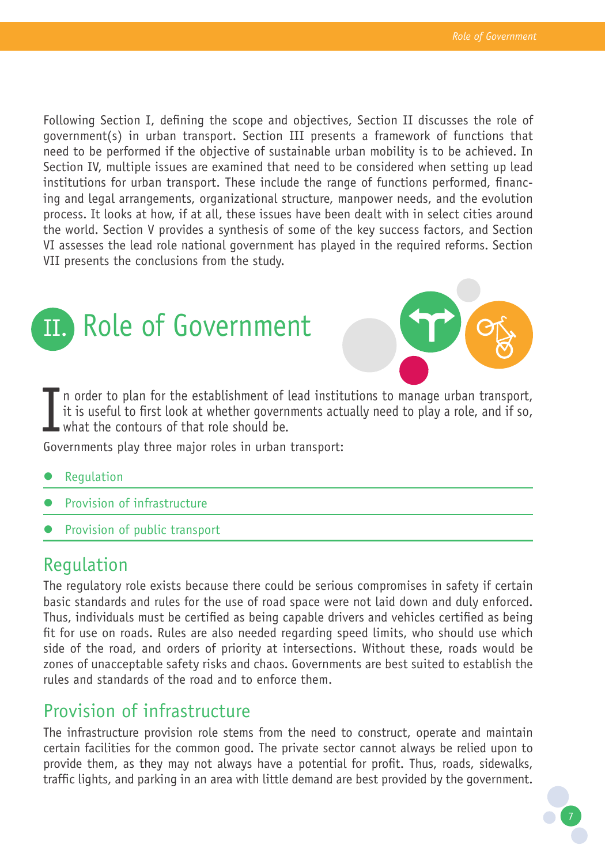Following Section I, defining the scope and objectives, Section II discusses the role of government(s) in urban transport. Section III presents a framework of functions that need to be performed if the objective of sustainable urban mobility is to be achieved. In Section IV, multiple issues are examined that need to be considered when setting up lead institutions for urban transport. These include the range of functions performed, financing and legal arrangements, organizational structure, manpower needs, and the evolution process. It looks at how, if at all, these issues have been dealt with in select cities around the world. Section V provides a synthesis of some of the key success factors, and Section VI assesses the lead role national government has played in the required reforms. Section VII presents the conclusions from the study.





I  $\blacksquare$  n order to plan for the establishment of lead institutions to manage urban transport, it is useful to first look at whether governments actually need to play a role, and if so, what the contours of that role should be.

Governments play three major roles in urban transport:

- **Regulation**
- Provision of infrastructure
- Provision of public transport

### Regulation

The regulatory role exists because there could be serious compromises in safety if certain basic standards and rules for the use of road space were not laid down and duly enforced. Thus, individuals must be certified as being capable drivers and vehicles certified as being fit for use on roads. Rules are also needed regarding speed limits, who should use which side of the road, and orders of priority at intersections. Without these, roads would be zones of unacceptable safety risks and chaos. Governments are best suited to establish the rules and standards of the road and to enforce them.

### Provision of infrastructure

The infrastructure provision role stems from the need to construct, operate and maintain certain facilities for the common good. The private sector cannot always be relied upon to provide them, as they may not always have a potential for profit. Thus, roads, sidewalks, traffic lights, and parking in an area with little demand are best provided by the government.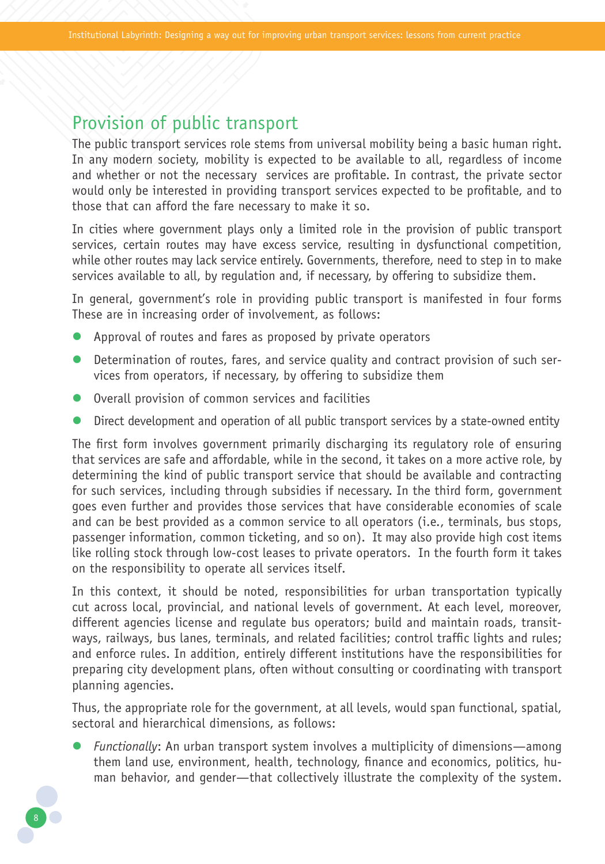## Provision of public transport

The public transport services role stems from universal mobility being a basic human right. In any modern society, mobility is expected to be available to all, regardless of income and whether or not the necessary services are profitable. In contrast, the private sector would only be interested in providing transport services expected to be profitable, and to those that can afford the fare necessary to make it so.

In cities where government plays only a limited role in the provision of public transport services, certain routes may have excess service, resulting in dysfunctional competition, while other routes may lack service entirely. Governments, therefore, need to step in to make services available to all, by regulation and, if necessary, by offering to subsidize them.

In general, government's role in providing public transport is manifested in four forms These are in increasing order of involvement, as follows:

- l Approval of routes and fares as proposed by private operators
- Determination of routes, fares, and service quality and contract provision of such services from operators, if necessary, by offering to subsidize them
- Overall provision of common services and facilities
- Direct development and operation of all public transport services by a state-owned entity

The first form involves government primarily discharging its regulatory role of ensuring that services are safe and affordable, while in the second, it takes on a more active role, by determining the kind of public transport service that should be available and contracting for such services, including through subsidies if necessary. In the third form, government goes even further and provides those services that have considerable economies of scale and can be best provided as a common service to all operators (i.e., terminals, bus stops, passenger information, common ticketing, and so on). It may also provide high cost items like rolling stock through low-cost leases to private operators. In the fourth form it takes on the responsibility to operate all services itself.

In this context, it should be noted, responsibilities for urban transportation typically cut across local, provincial, and national levels of government. At each level, moreover, different agencies license and regulate bus operators; build and maintain roads, transitways, railways, bus lanes, terminals, and related facilities; control traffic lights and rules; and enforce rules. In addition, entirely different institutions have the responsibilities for preparing city development plans, often without consulting or coordinating with transport planning agencies.

Thus, the appropriate role for the government, at all levels, would span functional, spatial, sectoral and hierarchical dimensions, as follows:

*Functionally*: An urban transport system involves a multiplicity of dimensions—among them land use, environment, health, technology, finance and economics, politics, human behavior, and gender—that collectively illustrate the complexity of the system.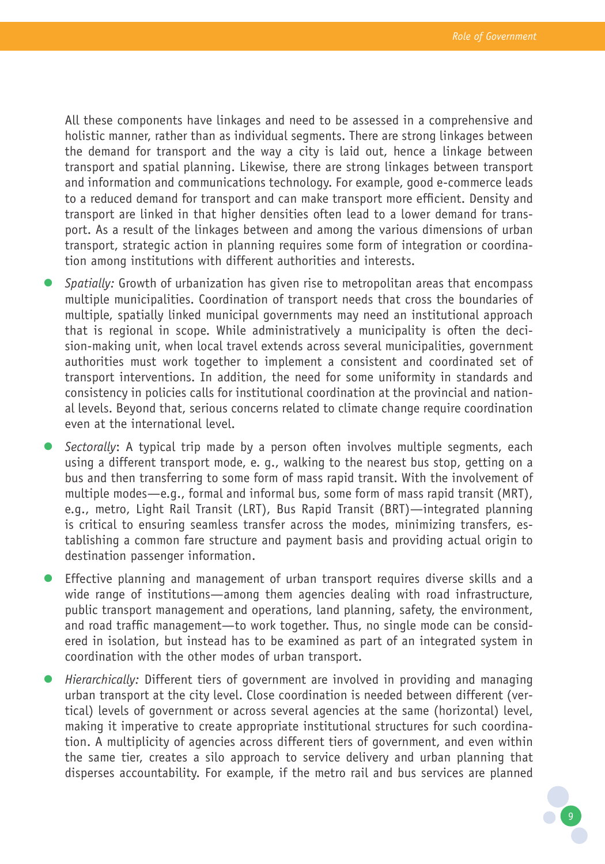All these components have linkages and need to be assessed in a comprehensive and holistic manner, rather than as individual segments. There are strong linkages between the demand for transport and the way a city is laid out, hence a linkage between transport and spatial planning. Likewise, there are strong linkages between transport and information and communications technology. For example, good e-commerce leads to a reduced demand for transport and can make transport more efficient. Density and transport are linked in that higher densities often lead to a lower demand for transport. As a result of the linkages between and among the various dimensions of urban transport, strategic action in planning requires some form of integration or coordination among institutions with different authorities and interests.

- l *Spatially:* Growth of urbanization has given rise to metropolitan areas that encompass multiple municipalities. Coordination of transport needs that cross the boundaries of multiple, spatially linked municipal governments may need an institutional approach that is regional in scope. While administratively a municipality is often the decision-making unit, when local travel extends across several municipalities, government authorities must work together to implement a consistent and coordinated set of transport interventions. In addition, the need for some uniformity in standards and consistency in policies calls for institutional coordination at the provincial and national levels. Beyond that, serious concerns related to climate change require coordination even at the international level.
- Sectorally: A typical trip made by a person often involves multiple segments, each using a different transport mode, e. g., walking to the nearest bus stop, getting on a bus and then transferring to some form of mass rapid transit. With the involvement of multiple modes—e.g., formal and informal bus, some form of mass rapid transit (MRT), e.g., metro, Light Rail Transit (LRT), Bus Rapid Transit (BRT)—integrated planning is critical to ensuring seamless transfer across the modes, minimizing transfers, establishing a common fare structure and payment basis and providing actual origin to destination passenger information.
- l Effective planning and management of urban transport requires diverse skills and a wide range of institutions—among them agencies dealing with road infrastructure, public transport management and operations, land planning, safety, the environment, and road traffic management—to work together. Thus, no single mode can be considered in isolation, but instead has to be examined as part of an integrated system in coordination with the other modes of urban transport.
- *Hierarchically:* Different tiers of government are involved in providing and managing urban transport at the city level. Close coordination is needed between different (vertical) levels of government or across several agencies at the same (horizontal) level, making it imperative to create appropriate institutional structures for such coordination. A multiplicity of agencies across different tiers of government, and even within the same tier, creates a silo approach to service delivery and urban planning that disperses accountability. For example, if the metro rail and bus services are planned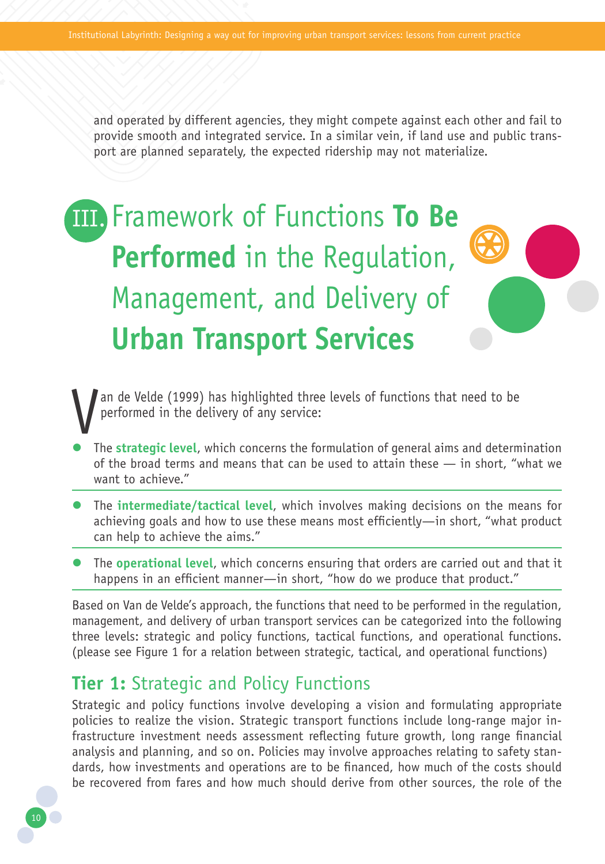and operated by different agencies, they might compete against each other and fail to provide smooth and integrated service. In a similar vein, if land use and public transport are planned separately, the expected ridership may not materialize.

## **III.** Framework of Functions To Be **Performed** in the Regulation, Management, and Delivery of **Urban Transport Services**

an de Velde (1999) has highlighted three levels of functions that need to be performed in the delivery of any service:

- l The **strategic level**, which concerns the formulation of general aims and determination of the broad terms and means that can be used to attain these  $-$  in short, "what we want to achieve."
- **•** The **intermediate/tactical level**, which involves making decisions on the means for achieving goals and how to use these means most efficiently—in short, "what product can help to achieve the aims."
- **•** The **operational level**, which concerns ensuring that orders are carried out and that it happens in an efficient manner—in short, "how do we produce that product."

Based on Van de Velde's approach, the functions that need to be performed in the regulation, management, and delivery of urban transport services can be categorized into the following three levels: strategic and policy functions, tactical functions, and operational functions. (please see Figure 1 for a relation between strategic, tactical, and operational functions)

### **Tier 1:** Strategic and Policy Functions

Strategic and policy functions involve developing a vision and formulating appropriate policies to realize the vision. Strategic transport functions include long-range major infrastructure investment needs assessment reflecting future growth, long range financial analysis and planning, and so on. Policies may involve approaches relating to safety standards, how investments and operations are to be financed, how much of the costs should be recovered from fares and how much should derive from other sources, the role of the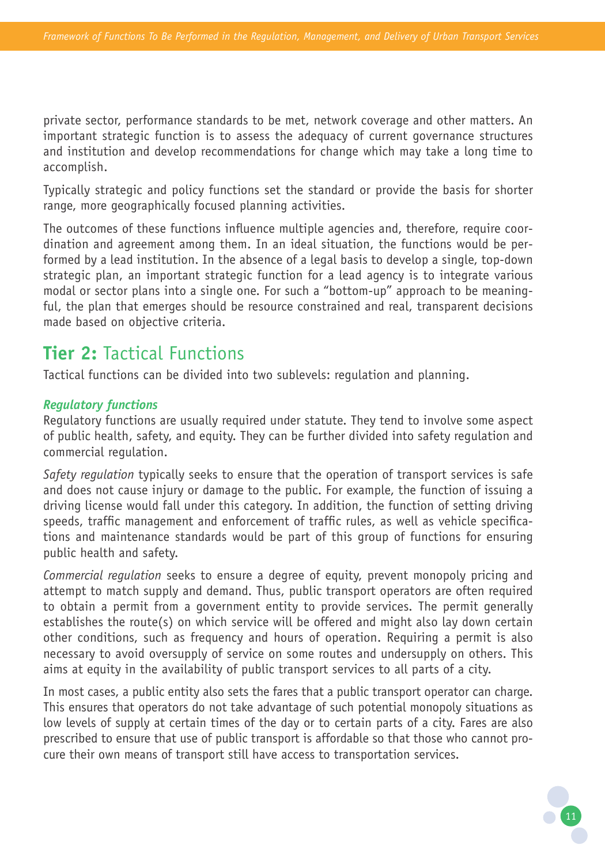private sector, performance standards to be met, network coverage and other matters. An important strategic function is to assess the adequacy of current governance structures and institution and develop recommendations for change which may take a long time to accomplish.

Typically strategic and policy functions set the standard or provide the basis for shorter range, more geographically focused planning activities.

The outcomes of these functions influence multiple agencies and, therefore, require coordination and agreement among them. In an ideal situation, the functions would be performed by a lead institution. In the absence of a legal basis to develop a single, top-down strategic plan, an important strategic function for a lead agency is to integrate various modal or sector plans into a single one. For such a "bottom-up" approach to be meaningful, the plan that emerges should be resource constrained and real, transparent decisions made based on objective criteria.

## **Tier 2:** Tactical Functions

Tactical functions can be divided into two sublevels: regulation and planning.

#### *Regulatory functions*

Regulatory functions are usually required under statute. They tend to involve some aspect of public health, safety, and equity. They can be further divided into safety regulation and commercial regulation.

*Safety regulation* typically seeks to ensure that the operation of transport services is safe and does not cause injury or damage to the public. For example, the function of issuing a driving license would fall under this category. In addition, the function of setting driving speeds, traffic management and enforcement of traffic rules, as well as vehicle specifications and maintenance standards would be part of this group of functions for ensuring public health and safety.

*Commercial regulation* seeks to ensure a degree of equity, prevent monopoly pricing and attempt to match supply and demand. Thus, public transport operators are often required to obtain a permit from a government entity to provide services. The permit generally establishes the route(s) on which service will be offered and might also lay down certain other conditions, such as frequency and hours of operation. Requiring a permit is also necessary to avoid oversupply of service on some routes and undersupply on others. This aims at equity in the availability of public transport services to all parts of a city.

In most cases, a public entity also sets the fares that a public transport operator can charge. This ensures that operators do not take advantage of such potential monopoly situations as low levels of supply at certain times of the day or to certain parts of a city. Fares are also prescribed to ensure that use of public transport is affordable so that those who cannot procure their own means of transport still have access to transportation services.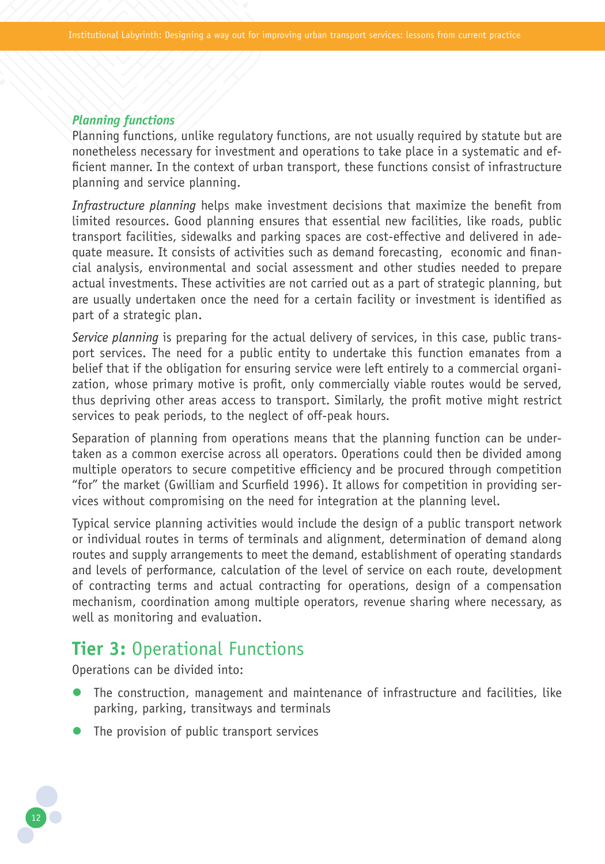#### *Planning functions*

Planning functions, unlike regulatory functions, are not usually required by statute but are nonetheless necessary for investment and operations to take place in a systematic and efficient manner. In the context of urban transport, these functions consist of infrastructure planning and service planning.

*Infrastructure planning* helps make investment decisions that maximize the benefit from limited resources. Good planning ensures that essential new facilities, like roads, public transport facilities, sidewalks and parking spaces are cost-effective and delivered in adequate measure. It consists of activities such as demand forecasting, economic and financial analysis, environmental and social assessment and other studies needed to prepare actual investments. These activities are not carried out as a part of strategic planning, but are usually undertaken once the need for a certain facility or investment is identified as part of a strategic plan.

*Service planning* is preparing for the actual delivery of services, in this case, public transport services. The need for a public entity to undertake this function emanates from a belief that if the obligation for ensuring service were left entirely to a commercial organization, whose primary motive is profit, only commercially viable routes would be served, thus depriving other areas access to transport. Similarly, the profit motive might restrict services to peak periods, to the neglect of off-peak hours.

Separation of planning from operations means that the planning function can be undertaken as a common exercise across all operators. Operations could then be divided among multiple operators to secure competitive efficiency and be procured through competition "for" the market (Gwilliam and Scurfield 1996). It allows for competition in providing services without compromising on the need for integration at the planning level.

Typical service planning activities would include the design of a public transport network or individual routes in terms of terminals and alignment, determination of demand along routes and supply arrangements to meet the demand, establishment of operating standards and levels of performance, calculation of the level of service on each route, development of contracting terms and actual contracting for operations, design of a compensation mechanism, coordination among multiple operators, revenue sharing where necessary, as well as monitoring and evaluation.

### **Tier 3: Operational Functions**

Operations can be divided into:

- The construction, management and maintenance of infrastructure and facilities, like parking, parking, transitways and terminals
- $\bullet$  The provision of public transport services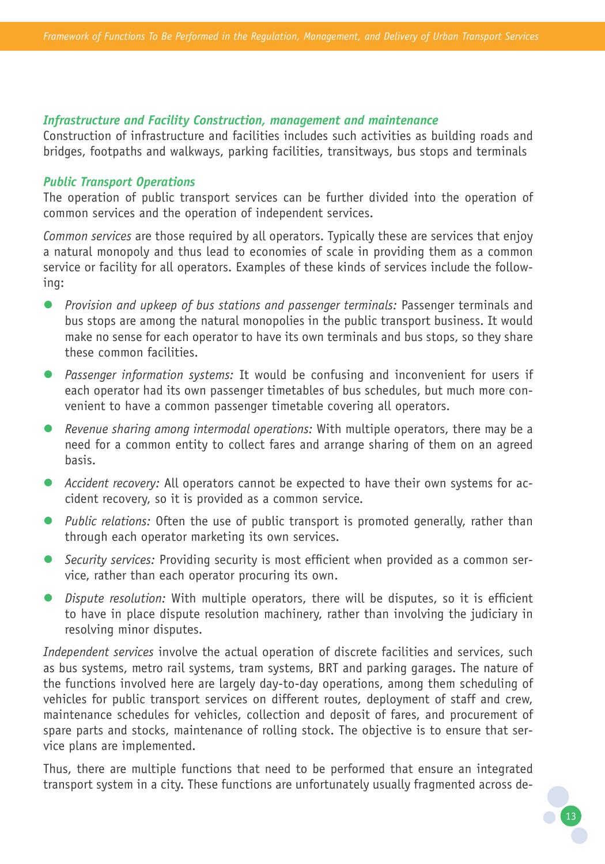#### *Infrastructure and Facility Construction, management and maintenance*

Construction of infrastructure and facilities includes such activities as building roads and bridges, footpaths and walkways, parking facilities, transitways, bus stops and terminals

#### *Public Transport Operations*

The operation of public transport services can be further divided into the operation of common services and the operation of independent services.

*Common services* are those required by all operators. Typically these are services that enjoy a natural monopoly and thus lead to economies of scale in providing them as a common service or facility for all operators. Examples of these kinds of services include the following:

- **•** Provision and upkeep of bus stations and passenger terminals: Passenger terminals and bus stops are among the natural monopolies in the public transport business. It would make no sense for each operator to have its own terminals and bus stops, so they share these common facilities.
- **•** Passenger information systems: It would be confusing and inconvenient for users if each operator had its own passenger timetables of bus schedules, but much more convenient to have a common passenger timetable covering all operators.
- l *Revenue sharing among intermodal operations:* With multiple operators, there may be a need for a common entity to collect fares and arrange sharing of them on an agreed basis.
- l *Accident recovery:* All operators cannot be expected to have their own systems for accident recovery, so it is provided as a common service.
- *Public relations:* Often the use of public transport is promoted generally, rather than through each operator marketing its own services.
- **•** *Security services:* Providing security is most efficient when provided as a common service, rather than each operator procuring its own.
- **•** Dispute resolution: With multiple operators, there will be disputes, so it is efficient to have in place dispute resolution machinery, rather than involving the judiciary in resolving minor disputes.

*Independent services* involve the actual operation of discrete facilities and services, such as bus systems, metro rail systems, tram systems, BRT and parking garages. The nature of the functions involved here are largely day-to-day operations, among them scheduling of vehicles for public transport services on different routes, deployment of staff and crew, maintenance schedules for vehicles, collection and deposit of fares, and procurement of spare parts and stocks, maintenance of rolling stock. The objective is to ensure that service plans are implemented.

Thus, there are multiple functions that need to be performed that ensure an integrated transport system in a city. These functions are unfortunately usually fragmented across de-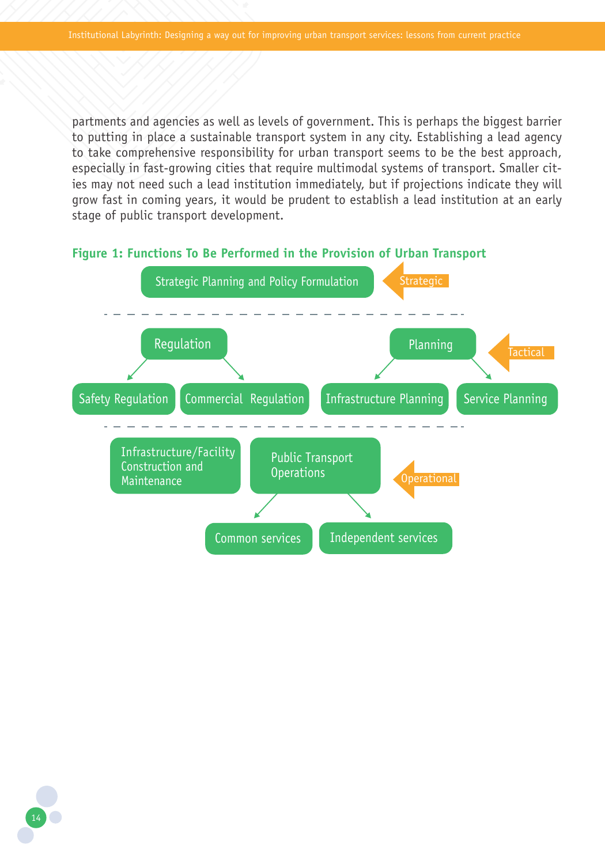partments and agencies as well as levels of government. This is perhaps the biggest barrier to putting in place a sustainable transport system in any city. Establishing a lead agency to take comprehensive responsibility for urban transport seems to be the best approach, especially in fast-growing cities that require multimodal systems of transport. Smaller cities may not need such a lead institution immediately, but if projections indicate they will grow fast in coming years, it would be prudent to establish a lead institution at an early stage of public transport development.



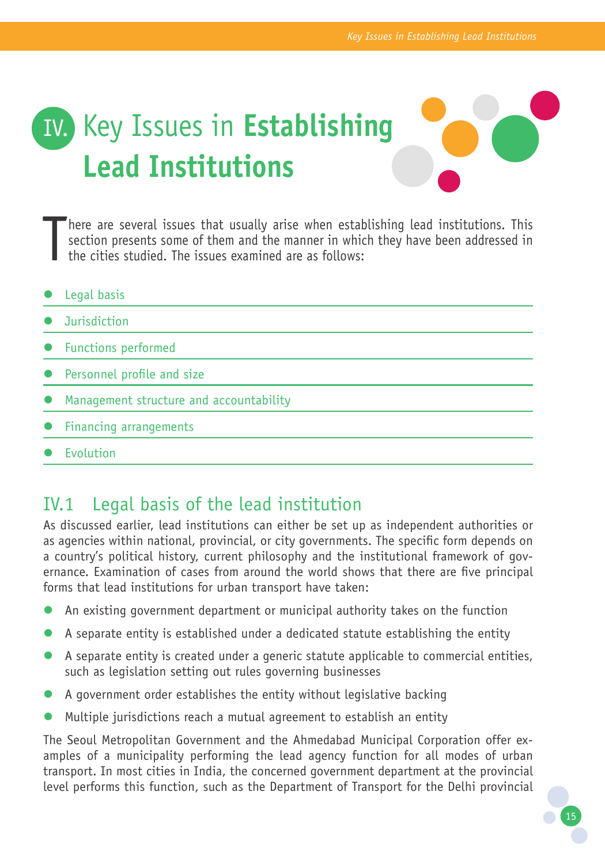## IV. Key Issues in **Establishing Lead Institutions**

T here are several issues that usually arise when establishing lead institutions. This section presents some of them and the manner in which they have been addressed in the cities studied. The issues examined are as follows:

- l Legal basis
- **Jurisdiction**
- **Functions performed**
- Personnel profile and size
- Management structure and accountability
- Financing arrangements
- **Evolution**

## IV.1 Legal basis of the lead institution

As discussed earlier, lead institutions can either be set up as independent authorities or as agencies within national, provincial, or city governments. The specific form depends on a country's political history, current philosophy and the institutional framework of governance. Examination of cases from around the world shows that there are five principal forms that lead institutions for urban transport have taken:

- l An existing government department or municipal authority takes on the function
- l A separate entity is established under a dedicated statute establishing the entity
- **•** A separate entity is created under a generic statute applicable to commercial entities, such as legislation setting out rules governing businesses
- l A government order establishes the entity without legislative backing
- Multiple jurisdictions reach a mutual agreement to establish an entity

The Seoul Metropolitan Government and the Ahmedabad Municipal Corporation offer examples of a municipality performing the lead agency function for all modes of urban transport. In most cities in India, the concerned government department at the provincial level performs this function, such as the Department of Transport for the Delhi provincial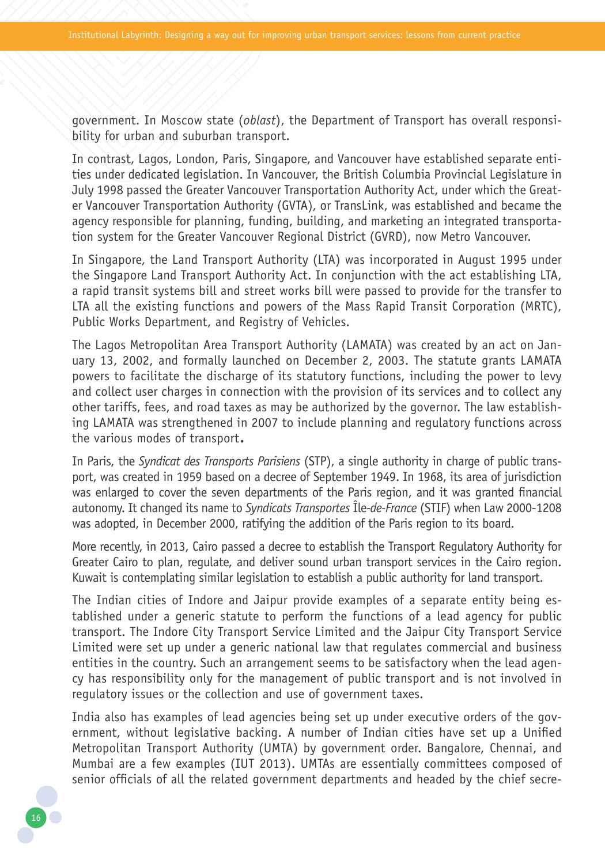government. In Moscow state (*oblast*), the Department of Transport has overall responsibility for urban and suburban transport.

In contrast, Lagos, London, Paris, Singapore, and Vancouver have established separate entities under dedicated legislation. In Vancouver, the British Columbia Provincial Legislature in July 1998 passed the Greater Vancouver Transportation Authority Act, under which the Greater Vancouver Transportation Authority (GVTA), or TransLink, was established and became the agency responsible for planning, funding, building, and marketing an integrated transportation system for the Greater Vancouver Regional District (GVRD), now Metro Vancouver.

In Singapore, the Land Transport Authority (LTA) was incorporated in August 1995 under the Singapore Land Transport Authority Act. In conjunction with the act establishing LTA, a rapid transit systems bill and street works bill were passed to provide for the transfer to LTA all the existing functions and powers of the Mass Rapid Transit Corporation (MRTC), Public Works Department, and Registry of Vehicles.

The Lagos Metropolitan Area Transport Authority (LAMATA) was created by an act on January 13, 2002, and formally launched on December 2, 2003. The statute grants LAMATA powers to facilitate the discharge of its statutory functions, including the power to levy and collect user charges in connection with the provision of its services and to collect any other tariffs, fees, and road taxes as may be authorized by the governor. The law establishing LAMATA was strengthened in 2007 to include planning and regulatory functions across the various modes of transport.

In Paris, the *Syndicat des Transports Parisiens* (STP), a single authority in charge of public transport, was created in 1959 based on a decree of September 1949. In 1968, its area of jurisdiction was enlarged to cover the seven departments of the Paris region, and it was granted financial autonomy. It changed its name to *Syndicats Transportes* Île*-de-France* (STIF) when Law 2000-1208 was adopted, in December 2000, ratifying the addition of the Paris region to its board.

More recently, in 2013, Cairo passed a decree to establish the Transport Regulatory Authority for Greater Cairo to plan, regulate, and deliver sound urban transport services in the Cairo region. Kuwait is contemplating similar legislation to establish a public authority for land transport.

The Indian cities of Indore and Jaipur provide examples of a separate entity being established under a generic statute to perform the functions of a lead agency for public transport. The Indore City Transport Service Limited and the Jaipur City Transport Service Limited were set up under a generic national law that regulates commercial and business entities in the country. Such an arrangement seems to be satisfactory when the lead agency has responsibility only for the management of public transport and is not involved in regulatory issues or the collection and use of government taxes.

India also has examples of lead agencies being set up under executive orders of the government, without legislative backing. A number of Indian cities have set up a Unified Metropolitan Transport Authority (UMTA) by government order. Bangalore, Chennai, and Mumbai are a few examples (IUT 2013). UMTAs are essentially committees composed of senior officials of all the related government departments and headed by the chief secre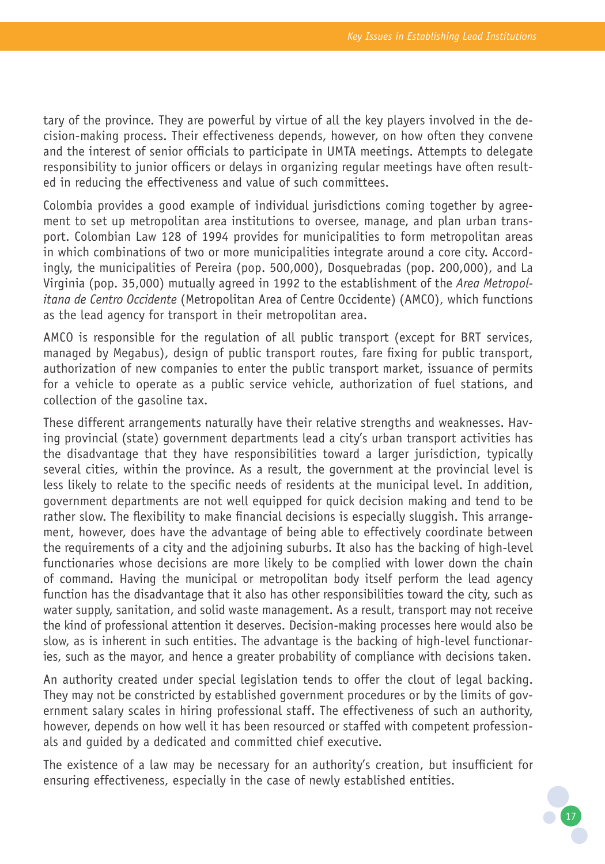tary of the province. They are powerful by virtue of all the key players involved in the decision-making process. Their effectiveness depends, however, on how often they convene and the interest of senior officials to participate in UMTA meetings. Attempts to delegate responsibility to junior officers or delays in organizing regular meetings have often resulted in reducing the effectiveness and value of such committees.

Colombia provides a good example of individual jurisdictions coming together by agreement to set up metropolitan area institutions to oversee, manage, and plan urban transport. Colombian Law 128 of 1994 provides for municipalities to form metropolitan areas in which combinations of two or more municipalities integrate around a core city. Accordingly, the municipalities of Pereira (pop. 500,000), Dosquebradas (pop. 200,000), and La Virginia (pop. 35,000) mutually agreed in 1992 to the establishment of the *Area Metropolitana de Centro Occidente* (Metropolitan Area of Centre Occidente) (AMCO), which functions as the lead agency for transport in their metropolitan area.

AMCO is responsible for the regulation of all public transport (except for BRT services, managed by Megabus), design of public transport routes, fare fixing for public transport, authorization of new companies to enter the public transport market, issuance of permits for a vehicle to operate as a public service vehicle, authorization of fuel stations, and collection of the gasoline tax.

These different arrangements naturally have their relative strengths and weaknesses. Having provincial (state) government departments lead a city's urban transport activities has the disadvantage that they have responsibilities toward a larger jurisdiction, typically several cities, within the province. As a result, the government at the provincial level is less likely to relate to the specific needs of residents at the municipal level. In addition, government departments are not well equipped for quick decision making and tend to be rather slow. The flexibility to make financial decisions is especially sluggish. This arrangement, however, does have the advantage of being able to effectively coordinate between the requirements of a city and the adjoining suburbs. It also has the backing of high-level functionaries whose decisions are more likely to be complied with lower down the chain of command. Having the municipal or metropolitan body itself perform the lead agency function has the disadvantage that it also has other responsibilities toward the city, such as water supply, sanitation, and solid waste management. As a result, transport may not receive the kind of professional attention it deserves. Decision-making processes here would also be slow, as is inherent in such entities. The advantage is the backing of high-level functionaries, such as the mayor, and hence a greater probability of compliance with decisions taken.

An authority created under special legislation tends to offer the clout of legal backing. They may not be constricted by established government procedures or by the limits of government salary scales in hiring professional staff. The effectiveness of such an authority, however, depends on how well it has been resourced or staffed with competent professionals and guided by a dedicated and committed chief executive.

The existence of a law may be necessary for an authority's creation, but insufficient for ensuring effectiveness, especially in the case of newly established entities.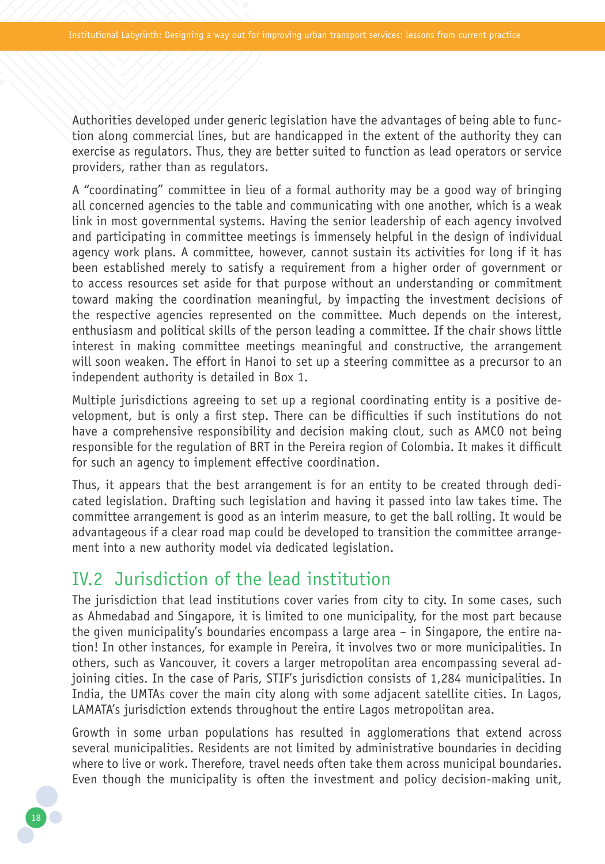Authorities developed under generic legislation have the advantages of being able to function along commercial lines, but are handicapped in the extent of the authority they can exercise as regulators. Thus, they are better suited to function as lead operators or service providers, rather than as regulators.

A "coordinating" committee in lieu of a formal authority may be a good way of bringing all concerned agencies to the table and communicating with one another, which is a weak link in most governmental systems. Having the senior leadership of each agency involved and participating in committee meetings is immensely helpful in the design of individual agency work plans. A committee, however, cannot sustain its activities for long if it has been established merely to satisfy a requirement from a higher order of government or to access resources set aside for that purpose without an understanding or commitment toward making the coordination meaningful, by impacting the investment decisions of the respective agencies represented on the committee. Much depends on the interest, enthusiasm and political skills of the person leading a committee. If the chair shows little interest in making committee meetings meaningful and constructive, the arrangement will soon weaken. The effort in Hanoi to set up a steering committee as a precursor to an independent authority is detailed in Box 1.

Multiple jurisdictions agreeing to set up a regional coordinating entity is a positive development, but is only a first step. There can be difficulties if such institutions do not have a comprehensive responsibility and decision making clout, such as AMCO not being responsible for the regulation of BRT in the Pereira region of Colombia. It makes it difficult for such an agency to implement effective coordination.

Thus, it appears that the best arrangement is for an entity to be created through dedicated legislation. Drafting such legislation and having it passed into law takes time. The committee arrangement is good as an interim measure, to get the ball rolling. It would be advantageous if a clear road map could be developed to transition the committee arrangement into a new authority model via dedicated legislation.

### IV.2 Jurisdiction of the lead institution

The jurisdiction that lead institutions cover varies from city to city. In some cases, such as Ahmedabad and Singapore, it is limited to one municipality, for the most part because the given municipality's boundaries encompass a large area – in Singapore, the entire nation! In other instances, for example in Pereira, it involves two or more municipalities. In others, such as Vancouver, it covers a larger metropolitan area encompassing several adjoining cities. In the case of Paris, STIF's jurisdiction consists of 1,284 municipalities. In India, the UMTAs cover the main city along with some adjacent satellite cities. In Lagos, LAMATA's jurisdiction extends throughout the entire Lagos metropolitan area.

Growth in some urban populations has resulted in agglomerations that extend across several municipalities. Residents are not limited by administrative boundaries in deciding where to live or work. Therefore, travel needs often take them across municipal boundaries. Even though the municipality is often the investment and policy decision-making unit,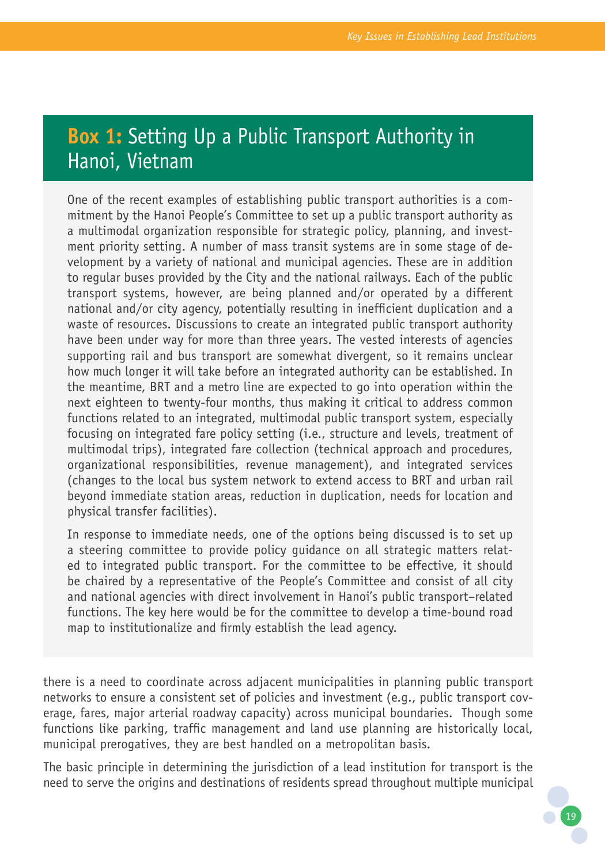## **Box 1:** Setting Up a Public Transport Authority in Hanoi, Vietnam

One of the recent examples of establishing public transport authorities is a commitment by the Hanoi People's Committee to set up a public transport authority as a multimodal organization responsible for strategic policy, planning, and investment priority setting. A number of mass transit systems are in some stage of development by a variety of national and municipal agencies. These are in addition to regular buses provided by the City and the national railways. Each of the public transport systems, however, are being planned and/or operated by a different national and/or city agency, potentially resulting in inefficient duplication and a waste of resources. Discussions to create an integrated public transport authority have been under way for more than three years. The vested interests of agencies supporting rail and bus transport are somewhat divergent, so it remains unclear how much longer it will take before an integrated authority can be established. In the meantime, BRT and a metro line are expected to go into operation within the next eighteen to twenty-four months, thus making it critical to address common functions related to an integrated, multimodal public transport system, especially focusing on integrated fare policy setting (i.e., structure and levels, treatment of multimodal trips), integrated fare collection (technical approach and procedures, organizational responsibilities, revenue management), and integrated services (changes to the local bus system network to extend access to BRT and urban rail beyond immediate station areas, reduction in duplication, needs for location and physical transfer facilities).

In response to immediate needs, one of the options being discussed is to set up a steering committee to provide policy guidance on all strategic matters related to integrated public transport. For the committee to be effective, it should be chaired by a representative of the People's Committee and consist of all city and national agencies with direct involvement in Hanoi's public transport–related functions. The key here would be for the committee to develop a time-bound road map to institutionalize and firmly establish the lead agency.

there is a need to coordinate across adjacent municipalities in planning public transport networks to ensure a consistent set of policies and investment (e.g., public transport coverage, fares, major arterial roadway capacity) across municipal boundaries. Though some functions like parking, traffic management and land use planning are historically local, municipal prerogatives, they are best handled on a metropolitan basis.

The basic principle in determining the jurisdiction of a lead institution for transport is the need to serve the origins and destinations of residents spread throughout multiple municipal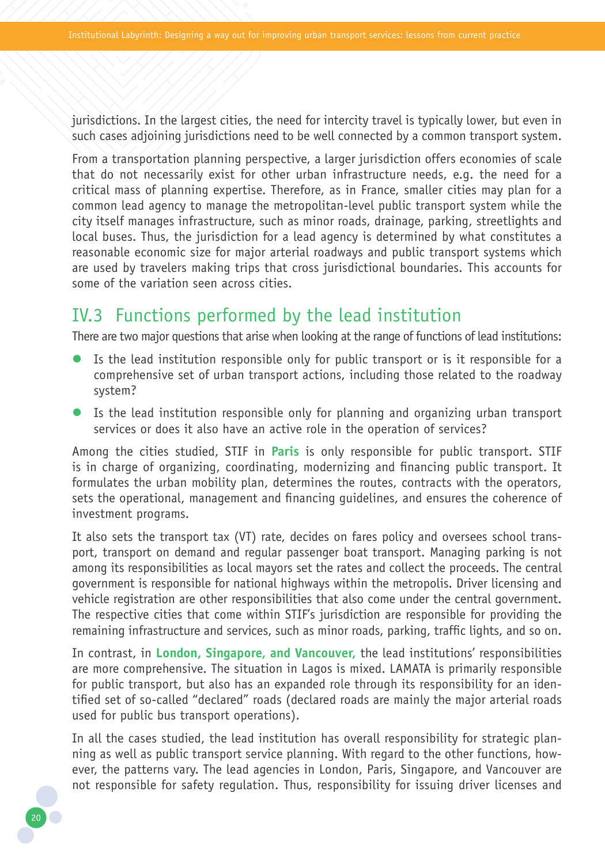jurisdictions. In the largest cities, the need for intercity travel is typically lower, but even in such cases adjoining jurisdictions need to be well connected by a common transport system.

From a transportation planning perspective, a larger jurisdiction offers economies of scale that do not necessarily exist for other urban infrastructure needs, e.g. the need for a critical mass of planning expertise. Therefore, as in France, smaller cities may plan for a common lead agency to manage the metropolitan-level public transport system while the city itself manages infrastructure, such as minor roads, drainage, parking, streetlights and local buses. Thus, the jurisdiction for a lead agency is determined by what constitutes a reasonable economic size for major arterial roadways and public transport systems which are used by travelers making trips that cross jurisdictional boundaries. This accounts for some of the variation seen across cities.

## IV.3 Functions performed by the lead institution

There are two major questions that arise when looking at the range of functions of lead institutions:

- Is the lead institution responsible only for public transport or is it responsible for a comprehensive set of urban transport actions, including those related to the roadway system?
- Is the lead institution responsible only for planning and organizing urban transport services or does it also have an active role in the operation of services?

Among the cities studied, STIF in **Paris** is only responsible for public transport. STIF is in charge of organizing, coordinating, modernizing and financing public transport. It formulates the urban mobility plan, determines the routes, contracts with the operators, sets the operational, management and financing guidelines, and ensures the coherence of investment programs.

It also sets the transport tax (VT) rate, decides on fares policy and oversees school transport, transport on demand and regular passenger boat transport. Managing parking is not among its responsibilities as local mayors set the rates and collect the proceeds. The central government is responsible for national highways within the metropolis. Driver licensing and vehicle registration are other responsibilities that also come under the central government. The respective cities that come within STIF's jurisdiction are responsible for providing the remaining infrastructure and services, such as minor roads, parking, traffic lights, and so on.

In contrast, in **London, Singapore, and Vancouver,** the lead institutions' responsibilities are more comprehensive. The situation in Lagos is mixed. LAMATA is primarily responsible for public transport, but also has an expanded role through its responsibility for an identified set of so-called "declared" roads (declared roads are mainly the major arterial roads used for public bus transport operations).

In all the cases studied, the lead institution has overall responsibility for strategic planning as well as public transport service planning. With regard to the other functions, however, the patterns vary. The lead agencies in London, Paris, Singapore, and Vancouver are not responsible for safety regulation. Thus, responsibility for issuing driver licenses and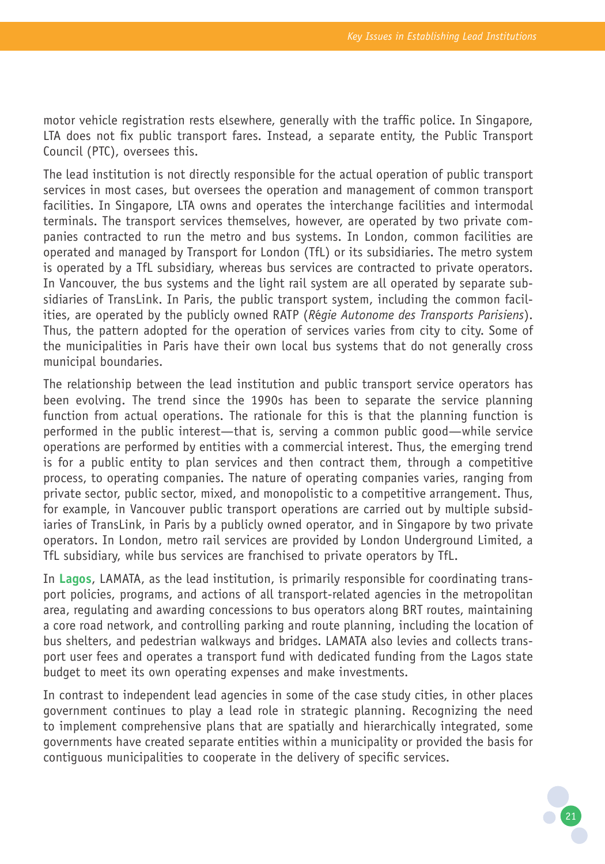motor vehicle registration rests elsewhere, generally with the traffic police. In Singapore, LTA does not fix public transport fares. Instead, a separate entity, the Public Transport Council (PTC), oversees this.

The lead institution is not directly responsible for the actual operation of public transport services in most cases, but oversees the operation and management of common transport facilities. In Singapore, LTA owns and operates the interchange facilities and intermodal terminals. The transport services themselves, however, are operated by two private companies contracted to run the metro and bus systems. In London, common facilities are operated and managed by Transport for London (TfL) or its subsidiaries. The metro system is operated by a TfL subsidiary, whereas bus services are contracted to private operators. In Vancouver, the bus systems and the light rail system are all operated by separate subsidiaries of TransLink. In Paris, the public transport system, including the common facilities, are operated by the publicly owned RATP (*R*é*gie Autonome des Transports Parisiens*). Thus, the pattern adopted for the operation of services varies from city to city. Some of the municipalities in Paris have their own local bus systems that do not generally cross municipal boundaries.

The relationship between the lead institution and public transport service operators has been evolving. The trend since the 1990s has been to separate the service planning function from actual operations. The rationale for this is that the planning function is performed in the public interest—that is, serving a common public good—while service operations are performed by entities with a commercial interest. Thus, the emerging trend is for a public entity to plan services and then contract them, through a competitive process, to operating companies. The nature of operating companies varies, ranging from private sector, public sector, mixed, and monopolistic to a competitive arrangement. Thus, for example, in Vancouver public transport operations are carried out by multiple subsidiaries of TransLink, in Paris by a publicly owned operator, and in Singapore by two private operators. In London, metro rail services are provided by London Underground Limited, a TfL subsidiary, while bus services are franchised to private operators by TfL.

In **Lagos**, LAMATA, as the lead institution, is primarily responsible for coordinating transport policies, programs, and actions of all transport-related agencies in the metropolitan area, regulating and awarding concessions to bus operators along BRT routes, maintaining a core road network, and controlling parking and route planning, including the location of bus shelters, and pedestrian walkways and bridges. LAMATA also levies and collects transport user fees and operates a transport fund with dedicated funding from the Lagos state budget to meet its own operating expenses and make investments.

In contrast to independent lead agencies in some of the case study cities, in other places government continues to play a lead role in strategic planning. Recognizing the need to implement comprehensive plans that are spatially and hierarchically integrated, some governments have created separate entities within a municipality or provided the basis for contiguous municipalities to cooperate in the delivery of specific services.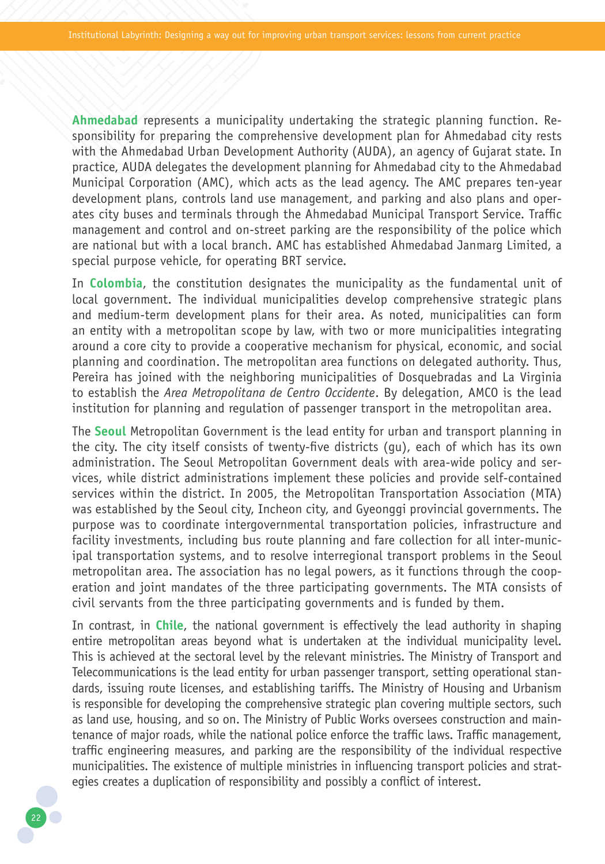**Ahmedabad** represents a municipality undertaking the strategic planning function. Responsibility for preparing the comprehensive development plan for Ahmedabad city rests with the Ahmedabad Urban Development Authority (AUDA), an agency of Gujarat state. In practice, AUDA delegates the development planning for Ahmedabad city to the Ahmedabad Municipal Corporation (AMC), which acts as the lead agency. The AMC prepares ten-year development plans, controls land use management, and parking and also plans and operates city buses and terminals through the Ahmedabad Municipal Transport Service. Traffic management and control and on-street parking are the responsibility of the police which are national but with a local branch. AMC has established Ahmedabad Janmarg Limited, a special purpose vehicle, for operating BRT service.

In **Colombia**, the constitution designates the municipality as the fundamental unit of local government. The individual municipalities develop comprehensive strategic plans and medium-term development plans for their area. As noted, municipalities can form an entity with a metropolitan scope by law, with two or more municipalities integrating around a core city to provide a cooperative mechanism for physical, economic, and social planning and coordination. The metropolitan area functions on delegated authority. Thus, Pereira has joined with the neighboring municipalities of Dosquebradas and La Virginia to establish the *Area Metropolitana de Centro Occidente*. By delegation, AMCO is the lead institution for planning and regulation of passenger transport in the metropolitan area.

The **Seoul** Metropolitan Government is the lead entity for urban and transport planning in the city. The city itself consists of twenty-five districts (gu), each of which has its own administration. The Seoul Metropolitan Government deals with area-wide policy and services, while district administrations implement these policies and provide self-contained services within the district. In 2005, the Metropolitan Transportation Association (MTA) was established by the Seoul city, Incheon city, and Gyeonggi provincial governments. The purpose was to coordinate intergovernmental transportation policies, infrastructure and facility investments, including bus route planning and fare collection for all inter-municipal transportation systems, and to resolve interregional transport problems in the Seoul metropolitan area. The association has no legal powers, as it functions through the cooperation and joint mandates of the three participating governments. The MTA consists of civil servants from the three participating governments and is funded by them.

In contrast, in **Chile**, the national government is effectively the lead authority in shaping entire metropolitan areas beyond what is undertaken at the individual municipality level. This is achieved at the sectoral level by the relevant ministries. The Ministry of Transport and Telecommunications is the lead entity for urban passenger transport, setting operational standards, issuing route licenses, and establishing tariffs. The Ministry of Housing and Urbanism is responsible for developing the comprehensive strategic plan covering multiple sectors, such as land use, housing, and so on. The Ministry of Public Works oversees construction and maintenance of major roads, while the national police enforce the traffic laws. Traffic management, traffic engineering measures, and parking are the responsibility of the individual respective municipalities. The existence of multiple ministries in influencing transport policies and strategies creates a duplication of responsibility and possibly a conflict of interest.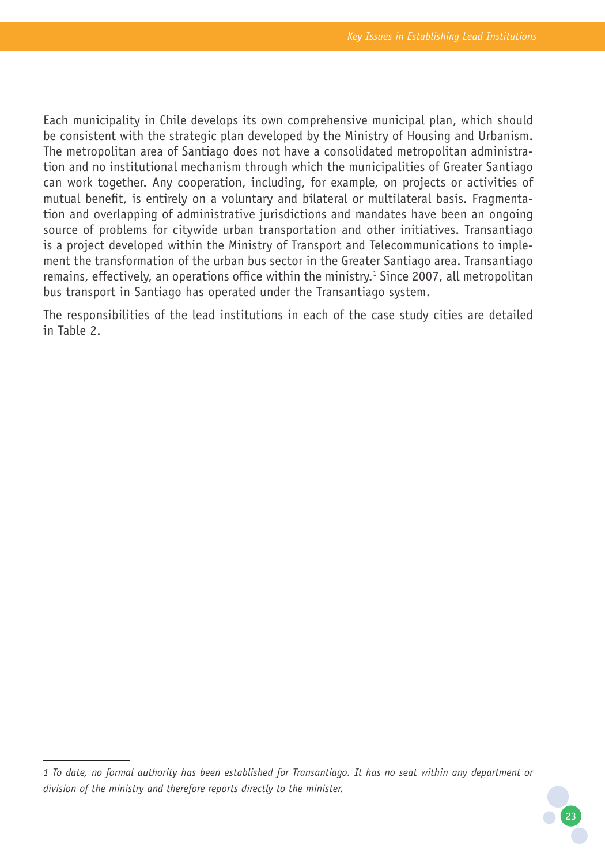Each municipality in Chile develops its own comprehensive municipal plan, which should be consistent with the strategic plan developed by the Ministry of Housing and Urbanism. The metropolitan area of Santiago does not have a consolidated metropolitan administration and no institutional mechanism through which the municipalities of Greater Santiago can work together. Any cooperation, including, for example, on projects or activities of mutual benefit, is entirely on a voluntary and bilateral or multilateral basis. Fragmentation and overlapping of administrative jurisdictions and mandates have been an ongoing source of problems for citywide urban transportation and other initiatives. Transantiago is a project developed within the Ministry of Transport and Telecommunications to implement the transformation of the urban bus sector in the Greater Santiago area. Transantiago remains, effectively, an operations office within the ministry.<sup>1</sup> Since 2007, all metropolitan bus transport in Santiago has operated under the Transantiago system.

The responsibilities of the lead institutions in each of the case study cities are detailed in Table 2.

*<sup>1</sup> To date, no formal authority has been established for Transantiago. It has no seat within any department or division of the ministry and therefore reports directly to the minister.*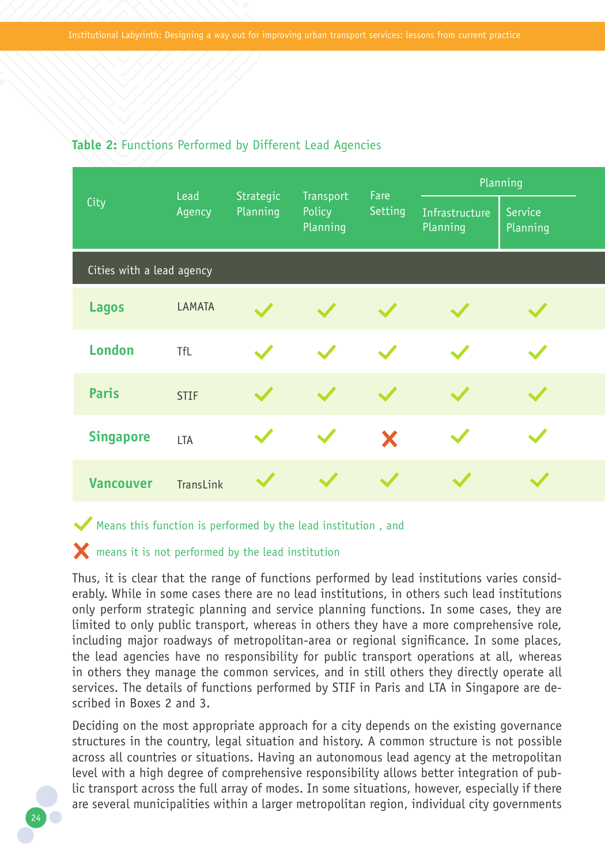|                                                                                            |               |         |                            | Planning                   |  |  |
|--------------------------------------------------------------------------------------------|---------------|---------|----------------------------|----------------------------|--|--|
| Lead<br>Strategic<br>Transport<br>Fare<br>City<br>Planning<br>Policy<br>Agency<br>Planning |               | Setting | Infrastructure<br>Planning | <b>Service</b><br>Planning |  |  |
| Cities with a lead agency                                                                  |               |         |                            |                            |  |  |
| <b>Lagos</b>                                                                               | <b>LAMATA</b> |         |                            |                            |  |  |
| <b>London</b>                                                                              | <b>TfL</b>    |         |                            |                            |  |  |
| <b>Paris</b>                                                                               | <b>STIF</b>   |         |                            |                            |  |  |
| <b>Singapore</b>                                                                           | <b>LTA</b>    |         | X                          |                            |  |  |
| <b>Vancouver</b>                                                                           | TransLink     |         |                            |                            |  |  |

#### **Table 2:** Functions Performed by Different Lead Agencies

Means this function is performed by the lead institution, and

#### **X** means it is not performed by the lead institution

Thus, it is clear that the range of functions performed by lead institutions varies considerably. While in some cases there are no lead institutions, in others such lead institutions only perform strategic planning and service planning functions. In some cases, they are limited to only public transport, whereas in others they have a more comprehensive role, including major roadways of metropolitan-area or regional significance. In some places, the lead agencies have no responsibility for public transport operations at all, whereas in others they manage the common services, and in still others they directly operate all services. The details of functions performed by STIF in Paris and LTA in Singapore are described in Boxes 2 and 3.

Deciding on the most appropriate approach for a city depends on the existing governance structures in the country, legal situation and history. A common structure is not possible across all countries or situations. Having an autonomous lead agency at the metropolitan level with a high degree of comprehensive responsibility allows better integration of public transport across the full array of modes. In some situations, however, especially if there are several municipalities within a larger metropolitan region, individual city governments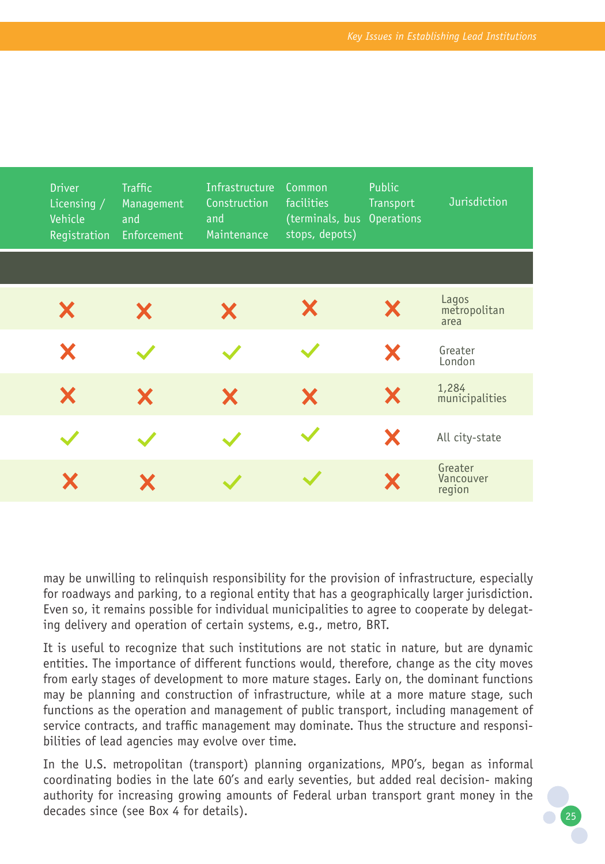| <b>Driver</b><br>Licensing $/$<br>Vehicle<br>Registration | <b>Traffic</b><br>Management<br>and<br>Enforcement | Infrastructure<br>Construction<br>and<br>Maintenance | Common<br>facilities<br>(terminals, bus<br>stops, depots) | Public<br>Transport<br><b>Operations</b> | Jurisdiction                   |
|-----------------------------------------------------------|----------------------------------------------------|------------------------------------------------------|-----------------------------------------------------------|------------------------------------------|--------------------------------|
|                                                           |                                                    |                                                      |                                                           |                                          |                                |
| X                                                         | X                                                  | X                                                    | X                                                         | X                                        | Lagos<br>metropolitan<br>area  |
| X                                                         |                                                    |                                                      |                                                           | Χ                                        | Greater<br>London              |
| X                                                         | X                                                  | X                                                    | X                                                         | X                                        | 1,284<br>municipalities        |
|                                                           |                                                    |                                                      |                                                           | X                                        | All city-state                 |
|                                                           |                                                    |                                                      |                                                           | X                                        | Greater<br>Vancouver<br>region |

may be unwilling to relinquish responsibility for the provision of infrastructure, especially for roadways and parking, to a regional entity that has a geographically larger jurisdiction. Even so, it remains possible for individual municipalities to agree to cooperate by delegating delivery and operation of certain systems, e.g., metro, BRT.

It is useful to recognize that such institutions are not static in nature, but are dynamic entities. The importance of different functions would, therefore, change as the city moves from early stages of development to more mature stages. Early on, the dominant functions may be planning and construction of infrastructure, while at a more mature stage, such functions as the operation and management of public transport, including management of service contracts, and traffic management may dominate. Thus the structure and responsibilities of lead agencies may evolve over time.

In the U.S. metropolitan (transport) planning organizations, MPO's, began as informal coordinating bodies in the late 60's and early seventies, but added real decision- making authority for increasing growing amounts of Federal urban transport grant money in the decades since (see Box 4 for details).

25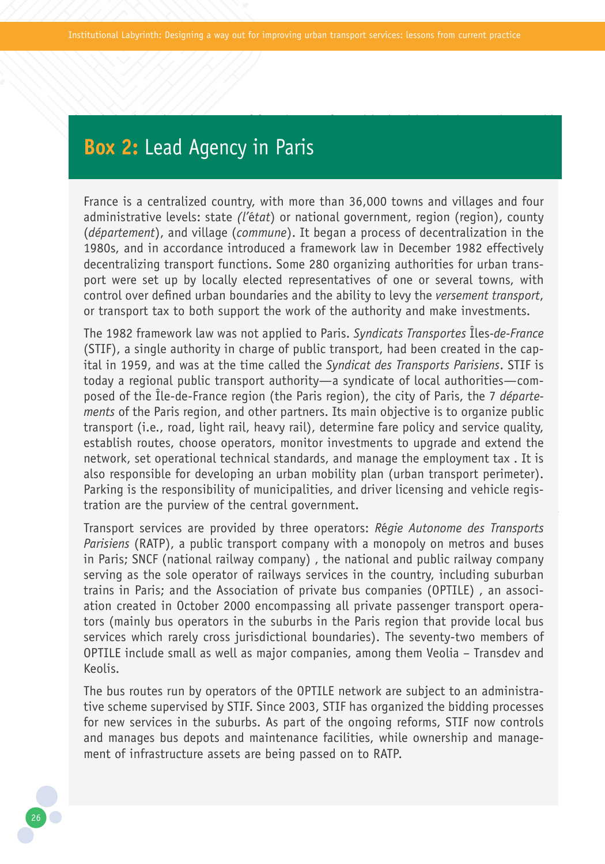#### erably. While in some cases there are no lead institutions, institutions, institutions, institutions, institutions, institutions, institutions, institutions, institutions, institutions, institutions, institutions, institu **box 2:** Lead Agency in Paris. In some cases, they are cases, they are cases, they are they are cases, they are  $\sim$

France is a centralized country, with more than 36,000 towns and villages and four administrative levels: state *(l'état*) or national government, region (region), county (*département*), and village (*commune*). It began a process of decentralization in the 1980s, and in accordance introduced a framework law in December 1982 effectively decentralizing transport functions. Some 280 organizing authorities for urban transport were set up by locally elected representatives of one or several towns, with control over defined urban boundaries and the ability to levy the *versement transport,* or transport tax to both support the work of the authority and make investments.

Thus, it is clear that the range of functions performed by lead institutions varies consid-

including major roadways of metropolitan-area or regional significance. In some places,

The 1982 framework law was not applied to Paris. *Syndicats Transportes* Îles-de-France (STIF), a single authority in charge of public transport, had been created in the capital in 1959, and was at the time called the *Syndicat des Transports Parisiens*. STIF is today a regional public transport authority—a syndicate of local authorities—composed of the Île-de-France region (the Paris region), the city of Paris, the 7 *départements* of the Paris region, and other partners. Its main objective is to organize public network, set operational technical standards, and manage the employment tax . It is also responsible for developing an urban mobility plan (urban transport perimeter). Parking is the responsibility of municipalities, and driver licensing and vehicle registration are the purview of the central government. functions as the operation and management of public transport, including management of transport (i.e., road, light rail, heavy rail), determine fare policy and service quality, establish routes, choose operators, monitor investments to upgrade and extend the

Transport services are provided by three operators: *Régie Autonome des Transports* Parisiens (RATP), a public transport company with a monopoly on metros and buses serving as the sole operator of railways services in the country, including suburban trains in Paris; and the Association of private bus companies (OPTILE), an association created in October 2000 encompassing all private passenger transport operators (mainly bus operators in the suburbs in the Paris region that provide local bus in Paris; SNCF (national railway company) , the national and public railway company services which rarely cross jurisdictional boundaries). The seventy-two members of OPTILE include small as well as major companies, among them Veolia – Transdev and Keolis.

The bus routes run by operators of the OPTILE network are subject to an administrative scheme supervised by STIF. Since 2003, STIF has organized the bidding processes for new services in the suburbs. As part of the ongoing reforms, STIF now controls and manages bus depots and maintenance facilities, while ownership and management of infrastructure assets are being passed on to RATP.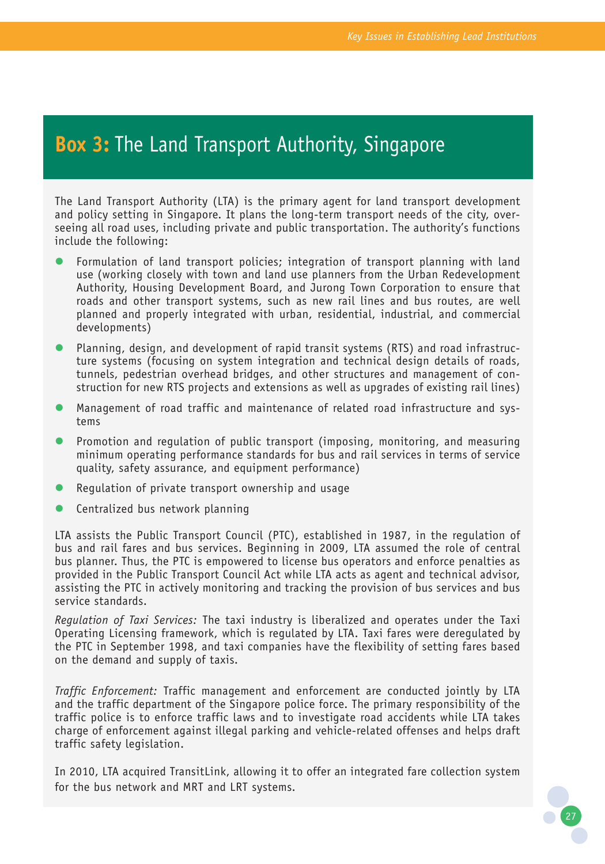## **Box 3:** The Land Transport Authority, Singapore

The Land Transport Authority (LTA) is the primary agent for land transport development and policy setting in Singapore. It plans the long-term transport needs of the city, overseeing all road uses, including private and public transportation. The authority's functions include the following:

- Formulation of land transport policies; integration of transport planning with land use (working closely with town and land use planners from the Urban Redevelopment Authority, Housing Development Board, and Jurong Town Corporation to ensure that roads and other transport systems, such as new rail lines and bus routes, are well planned and properly integrated with urban, residential, industrial, and commercial developments)
- l Planning, design, and development of rapid transit systems (RTS) and road infrastructure systems (focusing on system integration and technical design details of roads, tunnels, pedestrian overhead bridges, and other structures and management of construction for new RTS projects and extensions as well as upgrades of existing rail lines)
- Management of road traffic and maintenance of related road infrastructure and systems
- Promotion and regulation of public transport (imposing, monitoring, and measuring minimum operating performance standards for bus and rail services in terms of service quality, safety assurance, and equipment performance)
- Regulation of private transport ownership and usage
- Centralized bus network planning

LTA assists the Public Transport Council (PTC), established in 1987, in the regulation of bus and rail fares and bus services. Beginning in 2009, LTA assumed the role of central bus planner. Thus, the PTC is empowered to license bus operators and enforce penalties as provided in the Public Transport Council Act while LTA acts as agent and technical advisor, assisting the PTC in actively monitoring and tracking the provision of bus services and bus service standards.

*Regulation of Taxi Services:* The taxi industry is liberalized and operates under the Taxi Operating Licensing framework, which is regulated by LTA. Taxi fares were deregulated by the PTC in September 1998, and taxi companies have the flexibility of setting fares based on the demand and supply of taxis.

*Traffic Enforcement:* Traffic management and enforcement are conducted jointly by LTA and the traffic department of the Singapore police force. The primary responsibility of the traffic police is to enforce traffic laws and to investigate road accidents while LTA takes charge of enforcement against illegal parking and vehicle-related offenses and helps draft traffic safety legislation.

In 2010, LTA acquired TransitLink, allowing it to offer an integrated fare collection system for the bus network and MRT and LRT systems.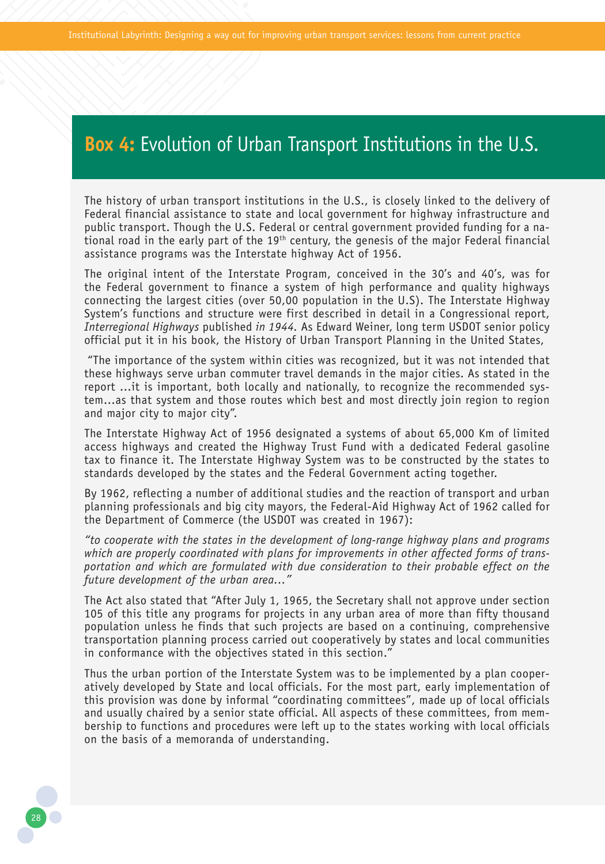## **Box 4:** Evolution of Urban Transport Institutions in the U.S.

The history of urban transport institutions in the U.S., is closely linked to the delivery of Federal financial assistance to state and local government for highway infrastructure and public transport. Though the U.S. Federal or central government provided funding for a national road in the early part of the  $19<sup>th</sup>$  century, the genesis of the major Federal financial assistance programs was the Interstate highway Act of 1956.

The original intent of the Interstate Program, conceived in the 30's and 40's, was for the Federal government to finance a system of high performance and quality highways connecting the largest cities (over 50,00 population in the U.S). The Interstate Highway System's functions and structure were first described in detail in a Congressional report, *Interregional Highways* published *in 1944.* As Edward Weiner, long term USDOT senior policy official put it in his book, the History of Urban Transport Planning in the United States,

 "The importance of the system within cities was recognized, but it was not intended that these highways serve urban commuter travel demands in the major cities. As stated in the report ...it is important, both locally and nationally, to recognize the recommended system...as that system and those routes which best and most directly join region to region and major city to major city".

The Interstate Highway Act of 1956 designated a systems of about 65,000 Km of limited access highways and created the Highway Trust Fund with a dedicated Federal gasoline tax to finance it. The Interstate Highway System was to be constructed by the states to standards developed by the states and the Federal Government acting together.

By 1962, reflecting a number of additional studies and the reaction of transport and urban planning professionals and big city mayors, the Federal-Aid Highway Act of 1962 called for the Department of Commerce (the USDOT was created in 1967):

*"to cooperate with the states in the development of long-range highway plans and programs which are properly coordinated with plans for improvements in other affected forms of transportation and which are formulated with due consideration to their probable effect on the future development of the urban area..."*

The Act also stated that "After July 1, 1965, the Secretary shall not approve under section 105 of this title any programs for projects in any urban area of more than fifty thousand population unless he finds that such projects are based on a continuing, comprehensive transportation planning process carried out cooperatively by states and local communities in conformance with the objectives stated in this section."

Thus the urban portion of the Interstate System was to be implemented by a plan cooperatively developed by State and local officials. For the most part, early implementation of this provision was done by informal "coordinating committees", made up of local officials and usually chaired by a senior state official. All aspects of these committees, from membership to functions and procedures were left up to the states working with local officials on the basis of a memoranda of understanding.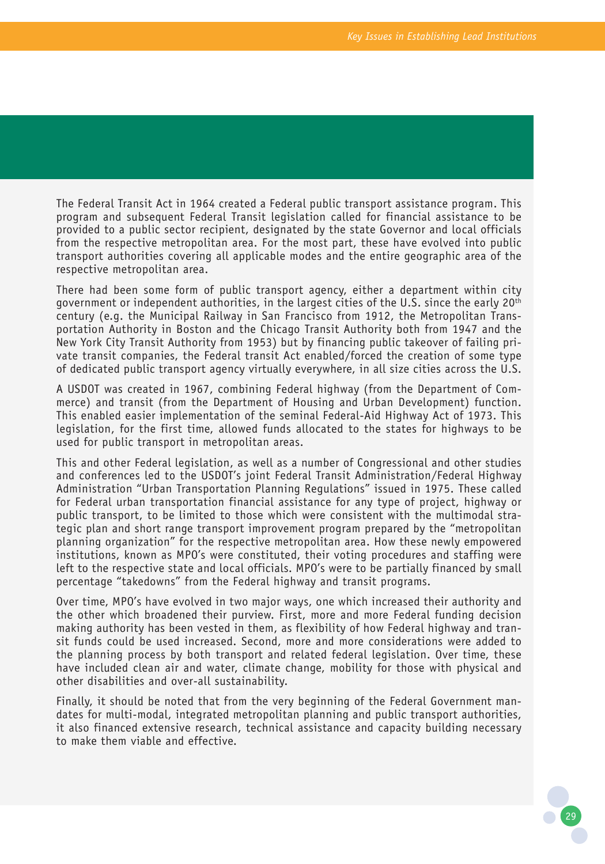The Federal Transit Act in 1964 created a Federal public transport assistance program. This program and subsequent Federal Transit legislation called for financial assistance to be provided to a public sector recipient, designated by the state Governor and local officials from the respective metropolitan area. For the most part, these have evolved into public transport authorities covering all applicable modes and the entire geographic area of the respective metropolitan area.

There had been some form of public transport agency, either a department within city government or independent authorities, in the largest cities of the U.S. since the early 20<sup>th</sup> century (e.g. the Municipal Railway in San Francisco from 1912, the Metropolitan Transportation Authority in Boston and the Chicago Transit Authority both from 1947 and the New York City Transit Authority from 1953) but by financing public takeover of failing private transit companies, the Federal transit Act enabled/forced the creation of some type of dedicated public transport agency virtually everywhere, in all size cities across the U.S.

A USDOT was created in 1967, combining Federal highway (from the Department of Commerce) and transit (from the Department of Housing and Urban Development) function. This enabled easier implementation of the seminal Federal-Aid Highway Act of 1973. This legislation, for the first time, allowed funds allocated to the states for highways to be used for public transport in metropolitan areas.

This and other Federal legislation, as well as a number of Congressional and other studies and conferences led to the USDOT's joint Federal Transit Administration/Federal Highway Administration "Urban Transportation Planning Regulations" issued in 1975. These called for Federal urban transportation financial assistance for any type of project, highway or public transport, to be limited to those which were consistent with the multimodal strategic plan and short range transport improvement program prepared by the "metropolitan planning organization" for the respective metropolitan area. How these newly empowered institutions, known as MPO's were constituted, their voting procedures and staffing were left to the respective state and local officials. MPO's were to be partially financed by small percentage "takedowns" from the Federal highway and transit programs.

Over time, MPO's have evolved in two major ways, one which increased their authority and the other which broadened their purview. First, more and more Federal funding decision making authority has been vested in them, as flexibility of how Federal highway and transit funds could be used increased. Second, more and more considerations were added to the planning process by both transport and related federal legislation. Over time, these have included clean air and water, climate change, mobility for those with physical and other disabilities and over-all sustainability.

Finally, it should be noted that from the very beginning of the Federal Government mandates for multi-modal, integrated metropolitan planning and public transport authorities, it also financed extensive research, technical assistance and capacity building necessary to make them viable and effective.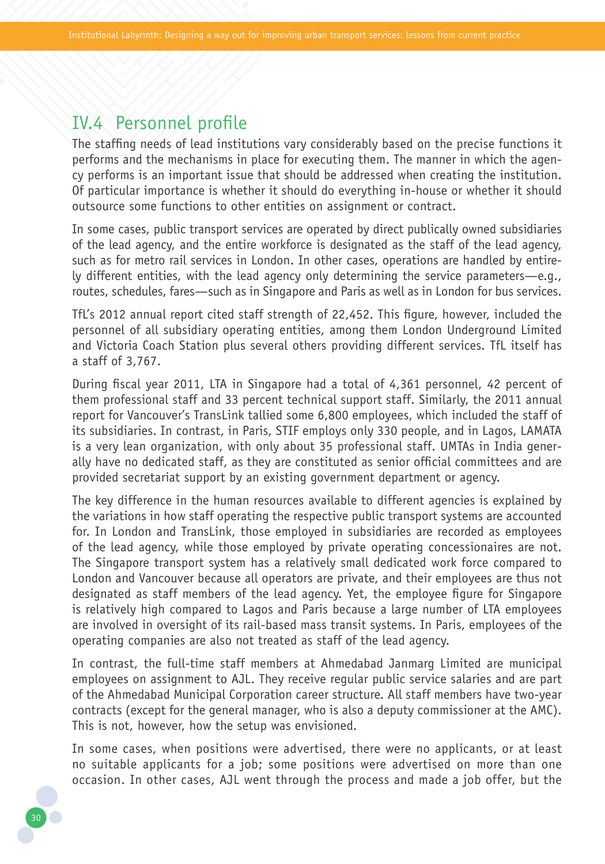### IV.4 Personnel profile

The staffing needs of lead institutions vary considerably based on the precise functions it performs and the mechanisms in place for executing them. The manner in which the agency performs is an important issue that should be addressed when creating the institution. Of particular importance is whether it should do everything in-house or whether it should outsource some functions to other entities on assignment or contract.

In some cases, public transport services are operated by direct publically owned subsidiaries of the lead agency, and the entire workforce is designated as the staff of the lead agency, such as for metro rail services in London. In other cases, operations are handled by entirely different entities, with the lead agency only determining the service parameters—e.g., routes, schedules, fares—such as in Singapore and Paris as well as in London for bus services.

TfL's 2012 annual report cited staff strength of 22,452. This figure, however, included the personnel of all subsidiary operating entities, among them London Underground Limited and Victoria Coach Station plus several others providing different services. TfL itself has a staff of 3,767.

During fiscal year 2011, LTA in Singapore had a total of 4,361 personnel, 42 percent of them professional staff and 33 percent technical support staff. Similarly, the 2011 annual report for Vancouver's TransLink tallied some 6,800 employees, which included the staff of its subsidiaries. In contrast, in Paris, STIF employs only 330 people, and in Lagos, LAMATA is a very lean organization, with only about 35 professional staff. UMTAs in India generally have no dedicated staff, as they are constituted as senior official committees and are provided secretariat support by an existing government department or agency.

The key difference in the human resources available to different agencies is explained by the variations in how staff operating the respective public transport systems are accounted for. In London and TransLink, those employed in subsidiaries are recorded as employees of the lead agency, while those employed by private operating concessionaires are not. The Singapore transport system has a relatively small dedicated work force compared to London and Vancouver because all operators are private, and their employees are thus not designated as staff members of the lead agency. Yet, the employee figure for Singapore is relatively high compared to Lagos and Paris because a large number of LTA employees are involved in oversight of its rail-based mass transit systems. In Paris, employees of the operating companies are also not treated as staff of the lead agency.

In contrast, the full-time staff members at Ahmedabad Janmarg Limited are municipal employees on assignment to AJL. They receive regular public service salaries and are part of the Ahmedabad Municipal Corporation career structure. All staff members have two-year contracts (except for the general manager, who is also a deputy commissioner at the AMC). This is not, however, how the setup was envisioned.

In some cases, when positions were advertised, there were no applicants, or at least no suitable applicants for a job; some positions were advertised on more than one occasion. In other cases, AJL went through the process and made a job offer, but the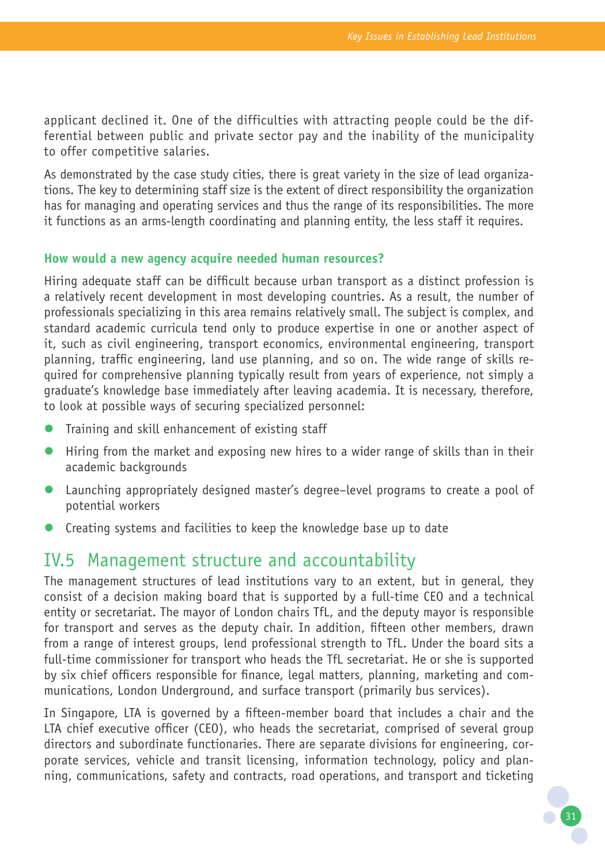applicant declined it. One of the difficulties with attracting people could be the differential between public and private sector pay and the inability of the municipality to offer competitive salaries.

As demonstrated by the case study cities, there is great variety in the size of lead organizations. The key to determining staff size is the extent of direct responsibility the organization has for managing and operating services and thus the range of its responsibilities. The more it functions as an arms-length coordinating and planning entity, the less staff it requires.

#### **How would a new agency acquire needed human resources?**

Hiring adequate staff can be difficult because urban transport as a distinct profession is a relatively recent development in most developing countries. As a result, the number of professionals specializing in this area remains relatively small. The subject is complex, and standard academic curricula tend only to produce expertise in one or another aspect of it, such as civil engineering, transport economics, environmental engineering, transport planning, traffic engineering, land use planning, and so on. The wide range of skills required for comprehensive planning typically result from years of experience, not simply a graduate's knowledge base immediately after leaving academia. It is necessary, therefore, to look at possible ways of securing specialized personnel:

- l Training and skill enhancement of existing staff
- l Hiring from the market and exposing new hires to a wider range of skills than in their academic backgrounds
- l Launching appropriately designed master's degree–level programs to create a pool of potential workers
- l Creating systems and facilities to keep the knowledge base up to date

### IV.5 Management structure and accountability

The management structures of lead institutions vary to an extent, but in general, they consist of a decision making board that is supported by a full-time CEO and a technical entity or secretariat. The mayor of London chairs TfL, and the deputy mayor is responsible for transport and serves as the deputy chair. In addition, fifteen other members, drawn from a range of interest groups, lend professional strength to TfL. Under the board sits a full-time commissioner for transport who heads the TfL secretariat. He or she is supported by six chief officers responsible for finance, legal matters, planning, marketing and communications, London Underground, and surface transport (primarily bus services).

In Singapore, LTA is governed by a fifteen-member board that includes a chair and the LTA chief executive officer (CEO), who heads the secretariat, comprised of several group directors and subordinate functionaries. There are separate divisions for engineering, corporate services, vehicle and transit licensing, information technology, policy and planning, communications, safety and contracts, road operations, and transport and ticketing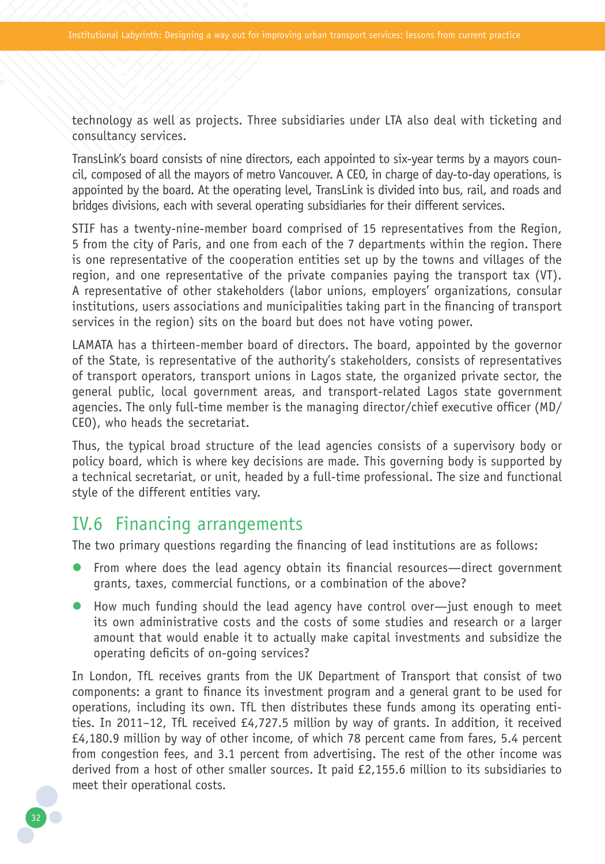technology as well as projects. Three subsidiaries under LTA also deal with ticketing and consultancy services.

TransLink's board consists of nine directors, each appointed to six-year terms by a mayors council, composed of all the mayors of metro Vancouver. A CEO, in charge of day-to-day operations, is appointed by the board. At the operating level, TransLink is divided into bus, rail, and roads and bridges divisions, each with several operating subsidiaries for their different services.

STIF has a twenty-nine-member board comprised of 15 representatives from the Region, 5 from the city of Paris, and one from each of the 7 departments within the region. There is one representative of the cooperation entities set up by the towns and villages of the region, and one representative of the private companies paying the transport tax (VT). A representative of other stakeholders (labor unions, employers' organizations, consular institutions, users associations and municipalities taking part in the financing of transport services in the region) sits on the board but does not have voting power.

LAMATA has a thirteen-member board of directors. The board, appointed by the governor of the State, is representative of the authority's stakeholders, consists of representatives of transport operators, transport unions in Lagos state, the organized private sector, the general public, local government areas, and transport-related Lagos state government agencies. The only full-time member is the managing director/chief executive officer (MD/ CEO), who heads the secretariat.

Thus, the typical broad structure of the lead agencies consists of a supervisory body or policy board, which is where key decisions are made. This governing body is supported by a technical secretariat, or unit, headed by a full-time professional. The size and functional style of the different entities vary.

### IV.6 Financing arrangements

The two primary questions regarding the financing of lead institutions are as follows:

- l From where does the lead agency obtain its financial resources—direct government grants, taxes, commercial functions, or a combination of the above?
- $\bullet$  How much funding should the lead agency have control over—just enough to meet its own administrative costs and the costs of some studies and research or a larger amount that would enable it to actually make capital investments and subsidize the operating deficits of on-going services?

In London, TfL receives grants from the UK Department of Transport that consist of two components: a grant to finance its investment program and a general grant to be used for operations, including its own. TfL then distributes these funds among its operating entities. In 2011–12, TfL received £4,727.5 million by way of grants. In addition, it received £4,180.9 million by way of other income, of which 78 percent came from fares, 5.4 percent from congestion fees, and 3.1 percent from advertising. The rest of the other income was derived from a host of other smaller sources. It paid £2,155.6 million to its subsidiaries to meet their operational costs.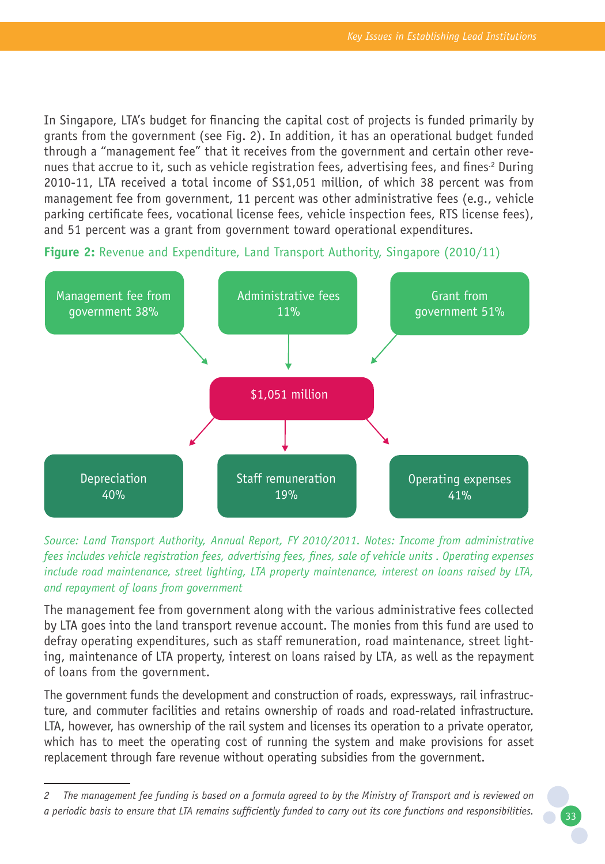In Singapore, LTA's budget for financing the capital cost of projects is funded primarily by grants from the government (see Fig. 2). In addition, it has an operational budget funded through a "management fee" that it receives from the government and certain other revenues that accrue to it, such as vehicle registration fees, advertising fees, and fines<sup>2</sup> During 2010-11, LTA received a total income of S\$1,051 million, of which 38 percent was from management fee from government, 11 percent was other administrative fees (e.g., vehicle parking certificate fees, vocational license fees, vehicle inspection fees, RTS license fees), and 51 percent was a grant from government toward operational expenditures.

**Figure 2:** Revenue and Expenditure, Land Transport Authority, Singapore (2010/11)



*Source: Land Transport Authority, Annual Report, FY 2010/2011. Notes: Income from administrative fees includes vehicle registration fees, advertising fees, fines, sale of vehicle units . Operating expenses include road maintenance, street lighting, LTA property maintenance, interest on loans raised by LTA, and repayment of loans from government*

The management fee from government along with the various administrative fees collected by LTA goes into the land transport revenue account. The monies from this fund are used to defray operating expenditures, such as staff remuneration, road maintenance, street lighting, maintenance of LTA property, interest on loans raised by LTA, as well as the repayment of loans from the government.

The government funds the development and construction of roads, expressways, rail infrastructure, and commuter facilities and retains ownership of roads and road-related infrastructure. LTA, however, has ownership of the rail system and licenses its operation to a private operator, which has to meet the operating cost of running the system and make provisions for asset replacement through fare revenue without operating subsidies from the government.

*<sup>2</sup> The management fee funding is based on a formula agreed to by the Ministry of Transport and is reviewed on a periodic basis to ensure that LTA remains sufficiently funded to carry out its core functions and responsibilities.*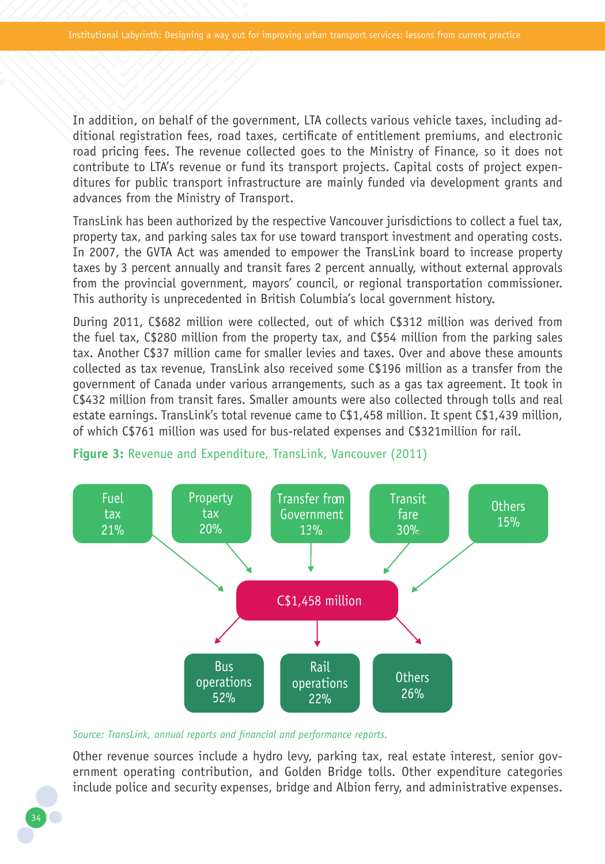In addition, on behalf of the government, LTA collects various vehicle taxes, including additional registration fees, road taxes, certificate of entitlement premiums, and electronic road pricing fees. The revenue collected goes to the Ministry of Finance, so it does not contribute to LTA's revenue or fund its transport projects. Capital costs of project expenditures for public transport infrastructure are mainly funded via development grants and advances from the Ministry of Transport.

TransLink has been authorized by the respective Vancouver jurisdictions to collect a fuel tax, property tax, and parking sales tax for use toward transport investment and operating costs. In 2007, the GVTA Act was amended to empower the TransLink board to increase property taxes by 3 percent annually and transit fares 2 percent annually, without external approvals from the provincial government, mayors' council, or regional transportation commissioner. This authority is unprecedented in British Columbia's local government history.

During 2011, C\$682 million were collected, out of which C\$312 million was derived from the fuel tax, C\$280 million from the property tax, and C\$54 million from the parking sales tax. Another C\$37 million came for smaller levies and taxes. Over and above these amounts collected as tax revenue, TransLink also received some C\$196 million as a transfer from the government of Canada under various arrangements, such as a gas tax agreement. It took in C\$432 million from transit fares. Smaller amounts were also collected through tolls and real estate earnings. TransLink's total revenue came to C\$1,458 million. It spent C\$1,439 million, of which C\$761 million was used for bus-related expenses and C\$321million for rail.



#### **Figure 3:** Revenue and Expenditure, TransLink, Vancouver (2011)

#### *Source: TransLink, annual reports and financial and performance reports.*

Other revenue sources include a hydro levy, parking tax, real estate interest, senior government operating contribution, and Golden Bridge tolls. Other expenditure categories include police and security expenses, bridge and Albion ferry, and administrative expenses.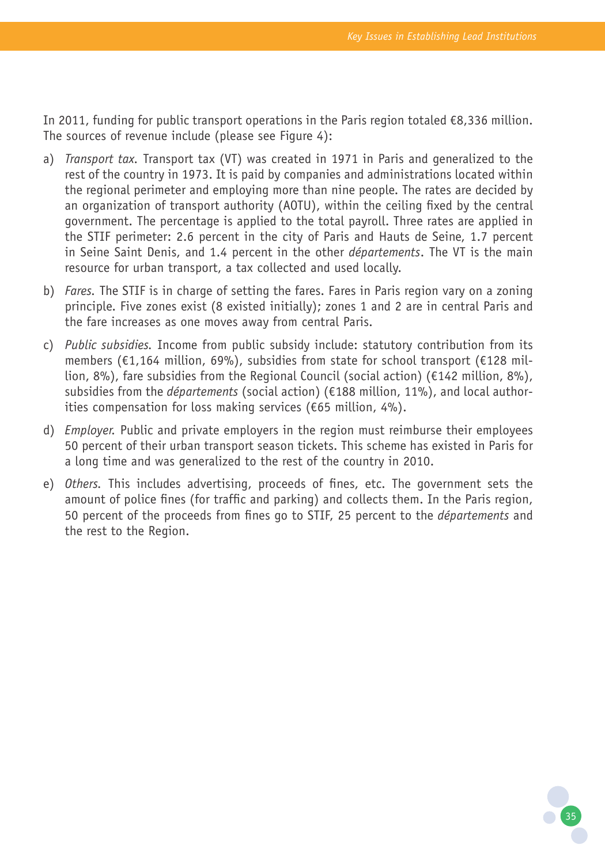In 2011, funding for public transport operations in the Paris region totaled €8,336 million. The sources of revenue include (please see Figure 4):

- a) *Transport tax.* Transport tax (VT) was created in 1971 in Paris and generalized to the rest of the country in 1973. It is paid by companies and administrations located within the regional perimeter and employing more than nine people. The rates are decided by an organization of transport authority (AOTU), within the ceiling fixed by the central government. The percentage is applied to the total payroll. Three rates are applied in the STIF perimeter: 2.6 percent in the city of Paris and Hauts de Seine, 1.7 percent in Seine Saint Denis, and 1.4 percent in the other *départements*. The VT is the main resource for urban transport, a tax collected and used locally.
- b) *Fares.* The STIF is in charge of setting the fares. Fares in Paris region vary on a zoning principle. Five zones exist (8 existed initially); zones 1 and 2 are in central Paris and the fare increases as one moves away from central Paris.
- c) *Public subsidies.* Income from public subsidy include: statutory contribution from its members ( $\epsilon$ 1,164 million, 69%), subsidies from state for school transport ( $\epsilon$ 128 million, 8%), fare subsidies from the Regional Council (social action) ( $\epsilon$ 142 million, 8%), subsidies from the *départements* (social action) (€188 million, 11%), and local authorities compensation for loss making services (€65 million, 4%).
- d) *Employer.* Public and private employers in the region must reimburse their employees 50 percent of their urban transport season tickets. This scheme has existed in Paris for a long time and was generalized to the rest of the country in 2010.
- e) *Others.* This includes advertising, proceeds of fines, etc. The government sets the amount of police fines (for traffic and parking) and collects them. In the Paris region, 50 percent of the proceeds from fines go to STIF, 25 percent to the *départements* and the rest to the Region.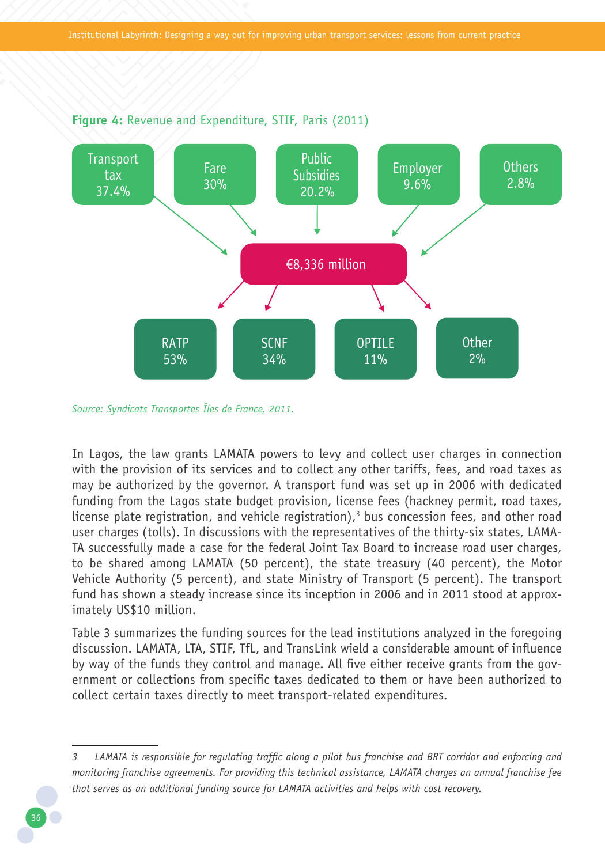

#### **Figure 4:** Revenue and Expenditure, STIF, Paris (2011)

*Source: Syndicats Transportes Îles de France, 2011.*

In Lagos, the law grants LAMATA powers to levy and collect user charges in connection with the provision of its services and to collect any other tariffs, fees, and road taxes as may be authorized by the governor. A transport fund was set up in 2006 with dedicated funding from the Lagos state budget provision, license fees (hackney permit, road taxes, license plate registration, and vehicle registration), $<sup>3</sup>$  bus concession fees, and other road</sup> user charges (tolls). In discussions with the representatives of the thirty-six states, LAMA-TA successfully made a case for the federal Joint Tax Board to increase road user charges, to be shared among LAMATA (50 percent), the state treasury (40 percent), the Motor Vehicle Authority (5 percent), and state Ministry of Transport (5 percent). The transport fund has shown a steady increase since its inception in 2006 and in 2011 stood at approximately US\$10 million.

Table 3 summarizes the funding sources for the lead institutions analyzed in the foregoing discussion. LAMATA, LTA, STIF, TfL, and TransLink wield a considerable amount of influence by way of the funds they control and manage. All five either receive grants from the government or collections from specific taxes dedicated to them or have been authorized to collect certain taxes directly to meet transport-related expenditures.

*<sup>3</sup> LAMATA is responsible for regulating traffic along a pilot bus franchise and BRT corridor and enforcing and monitoring franchise agreements. For providing this technical assistance, LAMATA charges an annual franchise fee that serves as an additional funding source for LAMATA activities and helps with cost recovery.*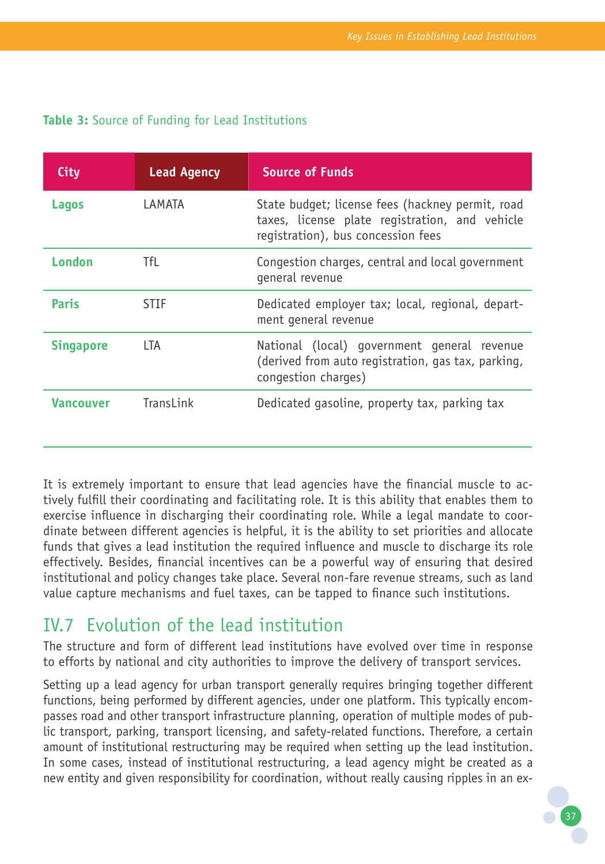| City             | <b>Lead Agency</b> | <b>Source of Funds</b>                                                                                                                   |
|------------------|--------------------|------------------------------------------------------------------------------------------------------------------------------------------|
| Lagos            | LAMATA             | State budget; license fees (hackney permit, road<br>taxes, license plate registration, and vehicle<br>registration), bus concession fees |
| London           | Tfl                | Congestion charges, central and local government<br>general revenue                                                                      |
| Paris            | <b>STTF</b>        | Dedicated employer tax; local, regional, depart-<br>ment general revenue                                                                 |
| <b>Singapore</b> | I TA               | National (local) government general revenue<br>(derived from auto registration, gas tax, parking,<br>congestion charges)                 |
| Vancouver        | TransLink          | Dedicated gasoline, property tax, parking tax                                                                                            |

#### **Table 3:** Source of Funding for Lead Institutions

It is extremely important to ensure that lead agencies have the financial muscle to actively fulfill their coordinating and facilitating role. It is this ability that enables them to exercise influence in discharging their coordinating role. While a legal mandate to coordinate between different agencies is helpful, it is the ability to set priorities and allocate funds that gives a lead institution the required influence and muscle to discharge its role effectively. Besides, financial incentives can be a powerful way of ensuring that desired institutional and policy changes take place. Several non-fare revenue streams, such as land value capture mechanisms and fuel taxes, can be tapped to finance such institutions.

## IV.7 Evolution of the lead institution

The structure and form of different lead institutions have evolved over time in response to efforts by national and city authorities to improve the delivery of transport services.

Setting up a lead agency for urban transport generally requires bringing together different functions, being performed by different agencies, under one platform. This typically encompasses road and other transport infrastructure planning, operation of multiple modes of public transport, parking, transport licensing, and safety-related functions. Therefore, a certain amount of institutional restructuring may be required when setting up the lead institution. In some cases, instead of institutional restructuring, a lead agency might be created as a new entity and given responsibility for coordination, without really causing ripples in an ex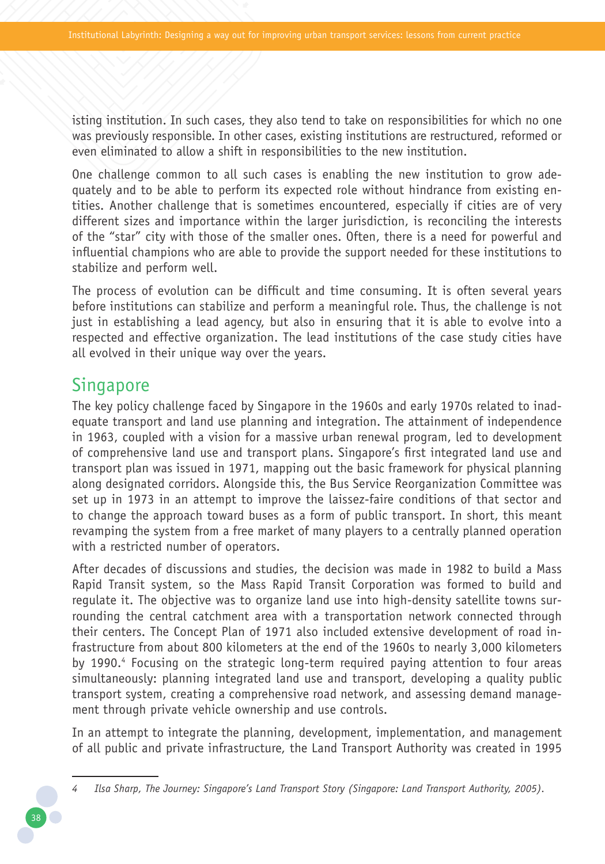isting institution. In such cases, they also tend to take on responsibilities for which no one was previously responsible. In other cases, existing institutions are restructured, reformed or even eliminated to allow a shift in responsibilities to the new institution.

One challenge common to all such cases is enabling the new institution to grow adequately and to be able to perform its expected role without hindrance from existing entities. Another challenge that is sometimes encountered, especially if cities are of very different sizes and importance within the larger jurisdiction, is reconciling the interests of the "star" city with those of the smaller ones. Often, there is a need for powerful and influential champions who are able to provide the support needed for these institutions to stabilize and perform well.

The process of evolution can be difficult and time consuming. It is often several years before institutions can stabilize and perform a meaningful role. Thus, the challenge is not just in establishing a lead agency, but also in ensuring that it is able to evolve into a respected and effective organization. The lead institutions of the case study cities have all evolved in their unique way over the years.

### **Singapore**

The key policy challenge faced by Singapore in the 1960s and early 1970s related to inadequate transport and land use planning and integration. The attainment of independence in 1963, coupled with a vision for a massive urban renewal program, led to development of comprehensive land use and transport plans. Singapore's first integrated land use and transport plan was issued in 1971, mapping out the basic framework for physical planning along designated corridors. Alongside this, the Bus Service Reorganization Committee was set up in 1973 in an attempt to improve the laissez-faire conditions of that sector and to change the approach toward buses as a form of public transport. In short, this meant revamping the system from a free market of many players to a centrally planned operation with a restricted number of operators.

After decades of discussions and studies, the decision was made in 1982 to build a Mass Rapid Transit system, so the Mass Rapid Transit Corporation was formed to build and regulate it. The objective was to organize land use into high-density satellite towns surrounding the central catchment area with a transportation network connected through their centers. The Concept Plan of 1971 also included extensive development of road infrastructure from about 800 kilometers at the end of the 1960s to nearly 3,000 kilometers by 1990.<sup>4</sup> Focusing on the strategic long-term required paying attention to four areas simultaneously: planning integrated land use and transport, developing a quality public transport system, creating a comprehensive road network, and assessing demand management through private vehicle ownership and use controls.

In an attempt to integrate the planning, development, implementation, and management of all public and private infrastructure, the Land Transport Authority was created in 1995

*<sup>4</sup> Ilsa Sharp, The Journey: Singapore's Land Transport Story (Singapore: Land Transport Authority, 2005).*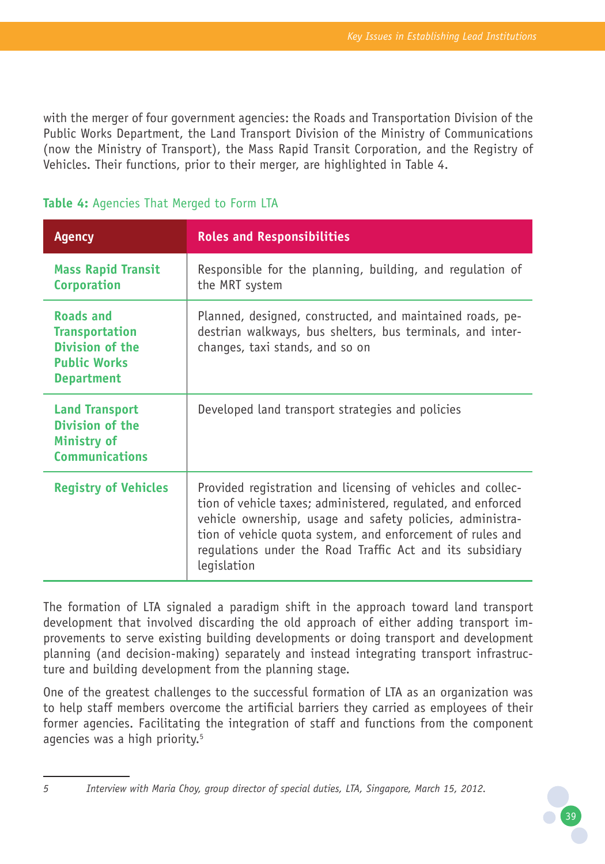with the merger of four government agencies: the Roads and Transportation Division of the Public Works Department, the Land Transport Division of the Ministry of Communications (now the Ministry of Transport), the Mass Rapid Transit Corporation, and the Registry of Vehicles. Their functions, prior to their merger, are highlighted in Table 4.

| <b>Agency</b>                                                                                            | <b>Roles and Responsibilities</b>                                                                                                                                                                                                                                                                                                  |
|----------------------------------------------------------------------------------------------------------|------------------------------------------------------------------------------------------------------------------------------------------------------------------------------------------------------------------------------------------------------------------------------------------------------------------------------------|
| <b>Mass Rapid Transit</b><br><b>Corporation</b>                                                          | Responsible for the planning, building, and regulation of<br>the MRT system                                                                                                                                                                                                                                                        |
| <b>Roads and</b><br><b>Transportation</b><br>Division of the<br><b>Public Works</b><br><b>Department</b> | Planned, designed, constructed, and maintained roads, pe-<br>destrian walkways, bus shelters, bus terminals, and inter-<br>changes, taxi stands, and so on                                                                                                                                                                         |
| <b>Land Transport</b><br>Division of the<br>Ministry of<br><b>Communications</b>                         | Developed land transport strategies and policies                                                                                                                                                                                                                                                                                   |
| <b>Registry of Vehicles</b>                                                                              | Provided registration and licensing of vehicles and collec-<br>tion of vehicle taxes; administered, regulated, and enforced<br>vehicle ownership, usage and safety policies, administra-<br>tion of vehicle quota system, and enforcement of rules and<br>regulations under the Road Traffic Act and its subsidiary<br>legislation |

#### **Table 4:** Agencies That Merged to Form LTA

The formation of LTA signaled a paradigm shift in the approach toward land transport development that involved discarding the old approach of either adding transport improvements to serve existing building developments or doing transport and development planning (and decision-making) separately and instead integrating transport infrastructure and building development from the planning stage.

One of the greatest challenges to the successful formation of LTA as an organization was to help staff members overcome the artificial barriers they carried as employees of their former agencies. Facilitating the integration of staff and functions from the component agencies was a high priority.<sup>5</sup>

*<sup>5</sup> Interview with Maria Choy, group director of special duties, LTA, Singapore, March 15, 2012.*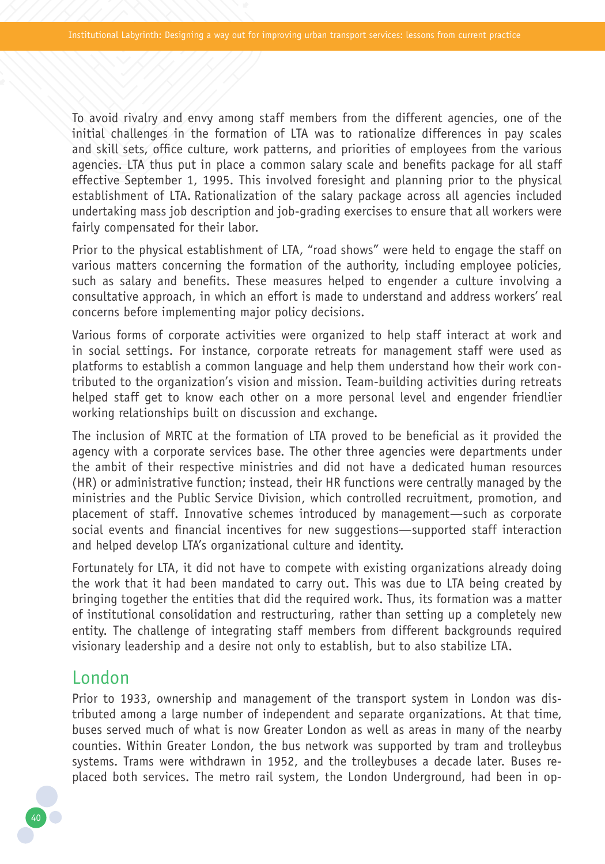To avoid rivalry and envy among staff members from the different agencies, one of the initial challenges in the formation of LTA was to rationalize differences in pay scales and skill sets, office culture, work patterns, and priorities of employees from the various agencies. LTA thus put in place a common salary scale and benefits package for all staff effective September 1, 1995. This involved foresight and planning prior to the physical establishment of LTA. Rationalization of the salary package across all agencies included undertaking mass job description and job-grading exercises to ensure that all workers were fairly compensated for their labor.

Prior to the physical establishment of LTA, "road shows" were held to engage the staff on various matters concerning the formation of the authority, including employee policies, such as salary and benefits. These measures helped to engender a culture involving a consultative approach, in which an effort is made to understand and address workers' real concerns before implementing major policy decisions.

Various forms of corporate activities were organized to help staff interact at work and in social settings. For instance, corporate retreats for management staff were used as platforms to establish a common language and help them understand how their work contributed to the organization's vision and mission. Team-building activities during retreats helped staff get to know each other on a more personal level and engender friendlier working relationships built on discussion and exchange.

The inclusion of MRTC at the formation of LTA proved to be beneficial as it provided the agency with a corporate services base. The other three agencies were departments under the ambit of their respective ministries and did not have a dedicated human resources (HR) or administrative function; instead, their HR functions were centrally managed by the ministries and the Public Service Division, which controlled recruitment, promotion, and placement of staff. Innovative schemes introduced by management—such as corporate social events and financial incentives for new suggestions—supported staff interaction and helped develop LTA's organizational culture and identity.

Fortunately for LTA, it did not have to compete with existing organizations already doing the work that it had been mandated to carry out. This was due to LTA being created by bringing together the entities that did the required work. Thus, its formation was a matter of institutional consolidation and restructuring, rather than setting up a completely new entity. The challenge of integrating staff members from different backgrounds required visionary leadership and a desire not only to establish, but to also stabilize LTA.

### London

Prior to 1933, ownership and management of the transport system in London was distributed among a large number of independent and separate organizations. At that time, buses served much of what is now Greater London as well as areas in many of the nearby counties. Within Greater London, the bus network was supported by tram and trolleybus systems. Trams were withdrawn in 1952, and the trolleybuses a decade later. Buses replaced both services. The metro rail system, the London Underground, had been in op-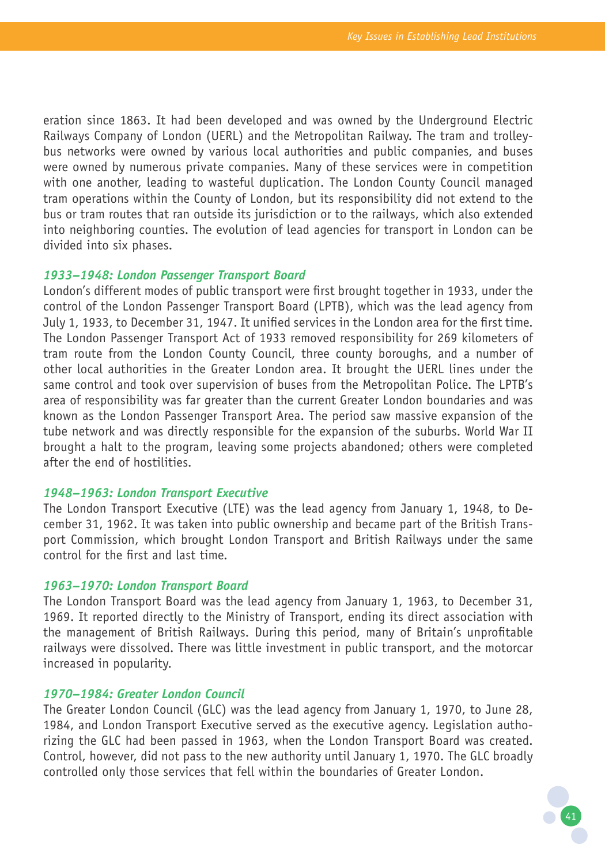eration since 1863. It had been developed and was owned by the Underground Electric Railways Company of London (UERL) and the Metropolitan Railway. The tram and trolleybus networks were owned by various local authorities and public companies, and buses were owned by numerous private companies. Many of these services were in competition with one another, leading to wasteful duplication. The London County Council managed tram operations within the County of London, but its responsibility did not extend to the bus or tram routes that ran outside its jurisdiction or to the railways, which also extended into neighboring counties. The evolution of lead agencies for transport in London can be divided into six phases.

#### *1933–1948: London Passenger Transport Board*

London's different modes of public transport were first brought together in 1933, under the control of the London Passenger Transport Board (LPTB), which was the lead agency from July 1, 1933, to December 31, 1947. It unified services in the London area for the first time. The London Passenger Transport Act of 1933 removed responsibility for 269 kilometers of tram route from the London County Council, three county boroughs, and a number of other local authorities in the Greater London area. It brought the UERL lines under the same control and took over supervision of buses from the Metropolitan Police. The LPTB's area of responsibility was far greater than the current Greater London boundaries and was known as the London Passenger Transport Area. The period saw massive expansion of the tube network and was directly responsible for the expansion of the suburbs. World War II brought a halt to the program, leaving some projects abandoned; others were completed after the end of hostilities.

#### *1948–1963: London Transport Executive*

The London Transport Executive (LTE) was the lead agency from January 1, 1948, to December 31, 1962. It was taken into public ownership and became part of the British Transport Commission, which brought London Transport and British Railways under the same control for the first and last time.

#### *1963–1970: London Transport Board*

The London Transport Board was the lead agency from January 1, 1963, to December 31, 1969. It reported directly to the Ministry of Transport, ending its direct association with the management of British Railways. During this period, many of Britain's unprofitable railways were dissolved. There was little investment in public transport, and the motorcar increased in popularity.

#### *1970–1984: Greater London Council*

The Greater London Council (GLC) was the lead agency from January 1, 1970, to June 28, 1984, and London Transport Executive served as the executive agency. Legislation authorizing the GLC had been passed in 1963, when the London Transport Board was created. Control, however, did not pass to the new authority until January 1, 1970. The GLC broadly controlled only those services that fell within the boundaries of Greater London.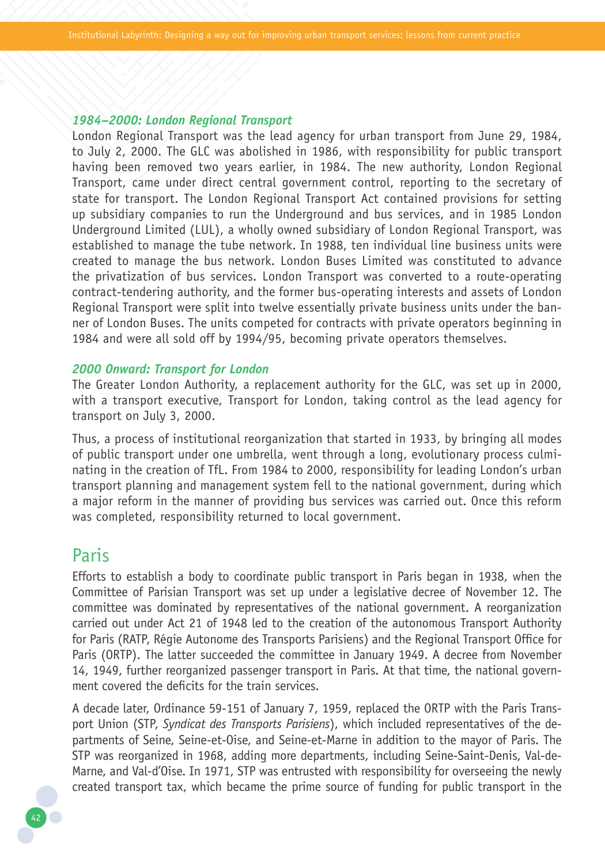#### *1984–2000: London Regional Transport*

London Regional Transport was the lead agency for urban transport from June 29, 1984, to July 2, 2000. The GLC was abolished in 1986, with responsibility for public transport having been removed two years earlier, in 1984. The new authority, London Regional Transport, came under direct central government control, reporting to the secretary of state for transport. The London Regional Transport Act contained provisions for setting up subsidiary companies to run the Underground and bus services, and in 1985 London Underground Limited (LUL), a wholly owned subsidiary of London Regional Transport, was established to manage the tube network. In 1988, ten individual line business units were created to manage the bus network. London Buses Limited was constituted to advance the privatization of bus services. London Transport was converted to a route-operating contract-tendering authority, and the former bus-operating interests and assets of London Regional Transport were split into twelve essentially private business units under the banner of London Buses. The units competed for contracts with private operators beginning in 1984 and were all sold off by 1994/95, becoming private operators themselves.

#### *2000 Onward: Transport for London*

The Greater London Authority, a replacement authority for the GLC, was set up in 2000, with a transport executive, Transport for London, taking control as the lead agency for transport on July 3, 2000.

Thus, a process of institutional reorganization that started in 1933, by bringing all modes of public transport under one umbrella, went through a long, evolutionary process culminating in the creation of TfL. From 1984 to 2000, responsibility for leading London's urban transport planning and management system fell to the national government, during which a major reform in the manner of providing bus services was carried out. Once this reform was completed, responsibility returned to local government.

### Paris

Efforts to establish a body to coordinate public transport in Paris began in 1938, when the Committee of Parisian Transport was set up under a legislative decree of November 12. The committee was dominated by representatives of the national government. A reorganization carried out under Act 21 of 1948 led to the creation of the autonomous Transport Authority for Paris (RATP, Régie Autonome des Transports Parisiens) and the Regional Transport Office for Paris (ORTP). The latter succeeded the committee in January 1949. A decree from November 14, 1949, further reorganized passenger transport in Paris. At that time, the national government covered the deficits for the train services.

A decade later, Ordinance 59-151 of January 7, 1959, replaced the ORTP with the Paris Transport Union (STP, *Syndicat des Transports Parisiens*), which included representatives of the departments of Seine, Seine-et-Oise, and Seine-et-Marne in addition to the mayor of Paris. The STP was reorganized in 1968, adding more departments, including Seine-Saint-Denis, Val-de-Marne, and Val-d'Oise. In 1971, STP was entrusted with responsibility for overseeing the newly created transport tax, which became the prime source of funding for public transport in the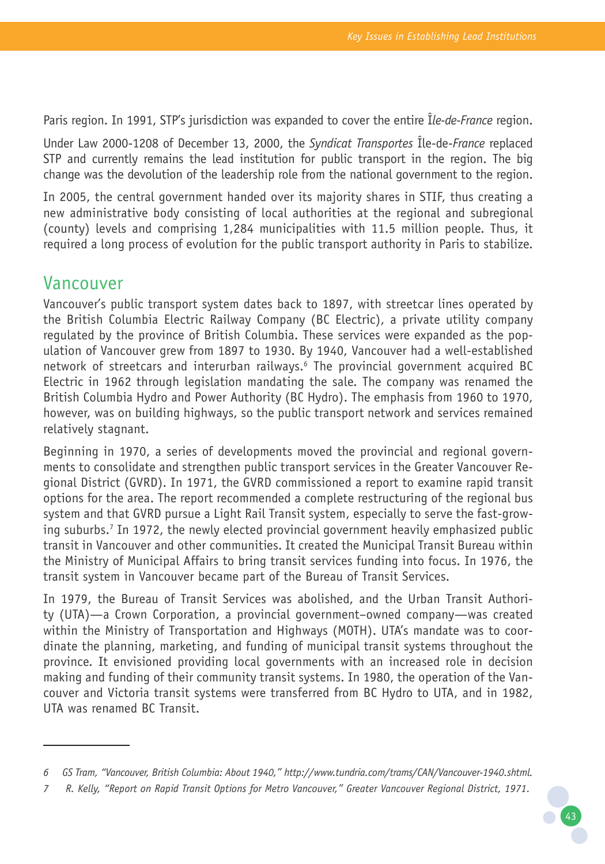Paris region. In 1991, STP's jurisdiction was expanded to cover the entire Î*le-de-France* region.

Under Law 2000-1208 of December 13, 2000, the *Syndicat Transportes* Île-de-*France* replaced STP and currently remains the lead institution for public transport in the region. The big change was the devolution of the leadership role from the national government to the region.

In 2005, the central government handed over its majority shares in STIF, thus creating a new administrative body consisting of local authorities at the regional and subregional (county) levels and comprising 1,284 municipalities with 11.5 million people. Thus, it required a long process of evolution for the public transport authority in Paris to stabilize.

### Vancouver

Vancouver's public transport system dates back to 1897, with streetcar lines operated by the British Columbia Electric Railway Company (BC Electric), a private utility company regulated by the province of British Columbia. These services were expanded as the population of Vancouver grew from 1897 to 1930. By 1940, Vancouver had a well-established network of streetcars and interurban railways.<sup>6</sup> The provincial government acquired BC Electric in 1962 through legislation mandating the sale. The company was renamed the British Columbia Hydro and Power Authority (BC Hydro). The emphasis from 1960 to 1970, however, was on building highways, so the public transport network and services remained relatively stagnant.

Beginning in 1970, a series of developments moved the provincial and regional governments to consolidate and strengthen public transport services in the Greater Vancouver Regional District (GVRD). In 1971, the GVRD commissioned a report to examine rapid transit options for the area. The report recommended a complete restructuring of the regional bus system and that GVRD pursue a Light Rail Transit system, especially to serve the fast-growing suburbs.7 In 1972, the newly elected provincial government heavily emphasized public transit in Vancouver and other communities. It created the Municipal Transit Bureau within the Ministry of Municipal Affairs to bring transit services funding into focus. In 1976, the transit system in Vancouver became part of the Bureau of Transit Services.

In 1979, the Bureau of Transit Services was abolished, and the Urban Transit Authority (UTA)—a Crown Corporation, a provincial government–owned company—was created within the Ministry of Transportation and Highways (MOTH). UTA's mandate was to coordinate the planning, marketing, and funding of municipal transit systems throughout the province. It envisioned providing local governments with an increased role in decision making and funding of their community transit systems. In 1980, the operation of the Vancouver and Victoria transit systems were transferred from BC Hydro to UTA, and in 1982, UTA was renamed BC Transit.

*<sup>6</sup> GS Tram, "Vancouver, British Columbia: About 1940," http://www.tundria.com/trams/CAN/Vancouver-1940.shtml.*

*<sup>7</sup> R. Kelly, "Report on Rapid Transit Options for Metro Vancouver," Greater Vancouver Regional District, 1971.*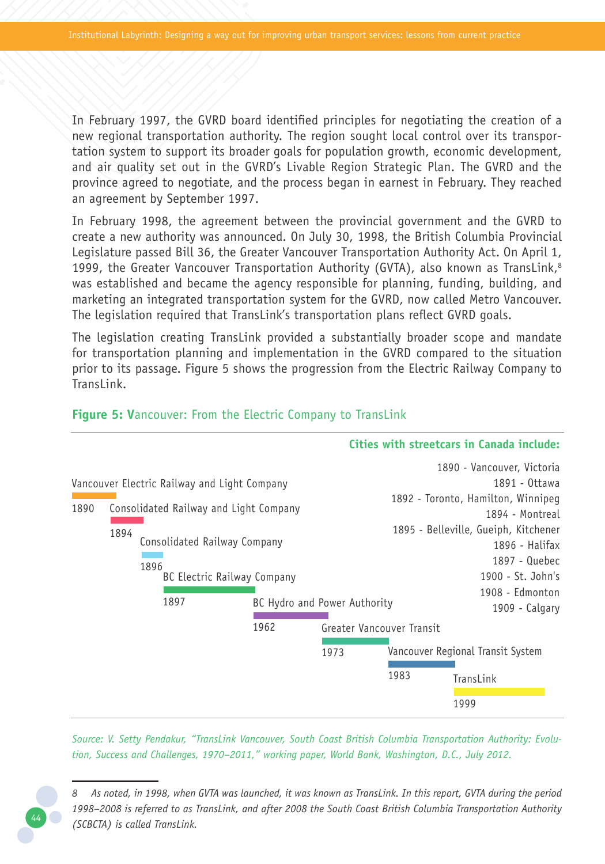In February 1997, the GVRD board identified principles for negotiating the creation of a new regional transportation authority. The region sought local control over its transportation system to support its broader goals for population growth, economic development, and air quality set out in the GVRD's Livable Region Strategic Plan. The GVRD and the province agreed to negotiate, and the process began in earnest in February. They reached an agreement by September 1997.

In February 1998, the agreement between the provincial government and the GVRD to create a new authority was announced. On July 30, 1998, the British Columbia Provincial Legislature passed Bill 36, the Greater Vancouver Transportation Authority Act. On April 1, 1999, the Greater Vancouver Transportation Authority (GVTA), also known as TransLink,<sup>8</sup> was established and became the agency responsible for planning, funding, building, and marketing an integrated transportation system for the GVRD, now called Metro Vancouver. The legislation required that TransLink's transportation plans reflect GVRD goals.

The legislation creating TransLink provided a substantially broader scope and mandate for transportation planning and implementation in the GVRD compared to the situation prior to its passage. Figure 5 shows the progression from the Electric Railway Company to TransLink.

|      |      |                                              |      |                              |      | Cities with streetcars in Canada include:                                         |
|------|------|----------------------------------------------|------|------------------------------|------|-----------------------------------------------------------------------------------|
|      |      | Vancouver Electric Railway and Light Company |      |                              |      | 1890 - Vancouver, Victoria<br>1891 - Ottawa<br>1892 - Toronto, Hamilton, Winnipeg |
| 1890 |      | Consolidated Railway and Light Company       |      |                              |      | 1894 - Montreal                                                                   |
|      | 1894 |                                              |      |                              |      | 1895 - Belleville, Gueiph, Kitchener                                              |
|      |      | Consolidated Railway Company                 |      |                              |      | 1896 - Halifax                                                                    |
|      |      | 1896                                         |      |                              |      | 1897 - Quebec                                                                     |
|      |      | BC Electric Railway Company                  |      |                              |      | 1900 - St. John's                                                                 |
|      |      | 1897                                         |      |                              |      | 1908 - Edmonton                                                                   |
|      |      |                                              |      | BC Hydro and Power Authority |      | 1909 - Calgary                                                                    |
|      |      |                                              | 1962 | Greater Vancouver Transit    |      |                                                                                   |
|      |      |                                              |      | 1973                         |      | Vancouver Regional Transit System                                                 |
|      |      |                                              |      |                              | 1983 | TransLink                                                                         |
|      |      |                                              |      |                              |      | 1999                                                                              |

#### **Figure 5: V**ancouver: From the Electric Company to TransLink

*Source: V. Setty Pendakur, "TransLink Vancouver, South Coast British Columbia Transportation Authority: Evolution, Success and Challenges, 1970–2011," working paper, World Bank, Washington, D.C., July 2012.*

*<sup>8</sup> As noted, in 1998, when GVTA was launched, it was known as TransLink. In this report, GVTA during the period 1998–2008 is referred to as TransLink, and after 2008 the South Coast British Columbia Transportation Authority (SCBCTA) is called TransLink.*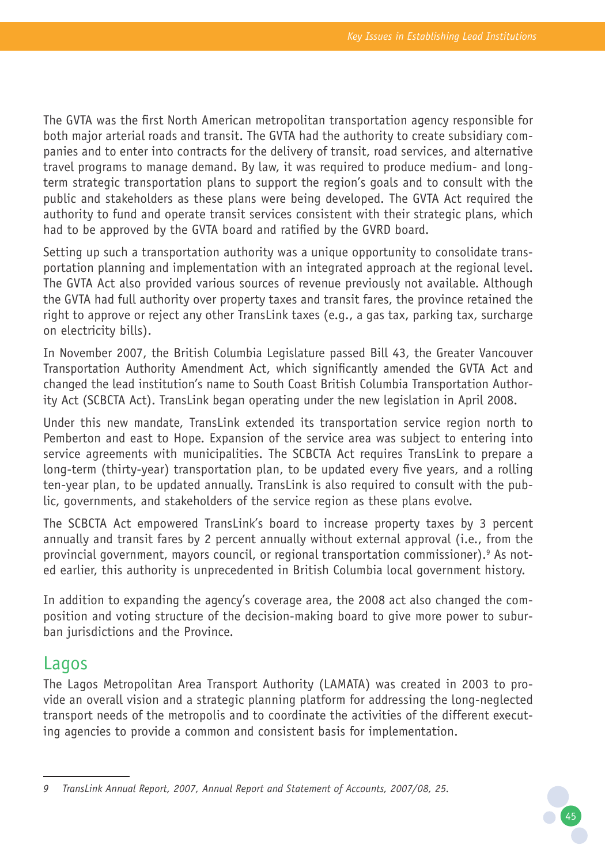The GVTA was the first North American metropolitan transportation agency responsible for both major arterial roads and transit. The GVTA had the authority to create subsidiary companies and to enter into contracts for the delivery of transit, road services, and alternative travel programs to manage demand. By law, it was required to produce medium- and longterm strategic transportation plans to support the region's goals and to consult with the public and stakeholders as these plans were being developed. The GVTA Act required the authority to fund and operate transit services consistent with their strategic plans, which had to be approved by the GVTA board and ratified by the GVRD board.

Setting up such a transportation authority was a unique opportunity to consolidate transportation planning and implementation with an integrated approach at the regional level. The GVTA Act also provided various sources of revenue previously not available. Although the GVTA had full authority over property taxes and transit fares, the province retained the right to approve or reject any other TransLink taxes (e.g., a gas tax, parking tax, surcharge on electricity bills).

In November 2007, the British Columbia Legislature passed Bill 43, the Greater Vancouver Transportation Authority Amendment Act, which significantly amended the GVTA Act and changed the lead institution's name to South Coast British Columbia Transportation Authority Act (SCBCTA Act). TransLink began operating under the new legislation in April 2008.

Under this new mandate, TransLink extended its transportation service region north to Pemberton and east to Hope. Expansion of the service area was subject to entering into service agreements with municipalities. The SCBCTA Act requires TransLink to prepare a long-term (thirty-year) transportation plan, to be updated every five years, and a rolling ten-year plan, to be updated annually. TransLink is also required to consult with the public, governments, and stakeholders of the service region as these plans evolve.

The SCBCTA Act empowered TransLink's board to increase property taxes by 3 percent annually and transit fares by 2 percent annually without external approval (i.e., from the provincial government, mayors council, or regional transportation commissioner).<sup>9</sup> As noted earlier, this authority is unprecedented in British Columbia local government history.

In addition to expanding the agency's coverage area, the 2008 act also changed the composition and voting structure of the decision-making board to give more power to suburban jurisdictions and the Province.

### Lagos

The Lagos Metropolitan Area Transport Authority (LAMATA) was created in 2003 to provide an overall vision and a strategic planning platform for addressing the long-neglected transport needs of the metropolis and to coordinate the activities of the different executing agencies to provide a common and consistent basis for implementation.

*<sup>9</sup> TransLink Annual Report, 2007, Annual Report and Statement of Accounts, 2007/08, 25.*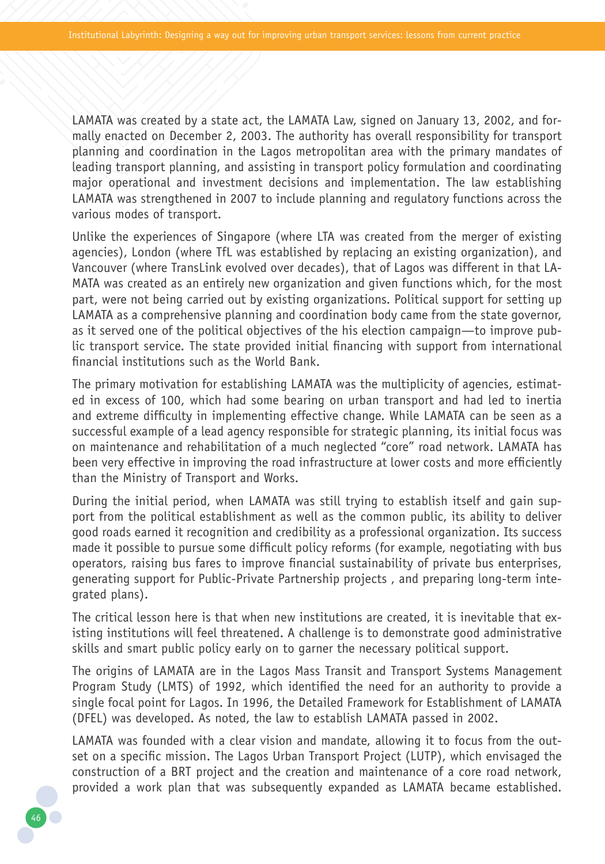LAMATA was created by a state act, the LAMATA Law, signed on January 13, 2002, and formally enacted on December 2, 2003. The authority has overall responsibility for transport planning and coordination in the Lagos metropolitan area with the primary mandates of leading transport planning, and assisting in transport policy formulation and coordinating major operational and investment decisions and implementation. The law establishing LAMATA was strengthened in 2007 to include planning and regulatory functions across the various modes of transport.

Unlike the experiences of Singapore (where LTA was created from the merger of existing agencies), London (where TfL was established by replacing an existing organization), and Vancouver (where TransLink evolved over decades), that of Lagos was different in that LA-MATA was created as an entirely new organization and given functions which, for the most part, were not being carried out by existing organizations. Political support for setting up LAMATA as a comprehensive planning and coordination body came from the state governor, as it served one of the political objectives of the his election campaign—to improve public transport service. The state provided initial financing with support from international financial institutions such as the World Bank.

The primary motivation for establishing LAMATA was the multiplicity of agencies, estimated in excess of 100, which had some bearing on urban transport and had led to inertia and extreme difficulty in implementing effective change. While LAMATA can be seen as a successful example of a lead agency responsible for strategic planning, its initial focus was on maintenance and rehabilitation of a much neglected "core" road network. LAMATA has been very effective in improving the road infrastructure at lower costs and more efficiently than the Ministry of Transport and Works.

During the initial period, when LAMATA was still trying to establish itself and gain support from the political establishment as well as the common public, its ability to deliver good roads earned it recognition and credibility as a professional organization. Its success made it possible to pursue some difficult policy reforms (for example, negotiating with bus operators, raising bus fares to improve financial sustainability of private bus enterprises, generating support for Public-Private Partnership projects , and preparing long-term integrated plans).

The critical lesson here is that when new institutions are created, it is inevitable that existing institutions will feel threatened. A challenge is to demonstrate good administrative skills and smart public policy early on to garner the necessary political support.

The origins of LAMATA are in the Lagos Mass Transit and Transport Systems Management Program Study (LMTS) of 1992, which identified the need for an authority to provide a single focal point for Lagos. In 1996, the Detailed Framework for Establishment of LAMATA (DFEL) was developed. As noted, the law to establish LAMATA passed in 2002.

LAMATA was founded with a clear vision and mandate, allowing it to focus from the outset on a specific mission. The Lagos Urban Transport Project (LUTP), which envisaged the construction of a BRT project and the creation and maintenance of a core road network, provided a work plan that was subsequently expanded as LAMATA became established.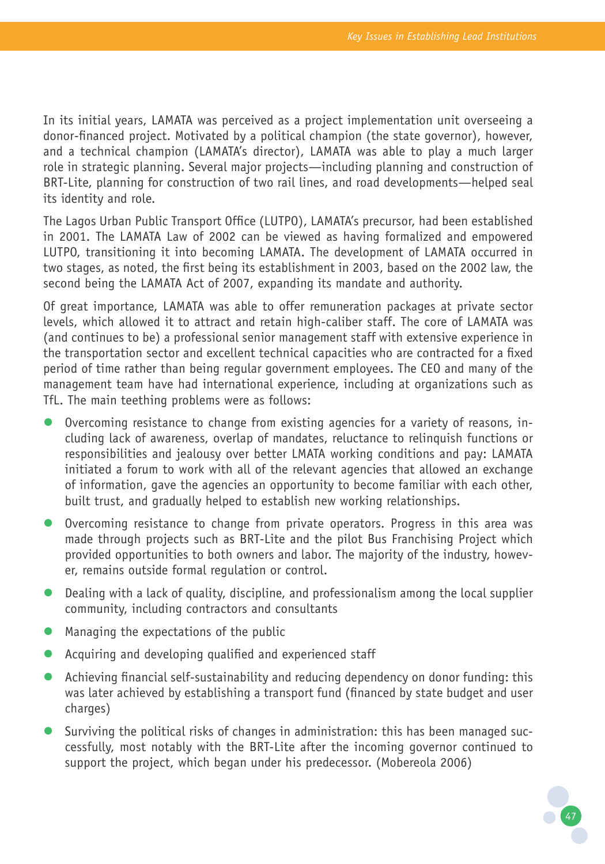In its initial years, LAMATA was perceived as a project implementation unit overseeing a donor-financed project. Motivated by a political champion (the state governor), however, and a technical champion (LAMATA's director), LAMATA was able to play a much larger role in strategic planning. Several major projects—including planning and construction of BRT-Lite, planning for construction of two rail lines, and road developments—helped seal its identity and role.

The Lagos Urban Public Transport Office (LUTPO), LAMATA's precursor, had been established in 2001. The LAMATA Law of 2002 can be viewed as having formalized and empowered LUTPO, transitioning it into becoming LAMATA. The development of LAMATA occurred in two stages, as noted, the first being its establishment in 2003, based on the 2002 law, the second being the LAMATA Act of 2007, expanding its mandate and authority.

Of great importance, LAMATA was able to offer remuneration packages at private sector levels, which allowed it to attract and retain high-caliber staff. The core of LAMATA was (and continues to be) a professional senior management staff with extensive experience in the transportation sector and excellent technical capacities who are contracted for a fixed period of time rather than being regular government employees. The CEO and many of the management team have had international experience, including at organizations such as TfL. The main teething problems were as follows:

- l Overcoming resistance to change from existing agencies for a variety of reasons, including lack of awareness, overlap of mandates, reluctance to relinquish functions or responsibilities and jealousy over better LMATA working conditions and pay: LAMATA initiated a forum to work with all of the relevant agencies that allowed an exchange of information, gave the agencies an opportunity to become familiar with each other, built trust, and gradually helped to establish new working relationships.
- **•** Overcoming resistance to change from private operators. Progress in this area was made through projects such as BRT-Lite and the pilot Bus Franchising Project which provided opportunities to both owners and labor. The majority of the industry, however, remains outside formal regulation or control.
- l Dealing with a lack of quality, discipline, and professionalism among the local supplier community, including contractors and consultants
- l Managing the expectations of the public
- l Acquiring and developing qualified and experienced staff
- l Achieving financial self-sustainability and reducing dependency on donor funding: this was later achieved by establishing a transport fund (financed by state budget and user charges)
- Surviving the political risks of changes in administration: this has been managed successfully, most notably with the BRT-Lite after the incoming governor continued to support the project, which began under his predecessor. (Mobereola 2006)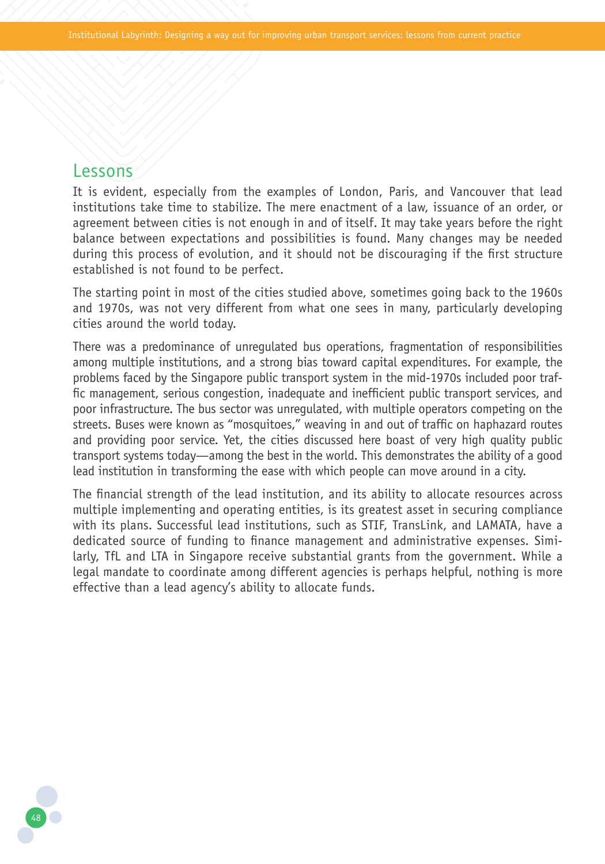#### Lessons

It is evident, especially from the examples of London, Paris, and Vancouver that lead institutions take time to stabilize. The mere enactment of a law, issuance of an order, or agreement between cities is not enough in and of itself. It may take years before the right balance between expectations and possibilities is found. Many changes may be needed during this process of evolution, and it should not be discouraging if the first structure established is not found to be perfect.

The starting point in most of the cities studied above, sometimes going back to the 1960s and 1970s, was not very different from what one sees in many, particularly developing cities around the world today.

There was a predominance of unregulated bus operations, fragmentation of responsibilities among multiple institutions, and a strong bias toward capital expenditures. For example, the problems faced by the Singapore public transport system in the mid-1970s included poor traffic management, serious congestion, inadequate and inefficient public transport services, and poor infrastructure. The bus sector was unregulated, with multiple operators competing on the streets. Buses were known as "mosquitoes," weaving in and out of traffic on haphazard routes and providing poor service. Yet, the cities discussed here boast of very high quality public transport systems today—among the best in the world. This demonstrates the ability of a good lead institution in transforming the ease with which people can move around in a city.

The financial strength of the lead institution, and its ability to allocate resources across multiple implementing and operating entities, is its greatest asset in securing compliance with its plans. Successful lead institutions, such as STIF, TransLink, and LAMATA, have a dedicated source of funding to finance management and administrative expenses. Similarly, TfL and LTA in Singapore receive substantial grants from the government. While a legal mandate to coordinate among different agencies is perhaps helpful, nothing is more effective than a lead agency's ability to allocate funds.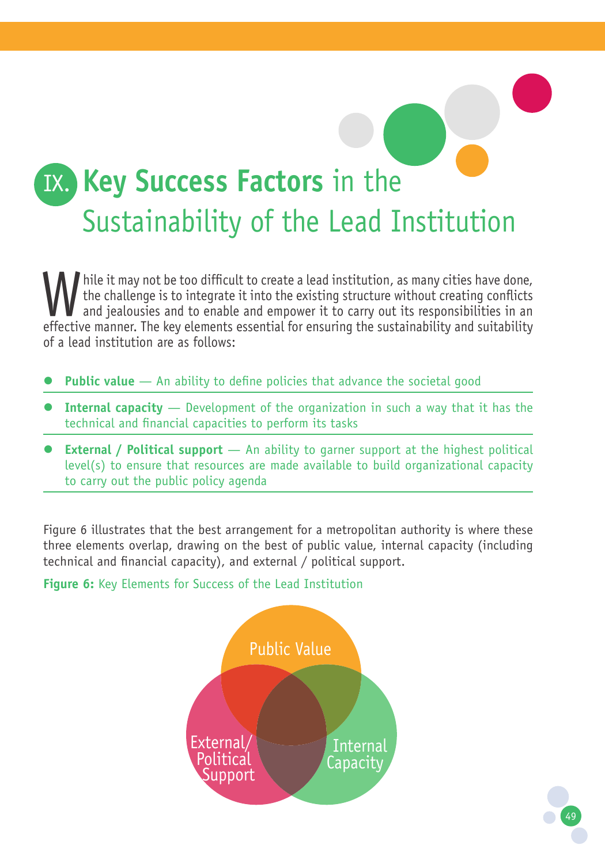## IX. **Key Success Factors** in the Sustainability of the Lead Institution

While it may not be too difficult to create a lead institution, as many cities have done,<br>the challenge is to integrate it into the existing structure without creating conflicts<br>and jealousies and to enable and empower it the challenge is to integrate it into the existing structure without creating conflicts and jealousies and to enable and empower it to carry out its responsibilities in an effective manner. The key elements essential for ensuring the sustainability and suitability of a lead institution are as follows:

- **Public value** An ability to define policies that advance the societal good
- l **Internal capacity** Development of the organization in such a way that it has the technical and financial capacities to perform its tasks
- **External / Political support** An ability to garner support at the highest political level(s) to ensure that resources are made available to build organizational capacity to carry out the public policy agenda

Figure 6 illustrates that the best arrangement for a metropolitan authority is where these three elements overlap, drawing on the best of public value, internal capacity (including technical and financial capacity), and external / political support.

#### **Figure 6:** Key Elements for Success of the Lead Institution

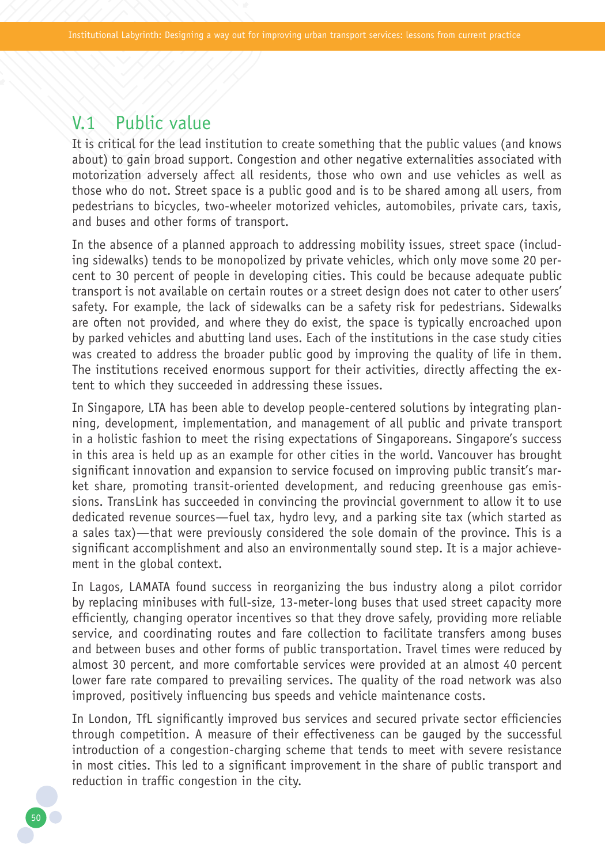### V.1 Public value

It is critical for the lead institution to create something that the public values (and knows about) to gain broad support. Congestion and other negative externalities associated with motorization adversely affect all residents, those who own and use vehicles as well as those who do not. Street space is a public good and is to be shared among all users, from pedestrians to bicycles, two-wheeler motorized vehicles, automobiles, private cars, taxis, and buses and other forms of transport.

In the absence of a planned approach to addressing mobility issues, street space (including sidewalks) tends to be monopolized by private vehicles, which only move some 20 percent to 30 percent of people in developing cities. This could be because adequate public transport is not available on certain routes or a street design does not cater to other users' safety. For example, the lack of sidewalks can be a safety risk for pedestrians. Sidewalks are often not provided, and where they do exist, the space is typically encroached upon by parked vehicles and abutting land uses. Each of the institutions in the case study cities was created to address the broader public good by improving the quality of life in them. The institutions received enormous support for their activities, directly affecting the extent to which they succeeded in addressing these issues.

In Singapore, LTA has been able to develop people-centered solutions by integrating planning, development, implementation, and management of all public and private transport in a holistic fashion to meet the rising expectations of Singaporeans. Singapore's success in this area is held up as an example for other cities in the world. Vancouver has brought significant innovation and expansion to service focused on improving public transit's market share, promoting transit-oriented development, and reducing greenhouse gas emissions. TransLink has succeeded in convincing the provincial government to allow it to use dedicated revenue sources—fuel tax, hydro levy, and a parking site tax (which started as a sales tax)—that were previously considered the sole domain of the province. This is a significant accomplishment and also an environmentally sound step. It is a major achievement in the global context.

In Lagos, LAMATA found success in reorganizing the bus industry along a pilot corridor by replacing minibuses with full-size, 13-meter-long buses that used street capacity more efficiently, changing operator incentives so that they drove safely, providing more reliable service, and coordinating routes and fare collection to facilitate transfers among buses and between buses and other forms of public transportation. Travel times were reduced by almost 30 percent, and more comfortable services were provided at an almost 40 percent lower fare rate compared to prevailing services. The quality of the road network was also improved, positively influencing bus speeds and vehicle maintenance costs.

In London, TfL significantly improved bus services and secured private sector efficiencies through competition. A measure of their effectiveness can be gauged by the successful introduction of a congestion-charging scheme that tends to meet with severe resistance in most cities. This led to a significant improvement in the share of public transport and reduction in traffic congestion in the city.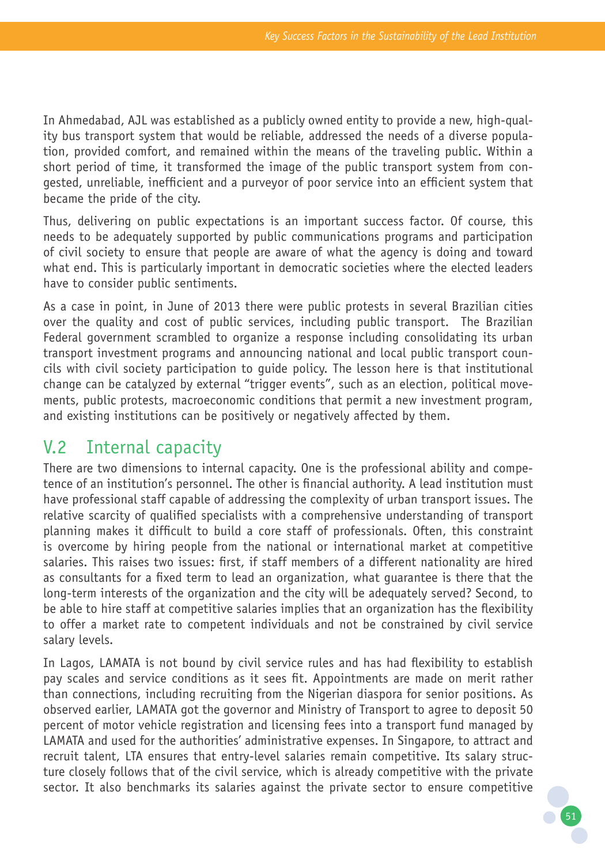In Ahmedabad, AJL was established as a publicly owned entity to provide a new, high-quality bus transport system that would be reliable, addressed the needs of a diverse population, provided comfort, and remained within the means of the traveling public. Within a short period of time, it transformed the image of the public transport system from congested, unreliable, inefficient and a purveyor of poor service into an efficient system that became the pride of the city.

Thus, delivering on public expectations is an important success factor. Of course, this needs to be adequately supported by public communications programs and participation of civil society to ensure that people are aware of what the agency is doing and toward what end. This is particularly important in democratic societies where the elected leaders have to consider public sentiments.

As a case in point, in June of 2013 there were public protests in several Brazilian cities over the quality and cost of public services, including public transport. The Brazilian Federal government scrambled to organize a response including consolidating its urban transport investment programs and announcing national and local public transport councils with civil society participation to guide policy. The lesson here is that institutional change can be catalyzed by external "trigger events", such as an election, political movements, public protests, macroeconomic conditions that permit a new investment program, and existing institutions can be positively or negatively affected by them.

## V.2 Internal capacity

There are two dimensions to internal capacity. One is the professional ability and competence of an institution's personnel. The other is financial authority. A lead institution must have professional staff capable of addressing the complexity of urban transport issues. The relative scarcity of qualified specialists with a comprehensive understanding of transport planning makes it difficult to build a core staff of professionals. Often, this constraint is overcome by hiring people from the national or international market at competitive salaries. This raises two issues: first, if staff members of a different nationality are hired as consultants for a fixed term to lead an organization, what guarantee is there that the long-term interests of the organization and the city will be adequately served? Second, to be able to hire staff at competitive salaries implies that an organization has the flexibility to offer a market rate to competent individuals and not be constrained by civil service salary levels.

In Lagos, LAMATA is not bound by civil service rules and has had flexibility to establish pay scales and service conditions as it sees fit. Appointments are made on merit rather than connections, including recruiting from the Nigerian diaspora for senior positions. As observed earlier, LAMATA got the governor and Ministry of Transport to agree to deposit 50 percent of motor vehicle registration and licensing fees into a transport fund managed by LAMATA and used for the authorities' administrative expenses. In Singapore, to attract and recruit talent, LTA ensures that entry-level salaries remain competitive. Its salary structure closely follows that of the civil service, which is already competitive with the private sector. It also benchmarks its salaries against the private sector to ensure competitive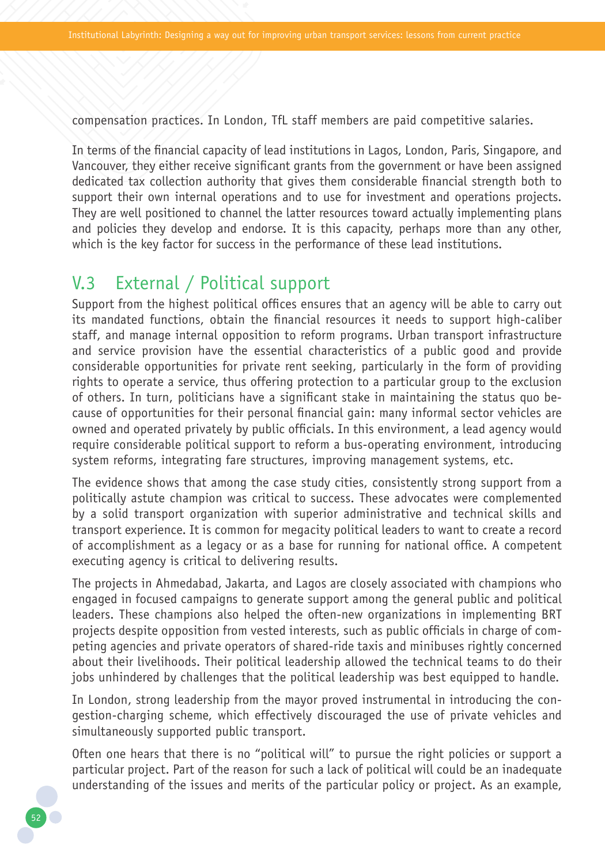compensation practices. In London, TfL staff members are paid competitive salaries.

In terms of the financial capacity of lead institutions in Lagos, London, Paris, Singapore, and Vancouver, they either receive significant grants from the government or have been assigned dedicated tax collection authority that gives them considerable financial strength both to support their own internal operations and to use for investment and operations projects. They are well positioned to channel the latter resources toward actually implementing plans and policies they develop and endorse. It is this capacity, perhaps more than any other, which is the key factor for success in the performance of these lead institutions.

## V.3 External / Political support

Support from the highest political offices ensures that an agency will be able to carry out its mandated functions, obtain the financial resources it needs to support high-caliber staff, and manage internal opposition to reform programs. Urban transport infrastructure and service provision have the essential characteristics of a public good and provide considerable opportunities for private rent seeking, particularly in the form of providing rights to operate a service, thus offering protection to a particular group to the exclusion of others. In turn, politicians have a significant stake in maintaining the status quo because of opportunities for their personal financial gain: many informal sector vehicles are owned and operated privately by public officials. In this environment, a lead agency would require considerable political support to reform a bus-operating environment, introducing system reforms, integrating fare structures, improving management systems, etc.

The evidence shows that among the case study cities, consistently strong support from a politically astute champion was critical to success. These advocates were complemented by a solid transport organization with superior administrative and technical skills and transport experience. It is common for megacity political leaders to want to create a record of accomplishment as a legacy or as a base for running for national office. A competent executing agency is critical to delivering results.

The projects in Ahmedabad, Jakarta, and Lagos are closely associated with champions who engaged in focused campaigns to generate support among the general public and political leaders. These champions also helped the often-new organizations in implementing BRT projects despite opposition from vested interests, such as public officials in charge of competing agencies and private operators of shared-ride taxis and minibuses rightly concerned about their livelihoods. Their political leadership allowed the technical teams to do their jobs unhindered by challenges that the political leadership was best equipped to handle.

In London, strong leadership from the mayor proved instrumental in introducing the congestion-charging scheme, which effectively discouraged the use of private vehicles and simultaneously supported public transport.

Often one hears that there is no "political will" to pursue the right policies or support a particular project. Part of the reason for such a lack of political will could be an inadequate understanding of the issues and merits of the particular policy or project. As an example,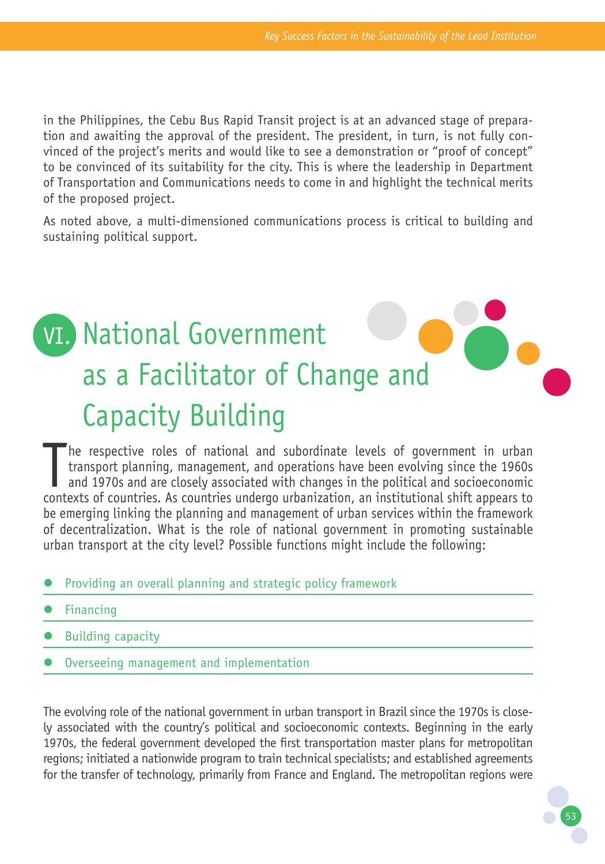in the Philippines, the Cebu Bus Rapid Transit project is at an advanced stage of preparation and awaiting the approval of the president. The president, in turn, is not fully convinced of the project's merits and would like to see a demonstration or "proof of concept" to be convinced of its suitability for the city. This is where the leadership in Department of Transportation and Communications needs to come in and highlight the technical merits of the proposed project.

As noted above, a multi-dimensioned communications process is critical to building and sustaining political support.

## VI. National Government as a Facilitator of Change and Capacity Building

The respective roles of national and subordinate levels of government in urban transport planning, management, and operations have been evolving since the 1960s and 1970s and are closely associated with changes in the poli he respective roles of national and subordinate levels of government in urban transport planning, management, and operations have been evolving since the 1960s and 1970s and are closely associated with changes in the political and socioeconomic be emerging linking the planning and management of urban services within the framework of decentralization. What is the role of national government in promoting sustainable urban transport at the city level? Possible functions might include the following:

- Providing an overall planning and strategic policy framework
- **Financing**
- **Building capacity**
- Overseeing management and implementation

The evolving role of the national government in urban transport in Brazil since the 1970s is closely associated with the country's political and socioeconomic contexts. Beginning in the early 1970s, the federal government developed the first transportation master plans for metropolitan regions; initiated a nationwide program to train technical specialists; and established agreements for the transfer of technology, primarily from France and England. The metropolitan regions were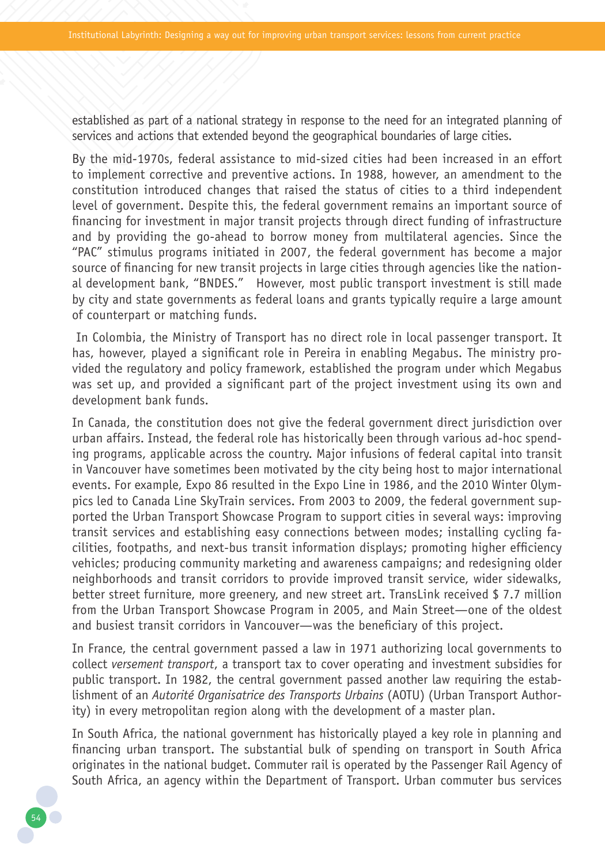established as part of a national strategy in response to the need for an integrated planning of services and actions that extended beyond the geographical boundaries of large cities.

By the mid-1970s, federal assistance to mid-sized cities had been increased in an effort to implement corrective and preventive actions. In 1988, however, an amendment to the constitution introduced changes that raised the status of cities to a third independent level of government. Despite this, the federal government remains an important source of financing for investment in major transit projects through direct funding of infrastructure and by providing the go-ahead to borrow money from multilateral agencies. Since the "PAC" stimulus programs initiated in 2007, the federal government has become a major source of financing for new transit projects in large cities through agencies like the national development bank, "BNDES." However, most public transport investment is still made by city and state governments as federal loans and grants typically require a large amount of counterpart or matching funds.

 In Colombia, the Ministry of Transport has no direct role in local passenger transport. It has, however, played a significant role in Pereira in enabling Megabus. The ministry provided the regulatory and policy framework, established the program under which Megabus was set up, and provided a significant part of the project investment using its own and development bank funds.

In Canada, the constitution does not give the federal government direct jurisdiction over urban affairs. Instead, the federal role has historically been through various ad-hoc spending programs, applicable across the country. Major infusions of federal capital into transit in Vancouver have sometimes been motivated by the city being host to major international events. For example, Expo 86 resulted in the Expo Line in 1986, and the 2010 Winter Olympics led to Canada Line SkyTrain services. From 2003 to 2009, the federal government supported the Urban Transport Showcase Program to support cities in several ways: improving transit services and establishing easy connections between modes; installing cycling facilities, footpaths, and next-bus transit information displays; promoting higher efficiency vehicles; producing community marketing and awareness campaigns; and redesigning older neighborhoods and transit corridors to provide improved transit service, wider sidewalks, better street furniture, more greenery, and new street art. TransLink received \$ 7.7 million from the Urban Transport Showcase Program in 2005, and Main Street—one of the oldest and busiest transit corridors in Vancouver—was the beneficiary of this project.

In France, the central government passed a law in 1971 authorizing local governments to collect *versement transport*, a transport tax to cover operating and investment subsidies for public transport. In 1982, the central government passed another law requiring the establishment of an *Autorité Organisatrice des Transports Urbains* (AOTU) (Urban Transport Authority) in every metropolitan region along with the development of a master plan.

In South Africa, the national government has historically played a key role in planning and financing urban transport. The substantial bulk of spending on transport in South Africa originates in the national budget. Commuter rail is operated by the Passenger Rail Agency of South Africa, an agency within the Department of Transport. Urban commuter bus services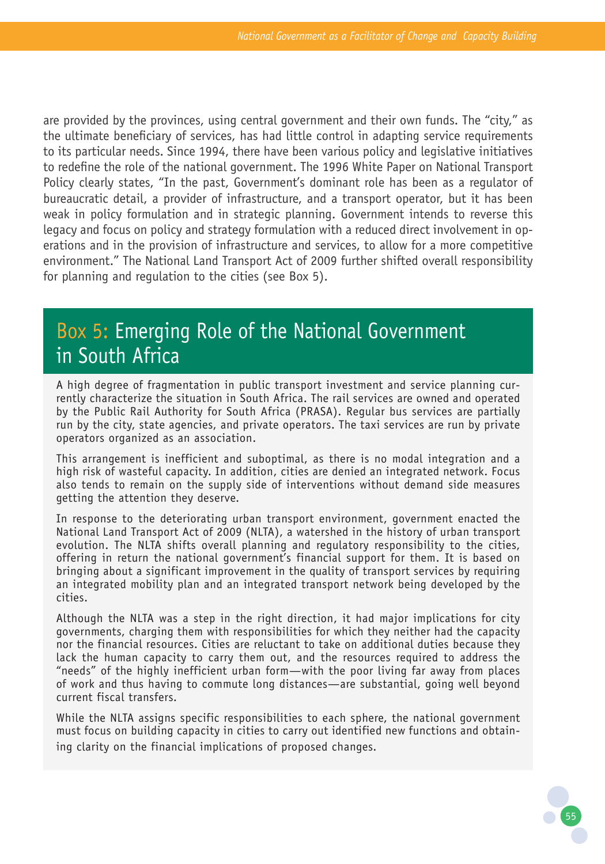are provided by the provinces, using central government and their own funds. The "city," as the ultimate beneficiary of services, has had little control in adapting service requirements to its particular needs. Since 1994, there have been various policy and legislative initiatives to redefine the role of the national government. The 1996 White Paper on National Transport Policy clearly states, "In the past, Government's dominant role has been as a regulator of bureaucratic detail, a provider of infrastructure, and a transport operator, but it has been weak in policy formulation and in strategic planning. Government intends to reverse this legacy and focus on policy and strategy formulation with a reduced direct involvement in operations and in the provision of infrastructure and services, to allow for a more competitive environment." The National Land Transport Act of 2009 further shifted overall responsibility for planning and regulation to the cities (see Box 5).

## Box 5: Emerging Role of the National Government in South Africa

A high degree of fragmentation in public transport investment and service planning currently characterize the situation in South Africa. The rail services are owned and operated by the Public Rail Authority for South Africa (PRASA). Regular bus services are partially run by the city, state agencies, and private operators. The taxi services are run by private operators organized as an association.

This arrangement is inefficient and suboptimal, as there is no modal integration and a high risk of wasteful capacity. In addition, cities are denied an integrated network. Focus also tends to remain on the supply side of interventions without demand side measures getting the attention they deserve.

In response to the deteriorating urban transport environment, government enacted the National Land Transport Act of 2009 (NLTA), a watershed in the history of urban transport evolution. The NLTA shifts overall planning and regulatory responsibility to the cities, offering in return the national government's financial support for them. It is based on bringing about a significant improvement in the quality of transport services by requiring an integrated mobility plan and an integrated transport network being developed by the cities.

Although the NLTA was a step in the right direction, it had major implications for city governments, charging them with responsibilities for which they neither had the capacity nor the financial resources. Cities are reluctant to take on additional duties because they lack the human capacity to carry them out, and the resources required to address the "needs" of the highly inefficient urban form—with the poor living far away from places of work and thus having to commute long distances—are substantial, going well beyond current fiscal transfers.

While the NLTA assigns specific responsibilities to each sphere, the national government must focus on building capacity in cities to carry out identified new functions and obtaining clarity on the financial implications of proposed changes.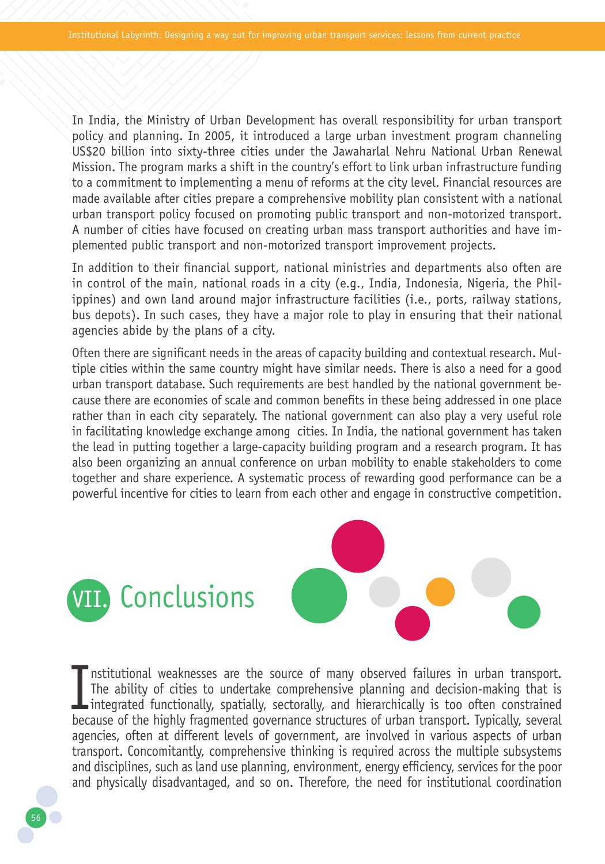In India, the Ministry of Urban Development has overall responsibility for urban transport policy and planning. In 2005, it introduced a large urban investment program channeling US\$20 billion into sixty-three cities under the Jawaharlal Nehru National Urban Renewal Mission. The program marks a shift in the country's effort to link urban infrastructure funding to a commitment to implementing a menu of reforms at the city level. Financial resources are made available after cities prepare a comprehensive mobility plan consistent with a national urban transport policy focused on promoting public transport and non-motorized transport. A number of cities have focused on creating urban mass transport authorities and have implemented public transport and non-motorized transport improvement projects.

In addition to their financial support, national ministries and departments also often are in control of the main, national roads in a city (e.g., India, Indonesia, Nigeria, the Philippines) and own land around major infrastructure facilities (i.e., ports, railway stations, bus depots). In such cases, they have a major role to play in ensuring that their national agencies abide by the plans of a city.

Often there are significant needs in the areas of capacity building and contextual research. Multiple cities within the same country might have similar needs. There is also a need for a good urban transport database. Such requirements are best handled by the national government because there are economies of scale and common benefits in these being addressed in one place rather than in each city separately. The national government can also play a very useful role in facilitating knowledge exchange among cities. In India, the national government has taken the lead in putting together a large-capacity building program and a research program. It has also been organizing an annual conference on urban mobility to enable stakeholders to come together and share experience. A systematic process of rewarding good performance can be a powerful incentive for cities to learn from each other and engage in constructive competition.





I nstitutional weaknesses are the source of many observed failures in urban transport. The ability of cities to undertake comprehensive planning and decision-making that is integrated functionally, spatially, sectorally, and hierarchically is too often constrained because of the highly fragmented governance structures of urban transport. Typically, several agencies, often at different levels of government, are involved in various aspects of urban transport. Concomitantly, comprehensive thinking is required across the multiple subsystems and disciplines, such as land use planning, environment, energy efficiency, services for the poor and physically disadvantaged, and so on. Therefore, the need for institutional coordination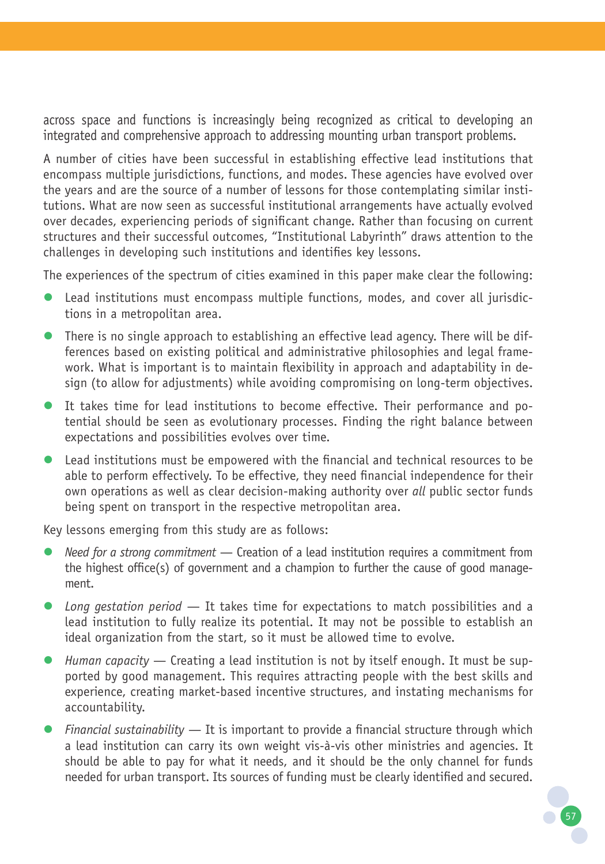across space and functions is increasingly being recognized as critical to developing an integrated and comprehensive approach to addressing mounting urban transport problems.

A number of cities have been successful in establishing effective lead institutions that encompass multiple jurisdictions, functions, and modes. These agencies have evolved over the years and are the source of a number of lessons for those contemplating similar institutions. What are now seen as successful institutional arrangements have actually evolved over decades, experiencing periods of significant change. Rather than focusing on current structures and their successful outcomes, "Institutional Labyrinth" draws attention to the challenges in developing such institutions and identifies key lessons.

The experiences of the spectrum of cities examined in this paper make clear the following:

- Lead institutions must encompass multiple functions, modes, and cover all jurisdictions in a metropolitan area.
- l There is no single approach to establishing an effective lead agency. There will be differences based on existing political and administrative philosophies and legal framework. What is important is to maintain flexibility in approach and adaptability in design (to allow for adjustments) while avoiding compromising on long-term objectives.
- It takes time for lead institutions to become effective. Their performance and potential should be seen as evolutionary processes. Finding the right balance between expectations and possibilities evolves over time.
- $\bullet$  Lead institutions must be empowered with the financial and technical resources to be able to perform effectively. To be effective, they need financial independence for their own operations as well as clear decision-making authority over *all* public sector funds being spent on transport in the respective metropolitan area.

Key lessons emerging from this study are as follows:

- l *Need for a strong commitment* Creation of a lead institution requires a commitment from the highest office(s) of government and a champion to further the cause of good management.
- l *Long gestation period* It takes time for expectations to match possibilities and a lead institution to fully realize its potential. It may not be possible to establish an ideal organization from the start, so it must be allowed time to evolve.
- l *Human capacity* Creating a lead institution is not by itself enough. It must be supported by good management. This requires attracting people with the best skills and experience, creating market-based incentive structures, and instating mechanisms for accountability.
- **•** *Financial sustainability* It is important to provide a financial structure through which a lead institution can carry its own weight vis-à-vis other ministries and agencies. It should be able to pay for what it needs, and it should be the only channel for funds needed for urban transport. Its sources of funding must be clearly identified and secured.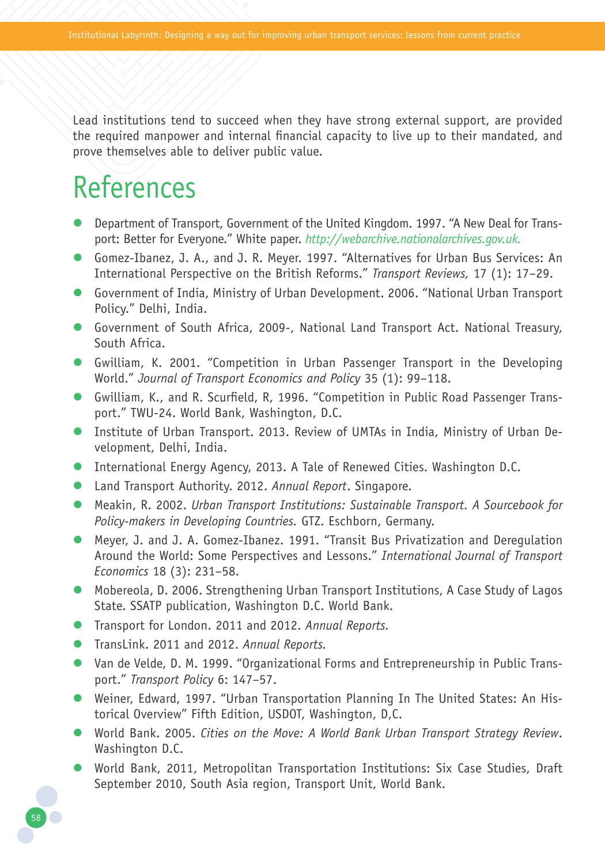Lead institutions tend to succeed when they have strong external support, are provided the required manpower and internal financial capacity to live up to their mandated, and prove themselves able to deliver public value.

## References

- **•** Department of Transport, Government of the United Kingdom. 1997. "A New Deal for Transport: Better for Everyone." White paper. *http://webarchive.nationalarchives.gov.uk.*
- Gomez-Ibanez, J. A., and J. R. Meyer. 1997. "Alternatives for Urban Bus Services: An International Perspective on the British Reforms." *Transport Reviews,* 17 (1): 17–29.
- l Government of India, Ministry of Urban Development. 2006. "National Urban Transport Policy." Delhi, India.
- l Government of South Africa, 2009-, National Land Transport Act. National Treasury, South Africa.
- l Gwilliam, K. 2001. "Competition in Urban Passenger Transport in the Developing World." *Journal of Transport Economics and Policy* 35 (1): 99–118.
- l Gwilliam, K., and R. Scurfield, R, 1996. "Competition in Public Road Passenger Transport." TWU-24. World Bank, Washington, D.C.
- **•** Institute of Urban Transport. 2013. Review of UMTAs in India, Ministry of Urban Development, Delhi, India.
- **International Energy Agency, 2013. A Tale of Renewed Cities. Washington D.C.**
- l Land Transport Authority. 2012. *Annual Report*. Singapore.
- l Meakin, R. 2002. *Urban Transport Institutions: Sustainable Transport. A Sourcebook for Policy-makers in Developing Countries.* GTZ. Eschborn, Germany.
- **I** Meyer, J. and J. A. Gomez-Ibanez. 1991. "Transit Bus Privatization and Deregulation Around the World: Some Perspectives and Lessons." *International Journal of Transport Economics* 18 (3): 231–58.
- **Mobereola, D. 2006. Strengthening Urban Transport Institutions, A Case Study of Lagos** State. SSATP publication, Washington D.C. World Bank.
- l Transport for London. 2011 and 2012. *Annual Reports.*
- l TransLink. 2011 and 2012. *Annual Reports.*
- Van de Velde, D. M. 1999. "Organizational Forms and Entrepreneurship in Public Transport." *Transport Policy* 6: 147–57.
- **•** Weiner, Edward, 1997. "Urban Transportation Planning In The United States: An Historical Overview" Fifth Edition, USDOT, Washington, D,C.
- **•** World Bank. 2005. *Cities on the Move: A World Bank Urban Transport Strategy Review.* Washington D.C.
- **•** World Bank, 2011, Metropolitan Transportation Institutions: Six Case Studies, Draft September 2010, South Asia region, Transport Unit, World Bank.